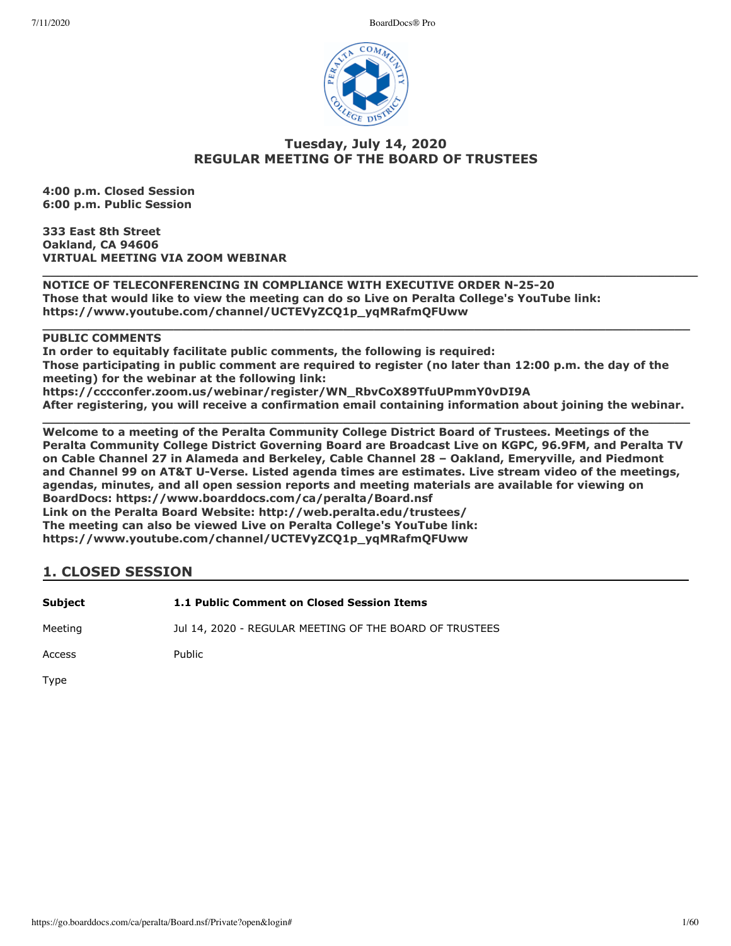7/11/2020 BoardDocs® Pro



# **Tuesday, July 14, 2020 REGULAR MEETING OF THE BOARD OF TRUSTEES**

**4:00 p.m. Closed Session 6:00 p.m. Public Session**

**333 East 8th Street Oakland, CA 94606 VIRTUAL MEETING VIA ZOOM WEBINAR**

**\_\_\_\_\_\_\_\_\_\_\_\_\_\_\_\_\_\_\_\_\_\_\_\_\_\_\_\_\_\_\_\_\_\_\_\_\_\_\_\_\_\_\_\_\_\_\_\_\_\_\_\_\_\_\_\_\_\_\_\_\_\_\_\_\_\_\_\_\_\_\_\_\_\_\_\_\_\_\_\_\_\_\_\_\_ NOTICE OF TELECONFERENCING IN COMPLIANCE WITH EXECUTIVE ORDER N-25-20 Those that would like to view the meeting can do so Live on Peralta College's YouTube link: https://www.youtube.com/channel/UCTEVyZCQ1p\_yqMRafmQFUww** 

**PUBLIC COMMENTS**

**In order to equitably facilitate public comments, the following is required: Those participating in public comment are required to register (no later than 12:00 p.m. the day of the meeting) for the webinar at the following link: https://cccconfer.zoom.us/webinar/register/WN\_RbvCoX89TfuUPmmY0vDI9A** 

**\_\_\_\_\_\_\_\_\_\_\_\_\_\_\_\_\_\_\_\_\_\_\_\_\_\_\_\_\_\_\_\_\_\_\_\_\_\_\_\_\_\_\_\_\_\_\_\_\_\_\_\_\_\_\_\_\_\_\_\_\_\_\_\_\_\_\_\_\_\_\_\_\_\_\_\_\_\_\_\_\_\_\_\_**

**After registering, you will receive a confirmation email containing information about joining the webinar. \_\_\_\_\_\_\_\_\_\_\_\_\_\_\_\_\_\_\_\_\_\_\_\_\_\_\_\_\_\_\_\_\_\_\_\_\_\_\_\_\_\_\_\_\_\_\_\_\_\_\_\_\_\_\_\_\_\_\_\_\_\_\_\_\_\_\_\_\_\_\_\_\_\_\_\_\_\_\_\_\_\_\_\_**

**Welcome to a meeting of the Peralta Community College District Board of Trustees. Meetings of the Peralta Community College District Governing Board are Broadcast Live on KGPC, 96.9FM, and Peralta TV on Cable Channel 27 in Alameda and Berkeley, Cable Channel 28 – Oakland, Emeryville, and Piedmont and Channel 99 on AT&T U-Verse. Listed agenda times are estimates. Live stream video of the meetings, agendas, minutes, and all open session reports and meeting materials are available for viewing on BoardDocs: https://www.boarddocs.com/ca/peralta/Board.nsf Link on the Peralta Board Website: http://web.peralta.edu/trustees/ The meeting can also be viewed Live on Peralta College's YouTube link: https://www.youtube.com/channel/UCTEVyZCQ1p\_yqMRafmQFUww**

# **1. CLOSED SESSION**

| Subject | 1.1 Public Comment on Closed Session Items              |
|---------|---------------------------------------------------------|
| Meeting | Jul 14, 2020 - REGULAR MEETING OF THE BOARD OF TRUSTEES |

Access Public

Type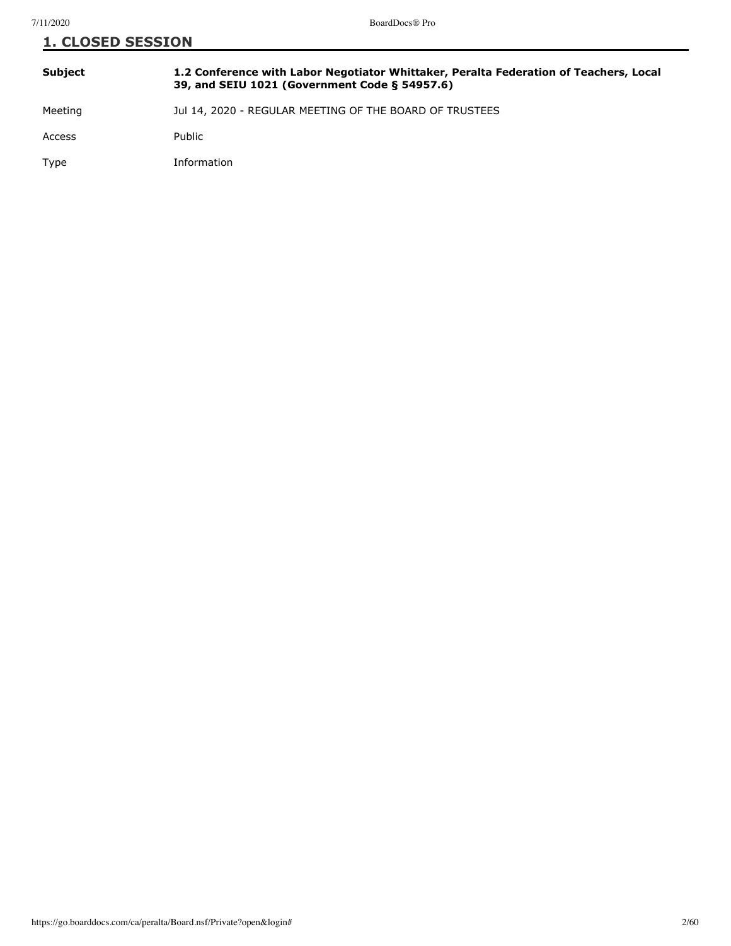| <b>1. CLOSED SESSION</b> |                                                                                                                                        |
|--------------------------|----------------------------------------------------------------------------------------------------------------------------------------|
| <b>Subject</b>           | 1.2 Conference with Labor Negotiator Whittaker, Peralta Federation of Teachers, Local<br>39, and SEIU 1021 (Government Code § 54957.6) |
| Meeting                  | Jul 14, 2020 - REGULAR MEETING OF THE BOARD OF TRUSTEES                                                                                |
| Access                   | Public                                                                                                                                 |
| Type                     | Information                                                                                                                            |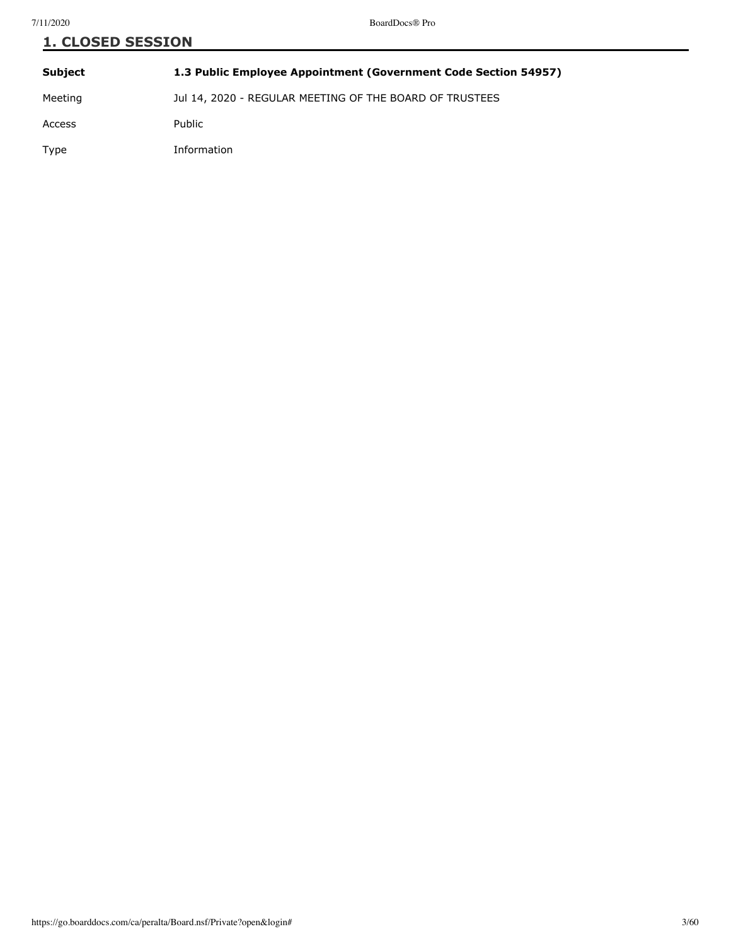| <b>1. CLOSED SESSION</b> |                                                                 |
|--------------------------|-----------------------------------------------------------------|
| <b>Subject</b>           | 1.3 Public Employee Appointment (Government Code Section 54957) |
| Meeting                  | Jul 14, 2020 - REGULAR MEETING OF THE BOARD OF TRUSTEES         |
| Access                   | Public                                                          |
| Type                     | Information                                                     |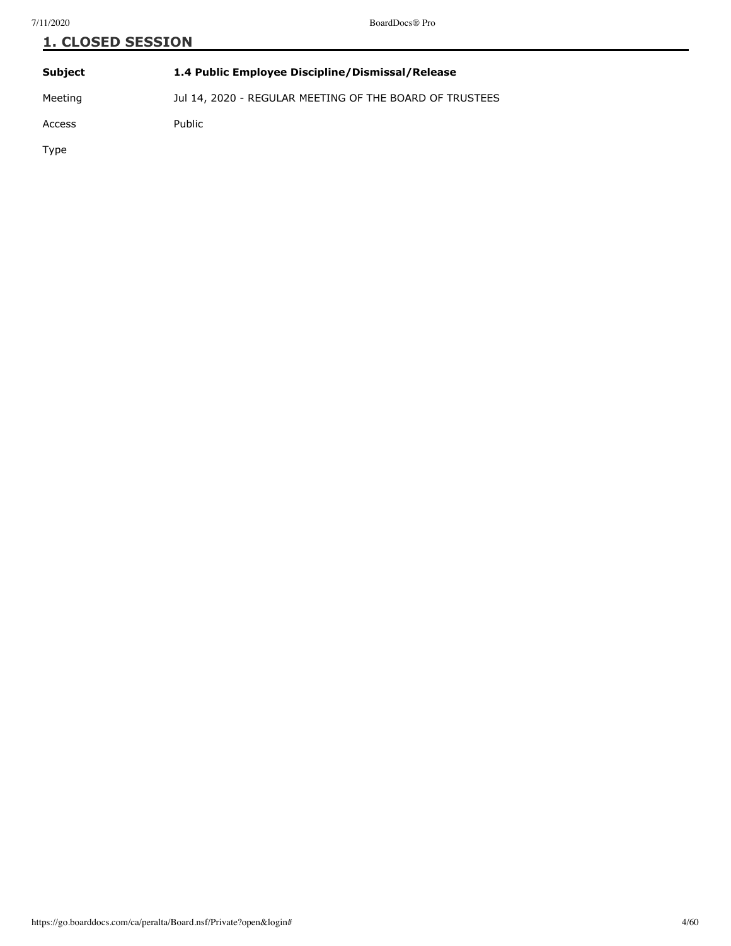| <b>1. CLOSED SESSION</b> |                                                         |  |
|--------------------------|---------------------------------------------------------|--|
| <b>Subject</b>           | 1.4 Public Employee Discipline/Dismissal/Release        |  |
| Meeting                  | Jul 14, 2020 - REGULAR MEETING OF THE BOARD OF TRUSTEES |  |
| Access                   | <b>Public</b>                                           |  |
| $T_{11}$                 |                                                         |  |

Type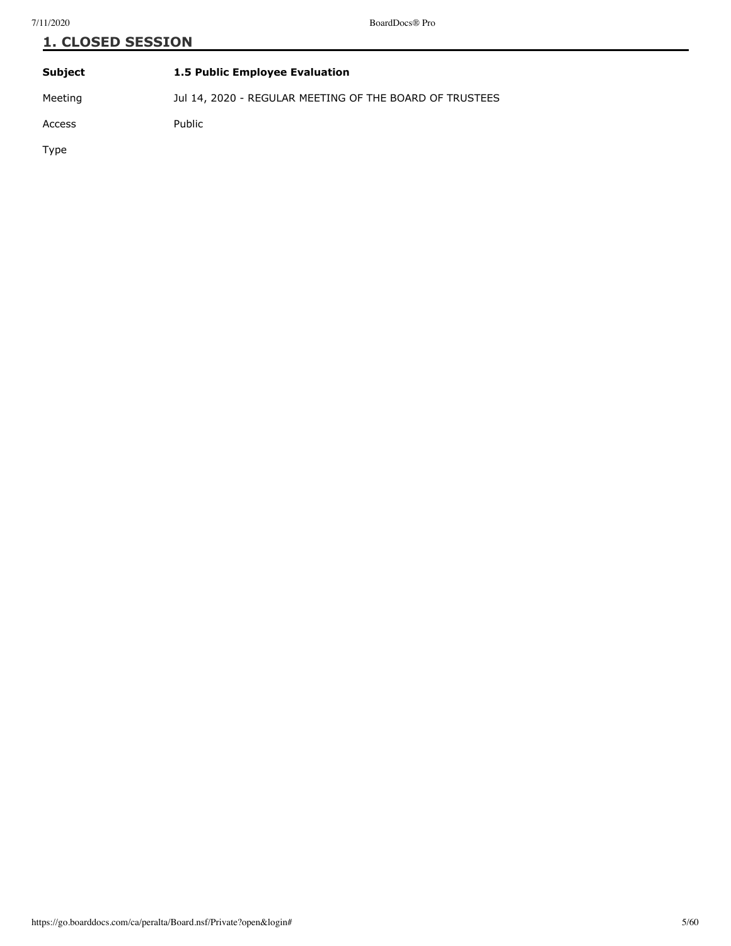# **1. CLOSED SESSION**

| <b>Subject</b> | 1.5 Public Employee Evaluation                          |
|----------------|---------------------------------------------------------|
| Meeting        | Jul 14, 2020 - REGULAR MEETING OF THE BOARD OF TRUSTEES |
| Access         | Public                                                  |
| Type           |                                                         |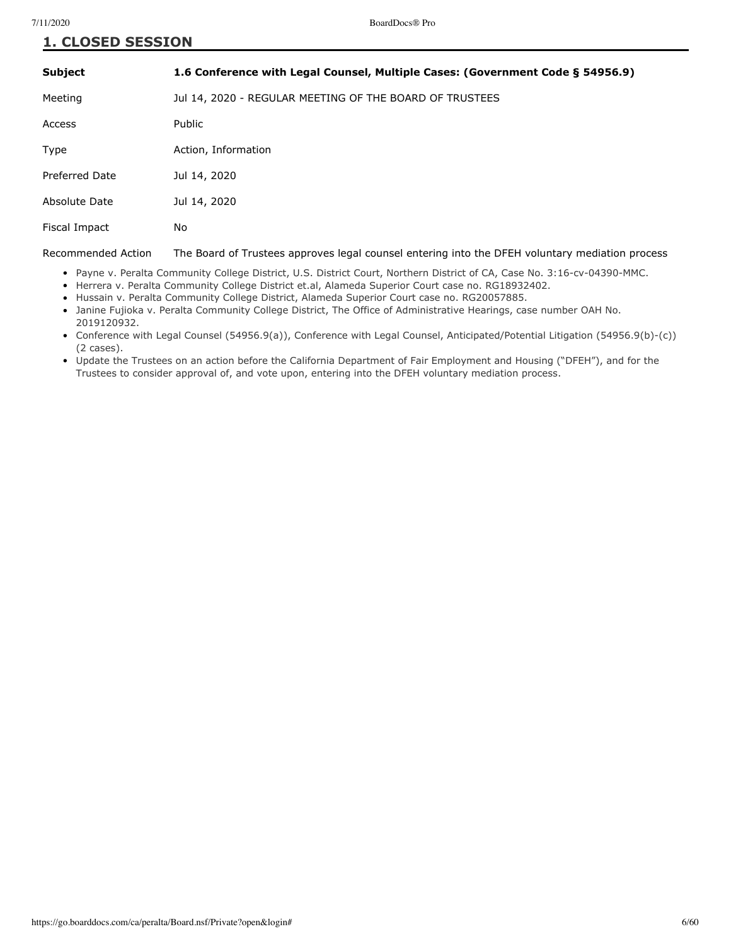| <b>1. CLOSED SESSION</b> |                                                                                |
|--------------------------|--------------------------------------------------------------------------------|
| Subject                  | 1.6 Conference with Legal Counsel, Multiple Cases: (Government Code § 54956.9) |
| Meeting                  | Jul 14, 2020 - REGULAR MEETING OF THE BOARD OF TRUSTEES                        |
| Access                   | <b>Public</b>                                                                  |

Type **Action**, Information

Preferred Date Jul 14, 2020

Absolute Date Jul 14, 2020

Fiscal Impact No

Recommended Action The Board of Trustees approves legal counsel entering into the DFEH voluntary mediation process

- Payne v. Peralta Community College District, U.S. District Court, Northern District of CA, Case No. 3:16-cv-04390-MMC.
- Herrera v. Peralta Community College District et.al, Alameda Superior Court case no. RG18932402.
- Hussain v. Peralta Community College District, Alameda Superior Court case no. RG20057885.
- Janine Fujioka v. Peralta Community College District, The Office of Administrative Hearings, case number OAH No. 2019120932.
- Conference with Legal Counsel (54956.9(a)), Conference with Legal Counsel, Anticipated/Potential Litigation (54956.9(b)-(c)) (2 cases).
- Update the Trustees on an action before the California Department of Fair Employment and Housing ("DFEH"), and for the Trustees to consider approval of, and vote upon, entering into the DFEH voluntary mediation process.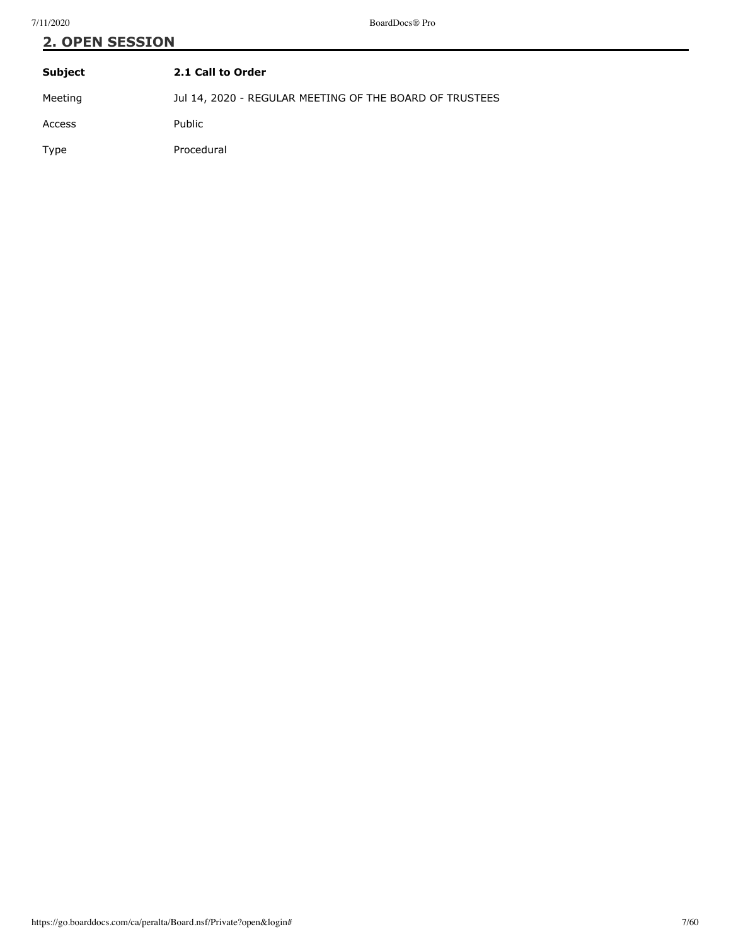Type Procedural

| <b>2. OPEN SESSION</b> |                                                         |
|------------------------|---------------------------------------------------------|
| <b>Subject</b>         | 2.1 Call to Order                                       |
| Meeting                | Jul 14, 2020 - REGULAR MEETING OF THE BOARD OF TRUSTEES |
| Access                 | <b>Public</b>                                           |
|                        |                                                         |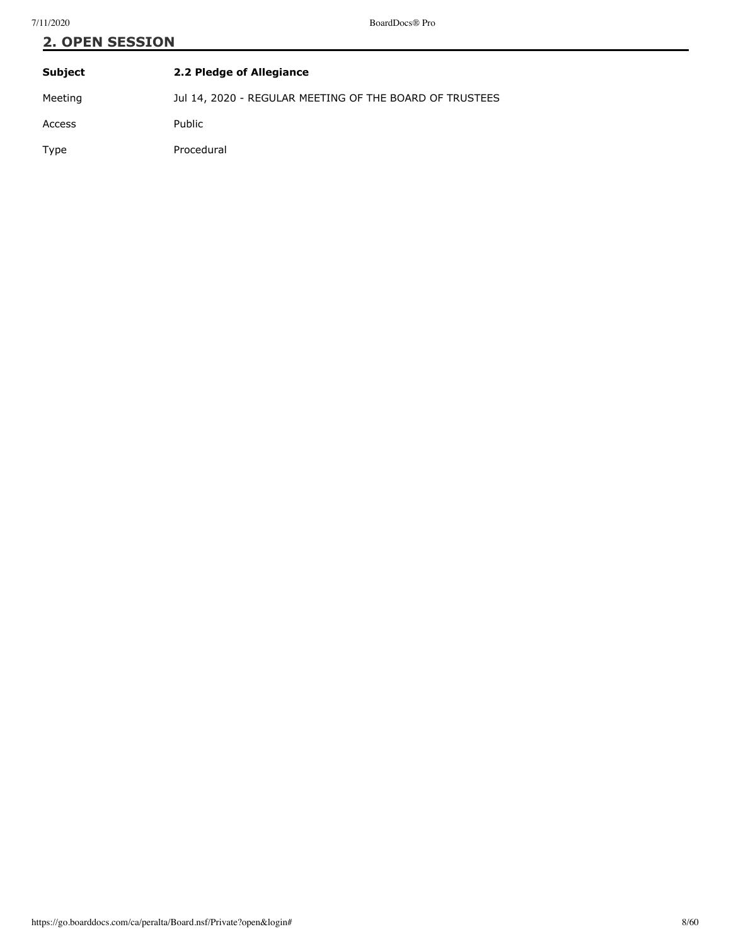| <b>2. OPEN SESSION</b> |                                                         |
|------------------------|---------------------------------------------------------|
| Subject                | 2.2 Pledge of Allegiance                                |
| Meeting                | Jul 14, 2020 - REGULAR MEETING OF THE BOARD OF TRUSTEES |

Access Public

Type Procedural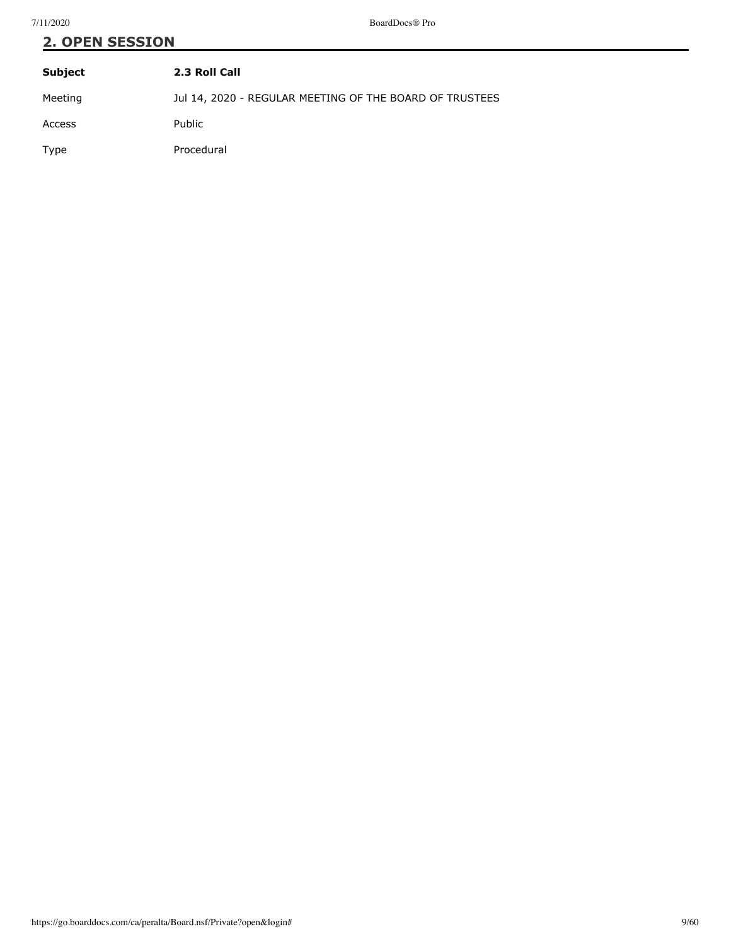# **2. OPEN SESSION**

| Subject | 2.3 Roll Call                                           |
|---------|---------------------------------------------------------|
| Meeting | Jul 14, 2020 - REGULAR MEETING OF THE BOARD OF TRUSTEES |
| Access  | Public                                                  |
| Type    | Procedural                                              |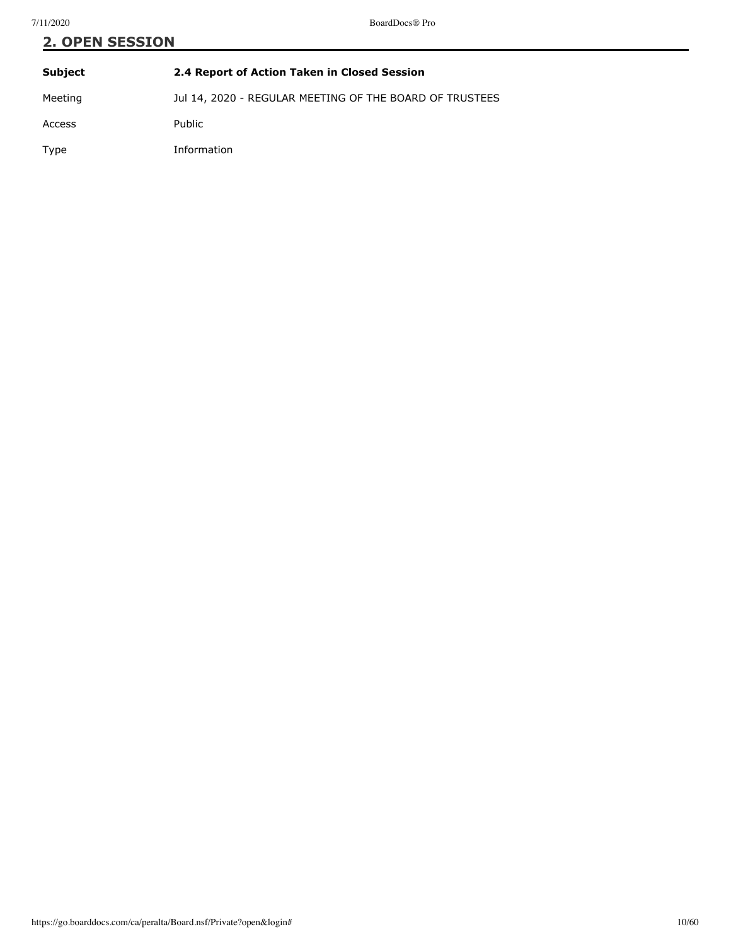| <b>2. OPEN SESSION</b> |                                                         |  |
|------------------------|---------------------------------------------------------|--|
| Subject                | 2.4 Report of Action Taken in Closed Session            |  |
| Meeting                | Jul 14, 2020 - REGULAR MEETING OF THE BOARD OF TRUSTEES |  |
| Access                 | <b>Public</b>                                           |  |

Type Information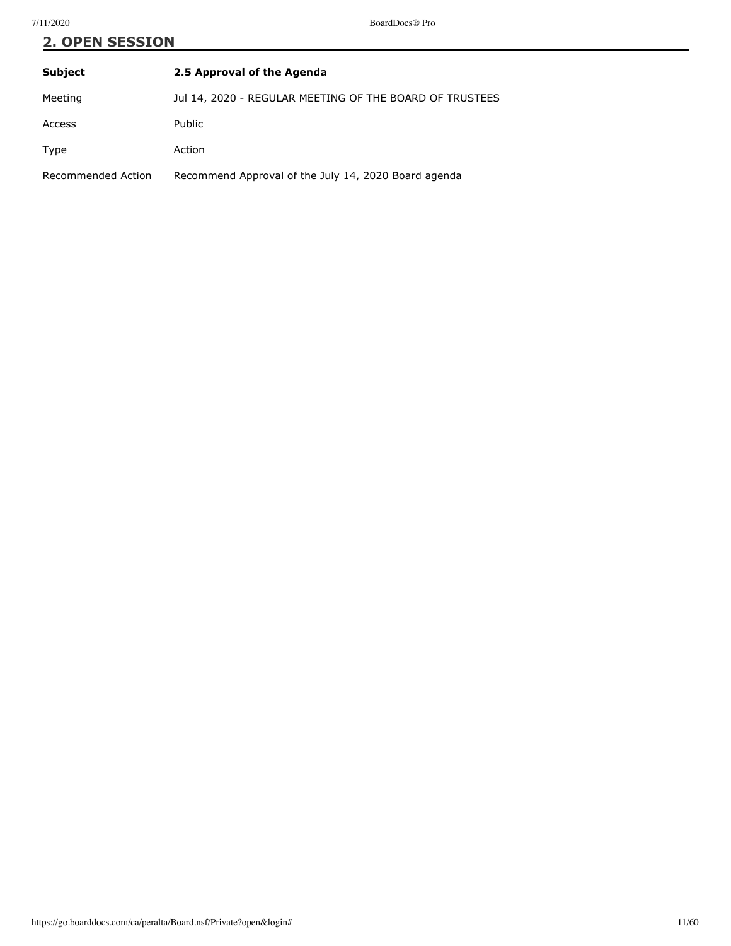# **2. OPEN SESSION**

| <b>Subject</b>     | 2.5 Approval of the Agenda                              |
|--------------------|---------------------------------------------------------|
| Meeting            | Jul 14, 2020 - REGULAR MEETING OF THE BOARD OF TRUSTEES |
| Access             | <b>Public</b>                                           |
| Type               | Action                                                  |
| Recommended Action | Recommend Approval of the July 14, 2020 Board agenda    |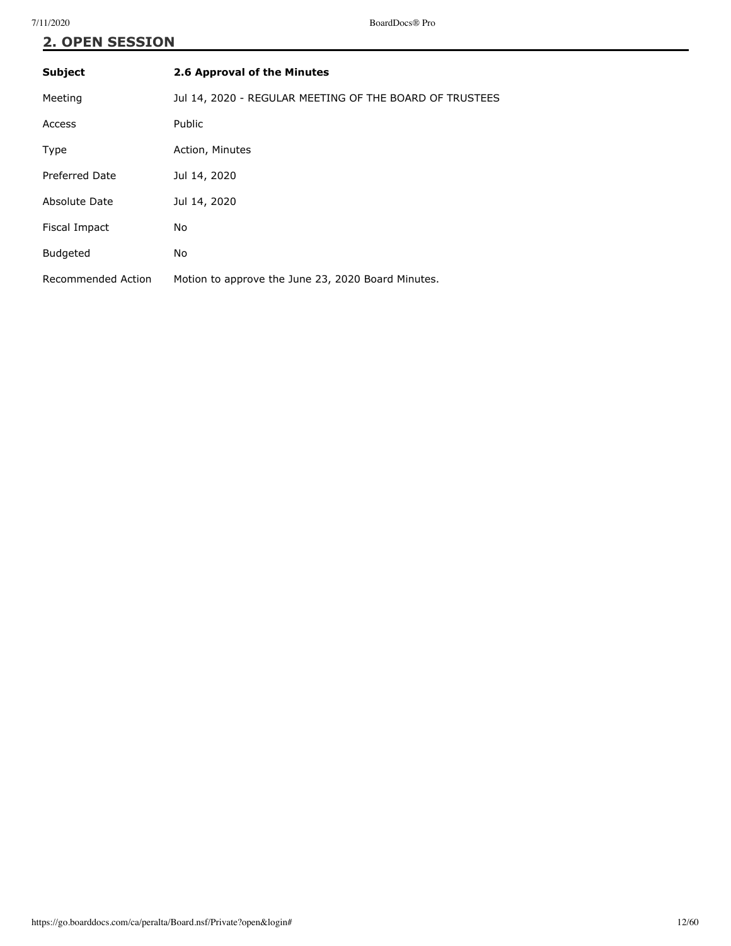# **2. OPEN SESSION**

| <b>Subject</b>     | 2.6 Approval of the Minutes                             |
|--------------------|---------------------------------------------------------|
| Meeting            | Jul 14, 2020 - REGULAR MEETING OF THE BOARD OF TRUSTEES |
| Access             | <b>Public</b>                                           |
| Type               | Action, Minutes                                         |
| Preferred Date     | Jul 14, 2020                                            |
| Absolute Date      | Jul 14, 2020                                            |
| Fiscal Impact      | <b>No</b>                                               |
| <b>Budgeted</b>    | No                                                      |
| Recommended Action | Motion to approve the June 23, 2020 Board Minutes.      |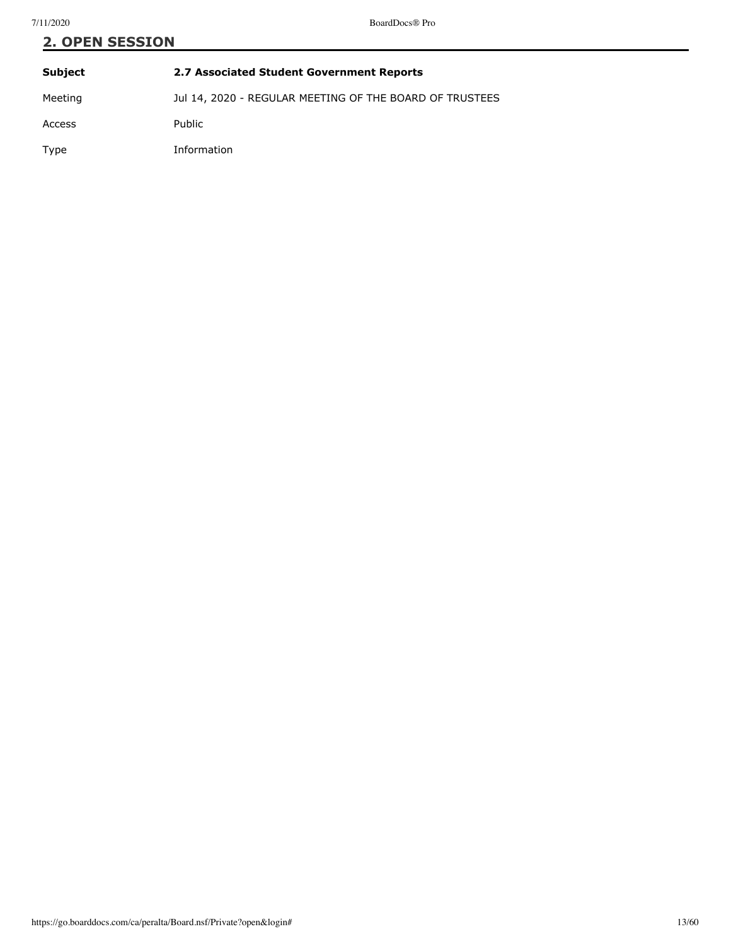| <b>2. OPEN SESSION</b> |                                                         |  |
|------------------------|---------------------------------------------------------|--|
| Subject                | 2.7 Associated Student Government Reports               |  |
| Meeting                | Jul 14, 2020 - REGULAR MEETING OF THE BOARD OF TRUSTEES |  |
| Access                 | Public                                                  |  |

Type Information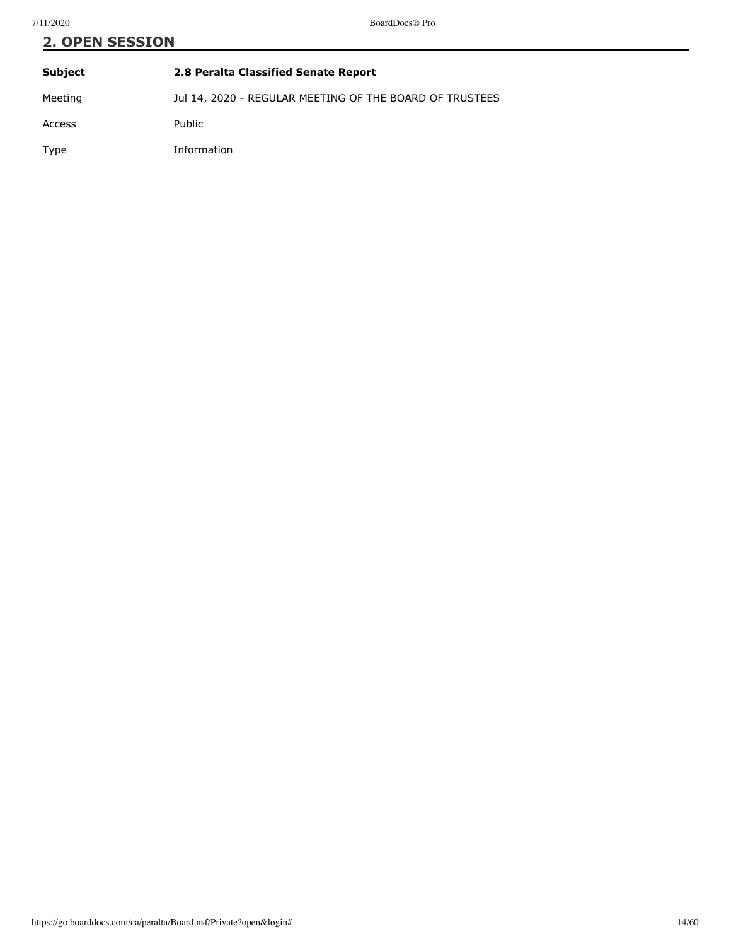| <b>2. OPEN SESSION</b> |                                                         |  |
|------------------------|---------------------------------------------------------|--|
| Subject                | 2.8 Peralta Classified Senate Report                    |  |
| Meeting                | Jul 14, 2020 - REGULAR MEETING OF THE BOARD OF TRUSTEES |  |

Access Public Type Information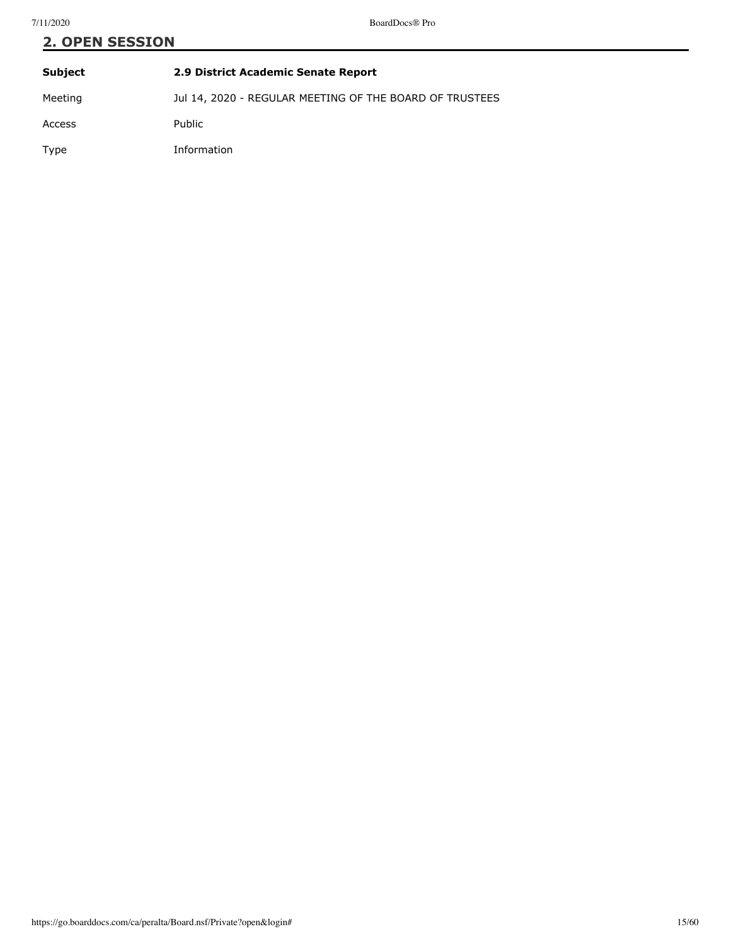# **2. OPEN SESSION Subject 2.9 District Academic Senate Report**

Meeting **Jul 14, 2020 - REGULAR MEETING OF THE BOARD OF TRUSTEES** Access Public Type Information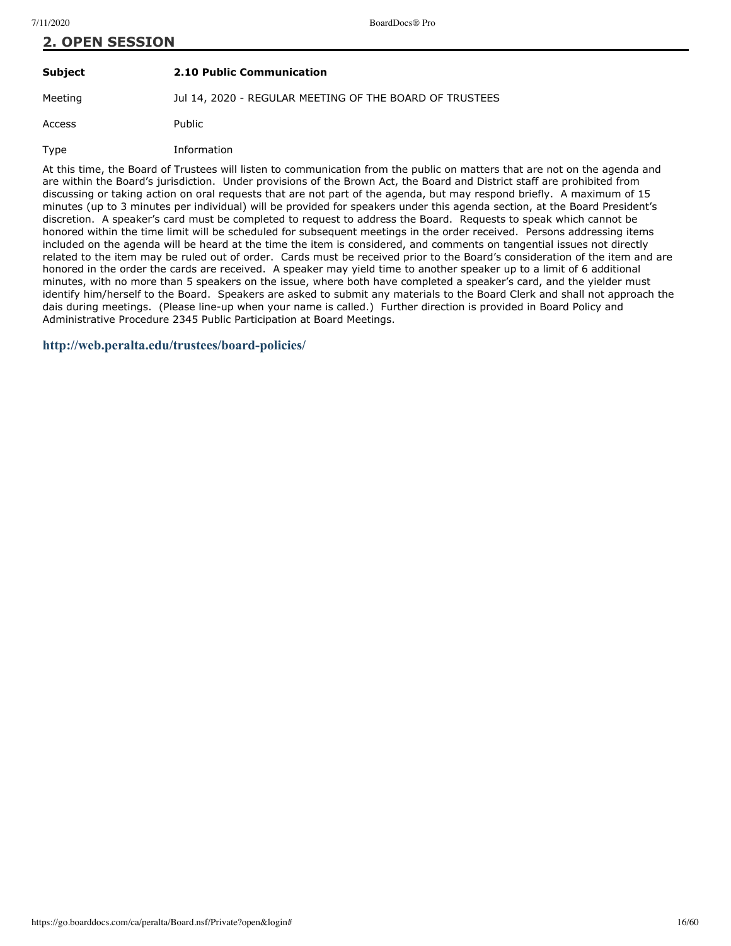# **2. OPEN SESSION**

### **Subject 2.10 Public Communication**

Meeting Jul 14, 2020 - REGULAR MEETING OF THE BOARD OF TRUSTEES

Access Public

Type Information

At this time, the Board of Trustees will listen to communication from the public on matters that are not on the agenda and are within the Board's jurisdiction. Under provisions of the Brown Act, the Board and District staff are prohibited from discussing or taking action on oral requests that are not part of the agenda, but may respond briefly. A maximum of 15 minutes (up to 3 minutes per individual) will be provided for speakers under this agenda section, at the Board President's discretion. A speaker's card must be completed to request to address the Board. Requests to speak which cannot be honored within the time limit will be scheduled for subsequent meetings in the order received. Persons addressing items included on the agenda will be heard at the time the item is considered, and comments on tangential issues not directly related to the item may be ruled out of order. Cards must be received prior to the Board's consideration of the item and are honored in the order the cards are received. A speaker may yield time to another speaker up to a limit of 6 additional minutes, with no more than 5 speakers on the issue, where both have completed a speaker's card, and the yielder must identify him/herself to the Board. Speakers are asked to submit any materials to the Board Clerk and shall not approach the dais during meetings. (Please line-up when your name is called.) Further direction is provided in Board Policy and Administrative Procedure 2345 Public Participation at Board Meetings.

**<http://web.peralta.edu/trustees/board-policies/>**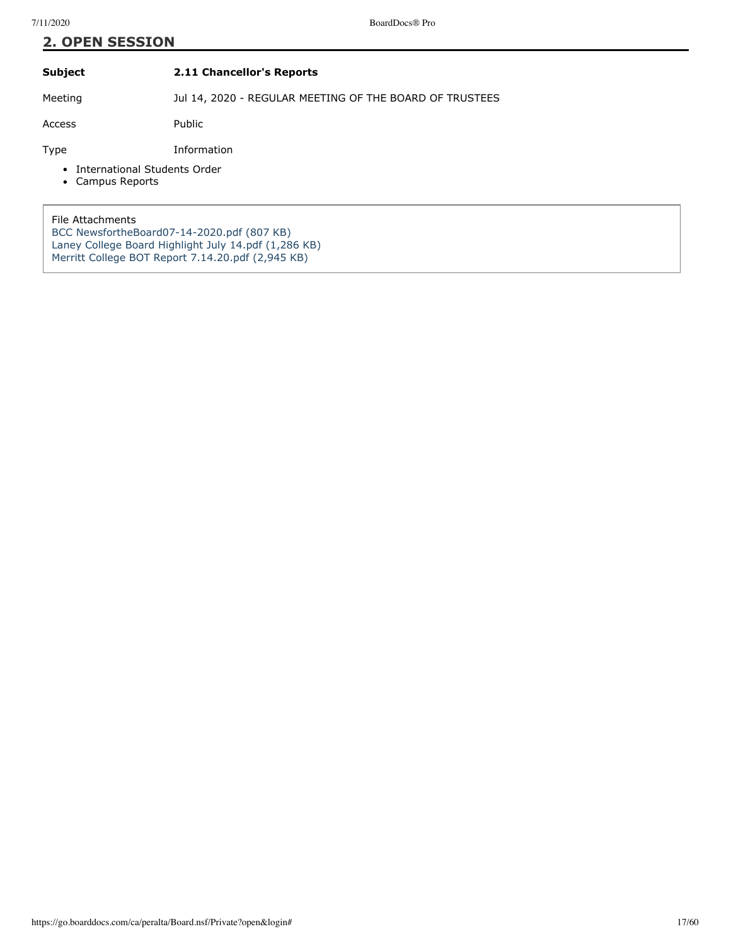# **2. OPEN SESSION**

### **Subject 2.11 Chancellor's Reports**

Meeting **Jul 14, 2020 - REGULAR MEETING OF THE BOARD OF TRUSTEES** 

Access Public

Type Information

- International Students Order
- Campus Reports

File Attachments [BCC NewsfortheBoard07-14-2020.pdf \(807 KB\)](https://go.boarddocs.com/ca/peralta/Board.nsf/files/BRCQ3J669785/$file/BCC%20NewsfortheBoard07-14-2020.pdf) [Laney College Board Highlight July 14.pdf \(1,286 KB\)](https://go.boarddocs.com/ca/peralta/Board.nsf/files/BRCP5W62FD85/$file/Laney%20College%20Board%20Highlight%20July%2014.pdf) [Merritt College BOT Report 7.14.20.pdf \(2,945 KB\)](https://go.boarddocs.com/ca/peralta/Board.nsf/files/BR9UVL7DCEC8/$file/Merritt%20College%20BOT%20Report%207.14.20.pdf)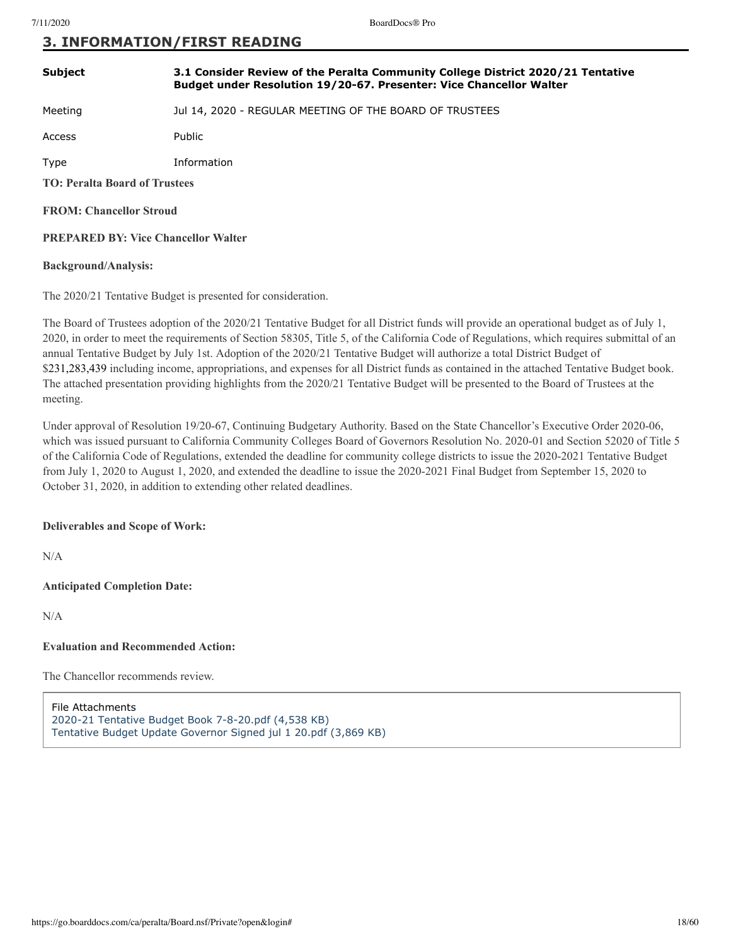### **3. INFORMATION/FIRST READING**

| <b>Subject</b>                             | 3.1 Consider Review of the Peralta Community College District 2020/21 Tentative<br>Budget under Resolution 19/20-67. Presenter: Vice Chancellor Walter |  |
|--------------------------------------------|--------------------------------------------------------------------------------------------------------------------------------------------------------|--|
| Meeting                                    | Jul 14, 2020 - REGULAR MEETING OF THE BOARD OF TRUSTEES                                                                                                |  |
| Access                                     | Public                                                                                                                                                 |  |
| Type                                       | Information                                                                                                                                            |  |
| <b>TO: Peralta Board of Trustees</b>       |                                                                                                                                                        |  |
| <b>FROM: Chancellor Stroud</b>             |                                                                                                                                                        |  |
| <b>PREPARED BY: Vice Chancellor Walter</b> |                                                                                                                                                        |  |
|                                            |                                                                                                                                                        |  |

### **Background/Analysis:**

The 2020/21 Tentative Budget is presented for consideration.

The Board of Trustees adoption of the 2020/21 Tentative Budget for all District funds will provide an operational budget as of July 1, 2020, in order to meet the requirements of Section 58305, Title 5, of the California Code of Regulations, which requires submittal of an annual Tentative Budget by July 1st. Adoption of the 2020/21 Tentative Budget will authorize a total District Budget of \$231,283,439 including income, appropriations, and expenses for all District funds as contained in the attached Tentative Budget book. The attached presentation providing highlights from the 2020/21 Tentative Budget will be presented to the Board of Trustees at the meeting.

Under approval of Resolution 19/20-67, Continuing Budgetary Authority. Based on the State Chancellor's Executive Order 2020-06, which was issued pursuant to California Community Colleges Board of Governors Resolution No. 2020-01 and Section 52020 of Title 5 of the California Code of Regulations, extended the deadline for community college districts to issue the 2020-2021 Tentative Budget from July 1, 2020 to August 1, 2020, and extended the deadline to issue the 2020-2021 Final Budget from September 15, 2020 to October 31, 2020, in addition to extending other related deadlines.

### **Deliverables and Scope of Work:**

N/A

**Anticipated Completion Date:**

N/A

### **Evaluation and Recommended Action:**

The Chancellor recommends review.

File Attachments [2020-21 Tentative Budget Book 7-8-20.pdf \(4,538 KB\)](https://go.boarddocs.com/ca/peralta/Board.nsf/files/BRD5UW11FFAF/$file/2020-21%20Tentative%20Budget%20Book%207-8-20.pdf) [Tentative Budget Update Governor Signed jul 1 20.pdf \(3,869 KB\)](https://go.boarddocs.com/ca/peralta/Board.nsf/files/BRDS5P70F7F2/$file/Tentative%20Budget%20Update%20Governor%20Signed%20jul%201%2020.pdf)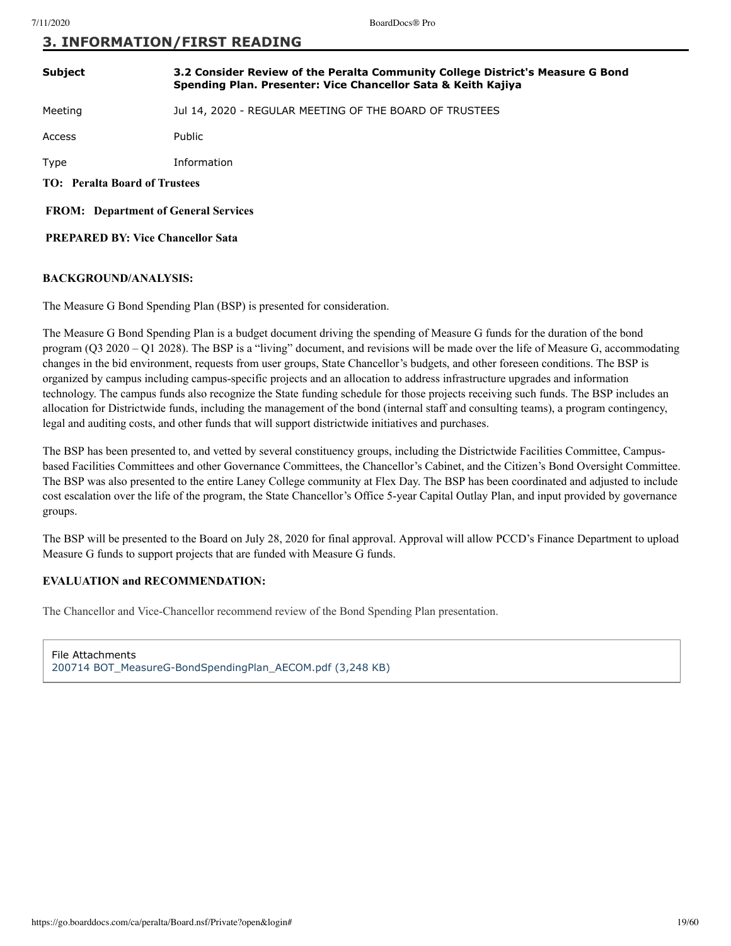### **3. INFORMATION/FIRST READING**

| <b>Subject</b>                              | 3.2 Consider Review of the Peralta Community College District's Measure G Bond<br>Spending Plan. Presenter: Vice Chancellor Sata & Keith Kajiya |  |
|---------------------------------------------|-------------------------------------------------------------------------------------------------------------------------------------------------|--|
| Meeting                                     | Jul 14, 2020 - REGULAR MEETING OF THE BOARD OF TRUSTEES                                                                                         |  |
| Access                                      | Public                                                                                                                                          |  |
| Type                                        | Information                                                                                                                                     |  |
| <b>TO:</b> Peralta Board of Trustees        |                                                                                                                                                 |  |
| <b>FROM:</b> Department of General Services |                                                                                                                                                 |  |

 **PREPARED BY: Vice Chancellor Sata**

### **BACKGROUND/ANALYSIS:**

The Measure G Bond Spending Plan (BSP) is presented for consideration.

The Measure G Bond Spending Plan is a budget document driving the spending of Measure G funds for the duration of the bond program (Q3 2020 – Q1 2028). The BSP is a "living" document, and revisions will be made over the life of Measure G, accommodating changes in the bid environment, requests from user groups, State Chancellor's budgets, and other foreseen conditions. The BSP is organized by campus including campus-specific projects and an allocation to address infrastructure upgrades and information technology. The campus funds also recognize the State funding schedule for those projects receiving such funds. The BSP includes an allocation for Districtwide funds, including the management of the bond (internal staff and consulting teams), a program contingency, legal and auditing costs, and other funds that will support districtwide initiatives and purchases.

The BSP has been presented to, and vetted by several constituency groups, including the Districtwide Facilities Committee, Campusbased Facilities Committees and other Governance Committees, the Chancellor's Cabinet, and the Citizen's Bond Oversight Committee. The BSP was also presented to the entire Laney College community at Flex Day. The BSP has been coordinated and adjusted to include cost escalation over the life of the program, the State Chancellor's Office 5-year Capital Outlay Plan, and input provided by governance groups.

The BSP will be presented to the Board on July 28, 2020 for final approval. Approval will allow PCCD's Finance Department to upload Measure G funds to support projects that are funded with Measure G funds.

### **EVALUATION and RECOMMENDATION:**

The Chancellor and Vice-Chancellor recommend review of the Bond Spending Plan presentation.

File Attachments [200714 BOT\\_MeasureG-BondSpendingPlan\\_AECOM.pdf \(3,248 KB\)](https://go.boarddocs.com/ca/peralta/Board.nsf/files/BRDQWA6B42BE/$file/200714%20BOT_MeasureG-BondSpendingPlan_AECOM.pdf)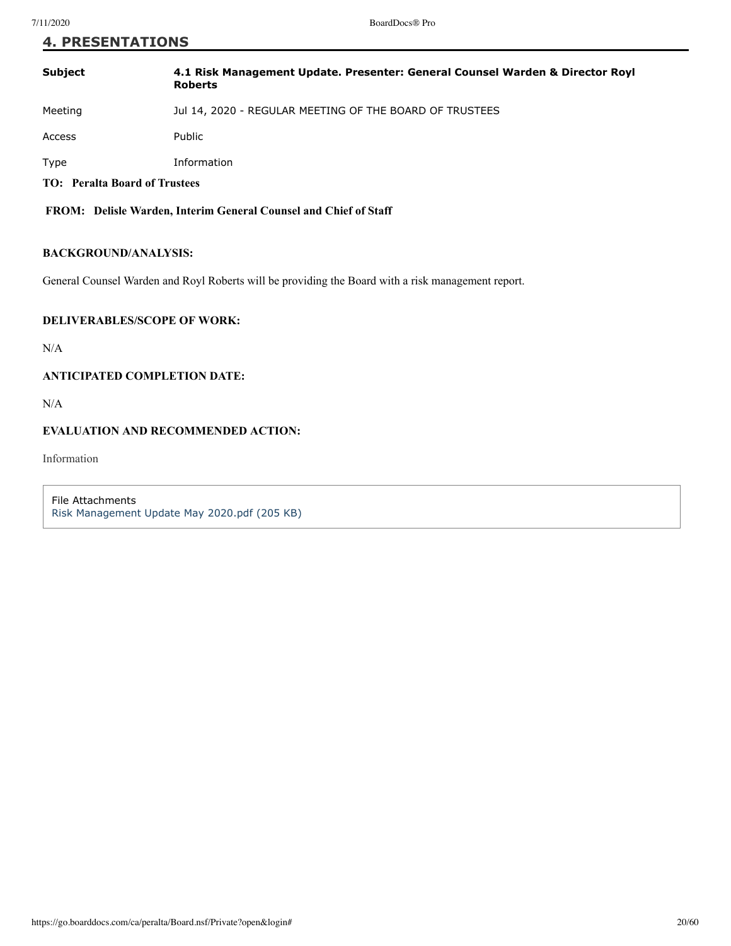### **4. PRESENTATIONS**

| Subject | 4.1 Risk Management Update. Presenter: General Counsel Warden & Director Royl<br><b>Roberts</b> |
|---------|-------------------------------------------------------------------------------------------------|
| Meeting | Jul 14, 2020 - REGULAR MEETING OF THE BOARD OF TRUSTEES                                         |
| Access  | Public                                                                                          |
| Type    | Information                                                                                     |

**TO: Peralta Board of Trustees**

 **FROM: Delisle Warden, Interim General Counsel and Chief of Staff**

### **BACKGROUND/ANALYSIS:**

General Counsel Warden and Royl Roberts will be providing the Board with a risk management report.

### **DELIVERABLES/SCOPE OF WORK:**

N/A

### **ANTICIPATED COMPLETION DATE:**

N/A

### **EVALUATION AND RECOMMENDED ACTION:**

Information

File Attachments [Risk Management Update May 2020.pdf \(205 KB\)](https://go.boarddocs.com/ca/peralta/Board.nsf/files/BQXEE539FFDB/$file/Risk%20Management%20Update%20May%202020.pdf)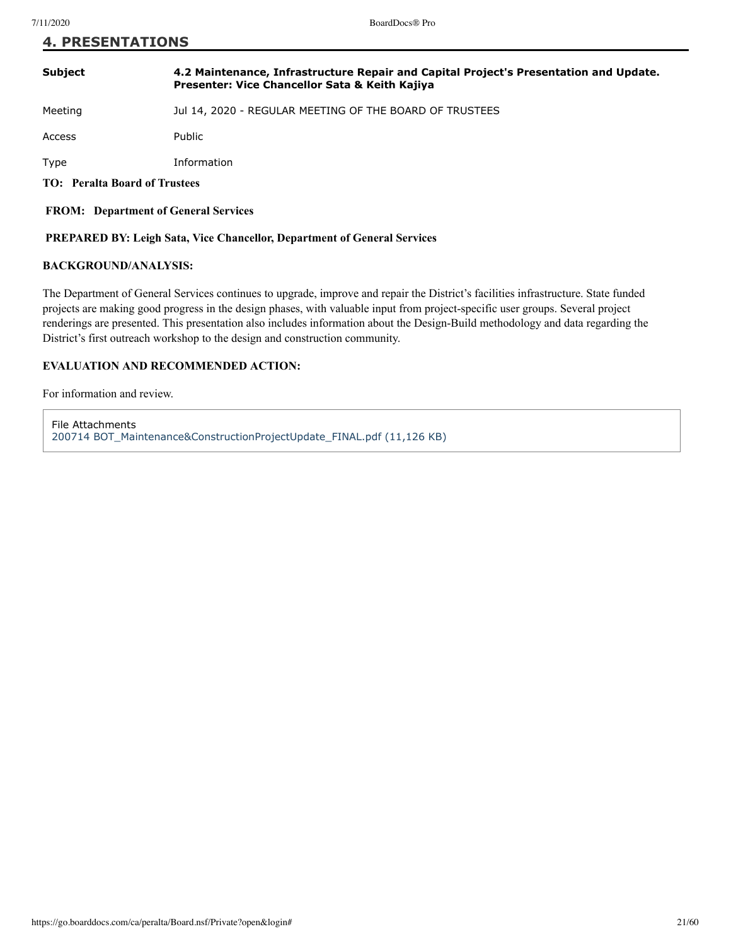### **4. PRESENTATIONS**

### **Subject 4.2 Maintenance, Infrastructure Repair and Capital Project's Presentation and Update. Presenter: Vice Chancellor Sata & Keith Kajiya**

Meeting Jul 14, 2020 - REGULAR MEETING OF THE BOARD OF TRUSTEES

Access Public

Type Information

**TO: Peralta Board of Trustees**

 **FROM: Department of General Services**

### **PREPARED BY: Leigh Sata, Vice Chancellor, Department of General Services**

### **BACKGROUND/ANALYSIS:**

The Department of General Services continues to upgrade, improve and repair the District's facilities infrastructure. State funded projects are making good progress in the design phases, with valuable input from project-specific user groups. Several project renderings are presented. This presentation also includes information about the Design-Build methodology and data regarding the District's first outreach workshop to the design and construction community.

### **EVALUATION AND RECOMMENDED ACTION:**

For information and review.

File Attachments [200714 BOT\\_Maintenance&ConstructionProjectUpdate\\_FINAL.pdf \(11,126 KB\)](https://go.boarddocs.com/ca/peralta/Board.nsf/files/BRDR676C6ADC/$file/200714%20BOT_Maintenance%26ConstructionProjectUpdate_FINAL.pdf)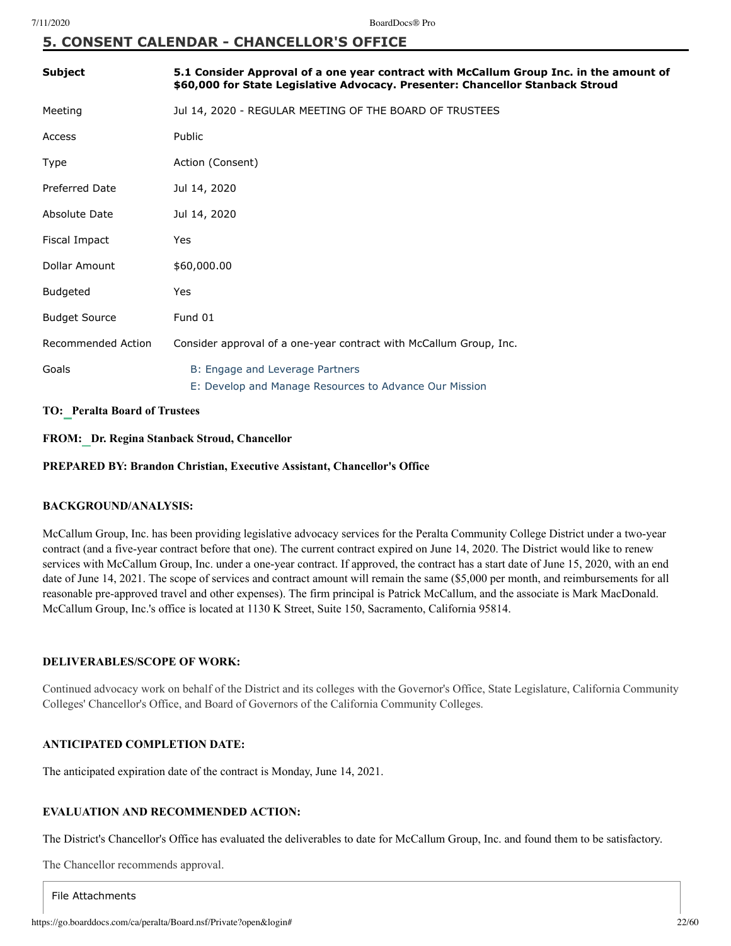# **5. CONSENT CALENDAR - CHANCELLOR'S OFFICE**

| <b>Subject</b>        | 5.1 Consider Approval of a one year contract with McCallum Group Inc. in the amount of<br>\$60,000 for State Legislative Advocacy. Presenter: Chancellor Stanback Stroud |
|-----------------------|--------------------------------------------------------------------------------------------------------------------------------------------------------------------------|
| Meeting               | Jul 14, 2020 - REGULAR MEETING OF THE BOARD OF TRUSTEES                                                                                                                  |
| Access                | Public                                                                                                                                                                   |
| Type                  | Action (Consent)                                                                                                                                                         |
| <b>Preferred Date</b> | Jul 14, 2020                                                                                                                                                             |
| Absolute Date         | Jul 14, 2020                                                                                                                                                             |
| Fiscal Impact         | Yes                                                                                                                                                                      |
| Dollar Amount         | \$60,000.00                                                                                                                                                              |
| <b>Budgeted</b>       | Yes                                                                                                                                                                      |
| <b>Budget Source</b>  | Fund 01                                                                                                                                                                  |
| Recommended Action    | Consider approval of a one-year contract with McCallum Group, Inc.                                                                                                       |
| Goals                 | B: Engage and Leverage Partners<br>E: Develop and Manage Resources to Advance Our Mission                                                                                |

### **TO: Peralta Board of Trustees**

**FROM: Dr. Regina Stanback Stroud, Chancellor**

**PREPARED BY: Brandon Christian, Executive Assistant, Chancellor's Office**

### **BACKGROUND/ANALYSIS:**

McCallum Group, Inc. has been providing legislative advocacy services for the Peralta Community College District under a two-year contract (and a five-year contract before that one). The current contract expired on June 14, 2020. The District would like to renew services with McCallum Group, Inc. under a one-year contract. If approved, the contract has a start date of June 15, 2020, with an end date of June 14, 2021. The scope of services and contract amount will remain the same (\$5,000 per month, and reimbursements for all reasonable pre-approved travel and other expenses). The firm principal is Patrick McCallum, and the associate is Mark MacDonald. McCallum Group, Inc.'s office is located at 1130 K Street, Suite 150, Sacramento, California 95814.

### **DELIVERABLES/SCOPE OF WORK:**

Continued advocacy work on behalf of the District and its colleges with the Governor's Office, State Legislature, California Community Colleges' Chancellor's Office, and Board of Governors of the California Community Colleges.

### **ANTICIPATED COMPLETION DATE:**

The anticipated expiration date of the contract is Monday, June 14, 2021.

### **EVALUATION AND RECOMMENDED ACTION:**

The District's Chancellor's Office has evaluated the deliverables to date for McCallum Group, Inc. and found them to be satisfactory.

The Chancellor recommends approval.

File Attachments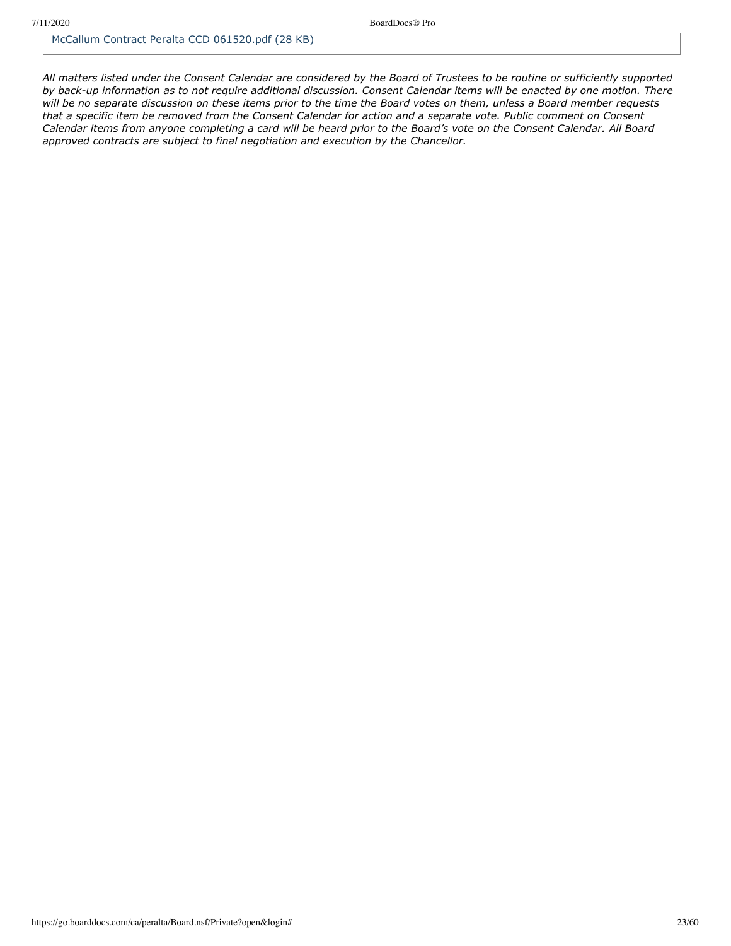*All matters listed under the Consent Calendar are considered by the Board of Trustees to be routine or sufficiently supported by back-up information as to not require additional discussion. Consent Calendar items will be enacted by one motion. There will be no separate discussion on these items prior to the time the Board votes on them, unless a Board member requests that a specific item be removed from the Consent Calendar for action and a separate vote. Public comment on Consent Calendar items from anyone completing a card will be heard prior to the Board's vote on the Consent Calendar. All Board approved contracts are subject to final negotiation and execution by the Chancellor.*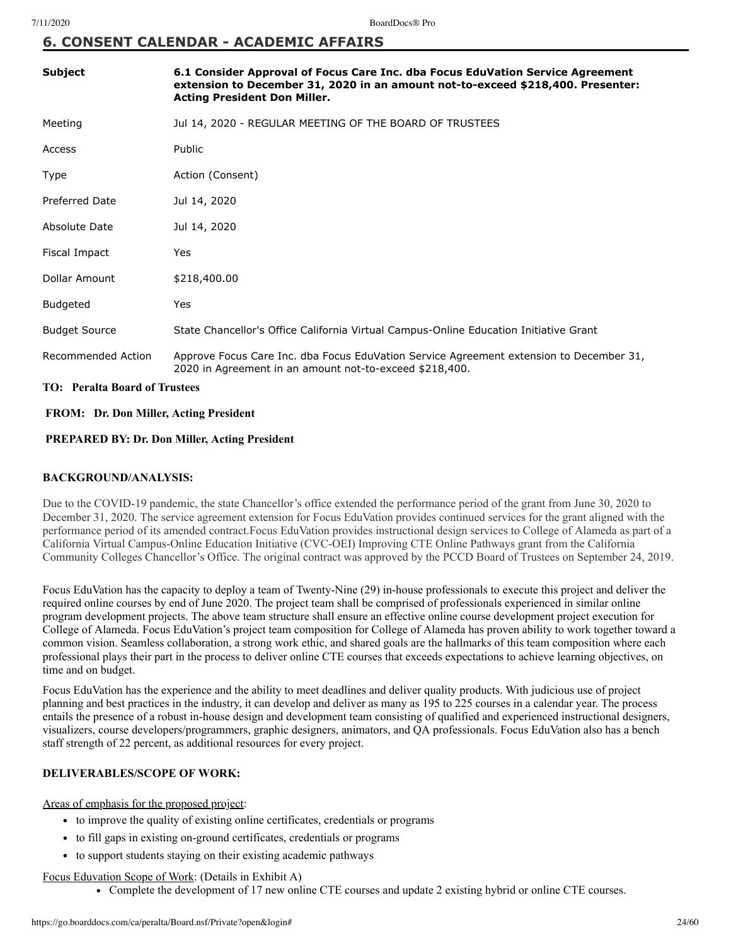# **6. CONSENT CALENDAR - ACADEMIC AFFAIRS**

| <b>Subject</b>        | 6.1 Consider Approval of Focus Care Inc. dba Focus EduVation Service Agreement<br>extension to December 31, 2020 in an amount not-to-exceed \$218,400. Presenter:<br><b>Acting President Don Miller.</b> |
|-----------------------|----------------------------------------------------------------------------------------------------------------------------------------------------------------------------------------------------------|
| Meeting               | Jul 14, 2020 - REGULAR MEETING OF THE BOARD OF TRUSTEES                                                                                                                                                  |
| Access                | Public                                                                                                                                                                                                   |
| Type                  | Action (Consent)                                                                                                                                                                                         |
| <b>Preferred Date</b> | Jul 14, 2020                                                                                                                                                                                             |
| Absolute Date         | Jul 14, 2020                                                                                                                                                                                             |
| Fiscal Impact         | Yes                                                                                                                                                                                                      |
| Dollar Amount         | \$218,400.00                                                                                                                                                                                             |
| <b>Budgeted</b>       | Yes                                                                                                                                                                                                      |
| <b>Budget Source</b>  | State Chancellor's Office California Virtual Campus-Online Education Initiative Grant                                                                                                                    |
| Recommended Action    | Approve Focus Care Inc. dba Focus EduVation Service Agreement extension to December 31,<br>2020 in Agreement in an amount not-to-exceed \$218,400.                                                       |

### **TO: Peralta Board of Trustees**

### **FROM: Dr. Don Miller, Acting President**

### **PREPARED BY: Dr. Don Miller, Acting President**

### **BACKGROUND/ANALYSIS:**

Due to the COVID-19 pandemic, the state Chancellor's office extended the performance period of the grant from June 30, 2020 to December 31, 2020. The service agreement extension for Focus EduVation provides continued services for the grant aligned with the performance period of its amended contract.Focus EduVation provides instructional design services to College of Alameda as part of a California Virtual Campus-Online Education Initiative (CVC-OEI) Improving CTE Online Pathways grant from the California Community Colleges Chancellor's Office. The original contract was approved by the PCCD Board of Trustees on September 24, 2019.

Focus EduVation has the capacity to deploy a team of Twenty-Nine (29) in-house professionals to execute this project and deliver the required online courses by end of June 2020. The project team shall be comprised of professionals experienced in similar online program development projects. The above team structure shall ensure an effective online course development project execution for College of Alameda. Focus EduVation's project team composition for College of Alameda has proven ability to work together toward a common vision. Seamless collaboration, a strong work ethic, and shared goals are the hallmarks of this team composition where each professional plays their part in the process to deliver online CTE courses that exceeds expectations to achieve learning objectives, on time and on budget.

Focus EduVation has the experience and the ability to meet deadlines and deliver quality products. With judicious use of project planning and best practices in the industry, it can develop and deliver as many as 195 to 225 courses in a calendar year. The process entails the presence of a robust in-house design and development team consisting of qualified and experienced instructional designers, visualizers, course developers/programmers, graphic designers, animators, and QA professionals. Focus EduVation also has a bench staff strength of 22 percent, as additional resources for every project.

### **DELIVERABLES/SCOPE OF WORK:**

Areas of emphasis for the proposed project:

- to improve the quality of existing online certificates, credentials or programs
- to fill gaps in existing on-ground certificates, credentials or programs
- to support students staying on their existing academic pathways

### Focus Eduvation Scope of Work: (Details in Exhibit A)

Complete the development of 17 new online CTE courses and update 2 existing hybrid or online CTE courses.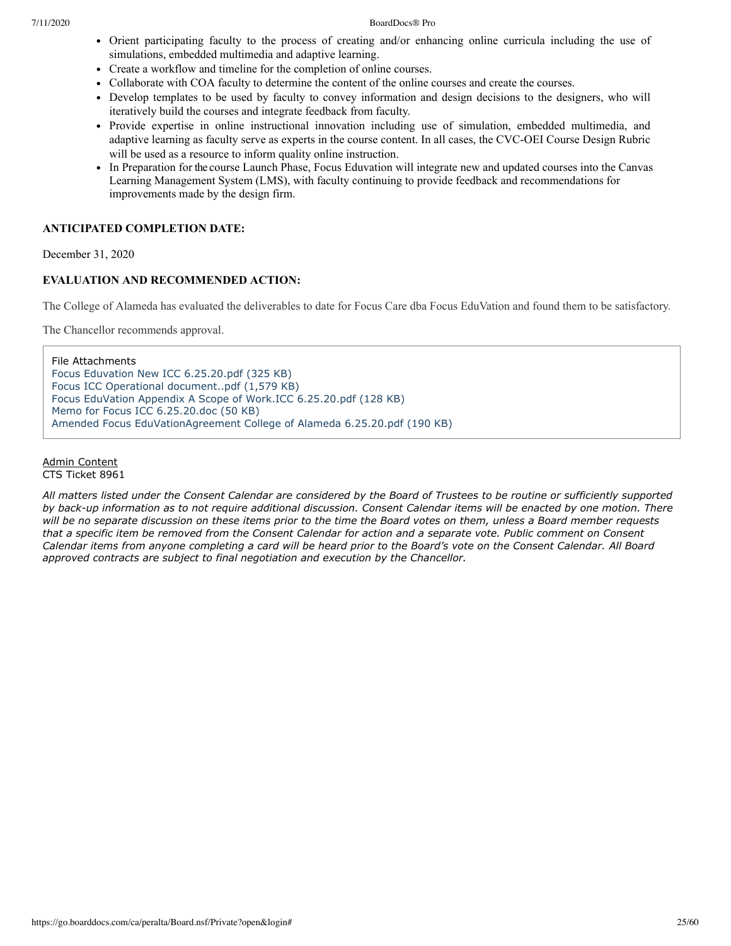### 7/11/2020 BoardDocs® Pro

- Orient participating faculty to the process of creating and/or enhancing online curricula including the use of simulations, embedded multimedia and adaptive learning.
- Create a workflow and timeline for the completion of online courses.
- Collaborate with COA faculty to determine the content of the online courses and create the courses.
- Develop templates to be used by faculty to convey information and design decisions to the designers, who will iteratively build the courses and integrate feedback from faculty.
- Provide expertise in online instructional innovation including use of simulation, embedded multimedia, and adaptive learning as faculty serve as experts in the course content. In all cases, the CVC-OEI Course Design Rubric will be used as a resource to inform quality online instruction.
- In Preparation for the course Launch Phase, Focus Eduvation will integrate new and updated courses into the Canvas Learning Management System (LMS), with faculty continuing to provide feedback and recommendations for improvements made by the design firm.

### **ANTICIPATED COMPLETION DATE:**

December 31, 2020

### **EVALUATION AND RECOMMENDED ACTION:**

The College of Alameda has evaluated the deliverables to date for Focus Care dba Focus EduVation and found them to be satisfactory.

The Chancellor recommends approval.

File Attachments [Focus Eduvation New ICC 6.25.20.pdf \(325 KB\)](https://go.boarddocs.com/ca/peralta/Board.nsf/files/BQWVFW809837/$file/Focus%20Eduvation%20New%20ICC%206.25.20.pdf) [Focus ICC Operational document..pdf \(1,579 KB\)](https://go.boarddocs.com/ca/peralta/Board.nsf/files/BQWVG3809D85/$file/Focus%20ICC%20Operational%20document..pdf) [Focus EduVation Appendix A Scope of Work.ICC 6.25.20.pdf \(128 KB\)](https://go.boarddocs.com/ca/peralta/Board.nsf/files/BQWVG680A08F/$file/Focus%20EduVation%20Appendix%20A%20Scope%20of%20Work.ICC%206.25.20.pdf) [Memo for Focus ICC 6.25.20.doc \(50 KB\)](https://go.boarddocs.com/ca/peralta/Board.nsf/files/BQWVJ680EB85/$file/Memo%20for%20Focus%20ICC%206.25.20.doc) [Amended Focus EduVationAgreement College of Alameda 6.25.20.pdf \(190 KB\)](https://go.boarddocs.com/ca/peralta/Board.nsf/files/BQX2VZ0417D4/$file/Amended%20Focus%20EduVationAgreement%20College%20of%20Alameda%206.25.20.pdf)

### Admin Content

CTS Ticket 8961

*All matters listed under the Consent Calendar are considered by the Board of Trustees to be routine or sufficiently supported by back-up information as to not require additional discussion. Consent Calendar items will be enacted by one motion. There will be no separate discussion on these items prior to the time the Board votes on them, unless a Board member requests that a specific item be removed from the Consent Calendar for action and a separate vote. Public comment on Consent Calendar items from anyone completing a card will be heard prior to the Board's vote on the Consent Calendar. All Board approved contracts are subject to final negotiation and execution by the Chancellor.*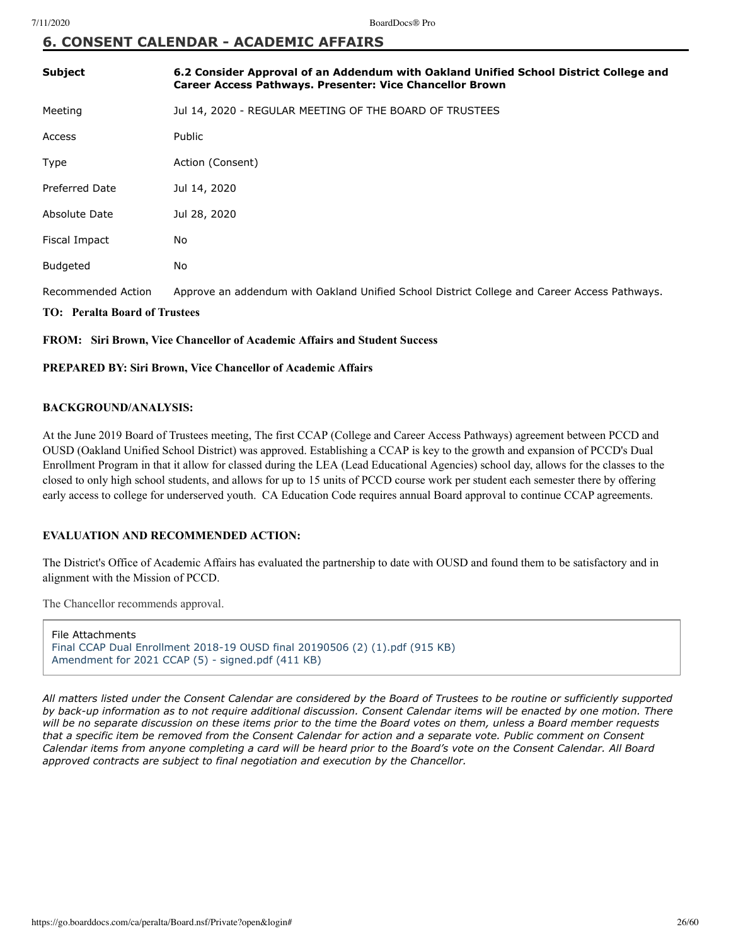# **6. CONSENT CALENDAR - ACADEMIC AFFAIRS**

| <b>Subject</b>        | 6.2 Consider Approval of an Addendum with Oakland Unified School District College and<br>Career Access Pathways. Presenter: Vice Chancellor Brown |
|-----------------------|---------------------------------------------------------------------------------------------------------------------------------------------------|
| Meeting               | Jul 14, 2020 - REGULAR MEETING OF THE BOARD OF TRUSTEES                                                                                           |
| Access                | <b>Public</b>                                                                                                                                     |
| Type                  | Action (Consent)                                                                                                                                  |
| <b>Preferred Date</b> | Jul 14, 2020                                                                                                                                      |
| Absolute Date         | Jul 28, 2020                                                                                                                                      |
| Fiscal Impact         | No                                                                                                                                                |
| Budgeted              | No                                                                                                                                                |
| Recommended Action    | Approve an addendum with Oakland Unified School District College and Career Access Pathways.                                                      |

### **TO: Peralta Board of Trustees**

**FROM: Siri Brown, Vice Chancellor of Academic Affairs and Student Success**

### **PREPARED BY: Siri Brown, Vice Chancellor of Academic Affairs**

### **BACKGROUND/ANALYSIS:**

At the June 2019 Board of Trustees meeting, The first CCAP (College and Career Access Pathways) agreement between PCCD and OUSD (Oakland Unified School District) was approved. Establishing a CCAP is key to the growth and expansion of PCCD's Dual Enrollment Program in that it allow for classed during the LEA (Lead Educational Agencies) school day, allows for the classes to the closed to only high school students, and allows for up to 15 units of PCCD course work per student each semester there by offering early access to college for underserved youth. CA Education Code requires annual Board approval to continue CCAP agreements.

### **EVALUATION AND RECOMMENDED ACTION:**

The District's Office of Academic Affairs has evaluated the partnership to date with OUSD and found them to be satisfactory and in alignment with the Mission of PCCD.

The Chancellor recommends approval.

File Attachments [Final CCAP Dual Enrollment 2018-19 OUSD final 20190506 \(2\) \(1\).pdf \(915 KB\)](https://go.boarddocs.com/ca/peralta/Board.nsf/files/BQWV257E930C/$file/Final%20CCAP%20Dual%20Enrollment%202018-19%20OUSD%20final%2020190506%20(2)%20(1).pdf) [Amendment for 2021 CCAP \(5\) - signed.pdf \(411 KB\)](https://go.boarddocs.com/ca/peralta/Board.nsf/files/BR2UHW7C3229/$file/Amendment%20for%202021%20CCAP%20(5)%20-%20signed.pdf)

*All matters listed under the Consent Calendar are considered by the Board of Trustees to be routine or sufficiently supported by back-up information as to not require additional discussion. Consent Calendar items will be enacted by one motion. There will be no separate discussion on these items prior to the time the Board votes on them, unless a Board member requests that a specific item be removed from the Consent Calendar for action and a separate vote. Public comment on Consent Calendar items from anyone completing a card will be heard prior to the Board's vote on the Consent Calendar. All Board approved contracts are subject to final negotiation and execution by the Chancellor.*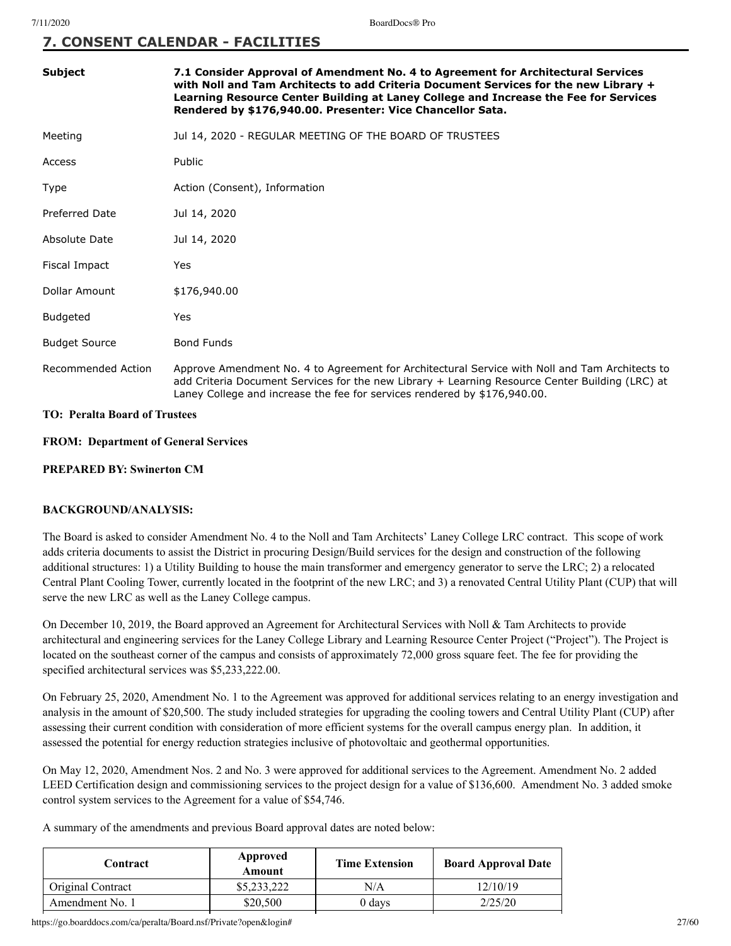## **7. CONSENT CALENDAR - FACILITIES**

| <b>Subject</b>        | 7.1 Consider Approval of Amendment No. 4 to Agreement for Architectural Services<br>with Noll and Tam Architects to add Criteria Document Services for the new Library +<br>Learning Resource Center Building at Laney College and Increase the Fee for Services<br>Rendered by \$176,940.00. Presenter: Vice Chancellor Sata. |
|-----------------------|--------------------------------------------------------------------------------------------------------------------------------------------------------------------------------------------------------------------------------------------------------------------------------------------------------------------------------|
| Meeting               | Jul 14, 2020 - REGULAR MEETING OF THE BOARD OF TRUSTEES                                                                                                                                                                                                                                                                        |
| Access                | Public                                                                                                                                                                                                                                                                                                                         |
| Type                  | Action (Consent), Information                                                                                                                                                                                                                                                                                                  |
| <b>Preferred Date</b> | Jul 14, 2020                                                                                                                                                                                                                                                                                                                   |
| Absolute Date         | Jul 14, 2020                                                                                                                                                                                                                                                                                                                   |
| Fiscal Impact         | Yes                                                                                                                                                                                                                                                                                                                            |
| Dollar Amount         | \$176,940.00                                                                                                                                                                                                                                                                                                                   |
| <b>Budgeted</b>       | Yes                                                                                                                                                                                                                                                                                                                            |
| <b>Budget Source</b>  | <b>Bond Funds</b>                                                                                                                                                                                                                                                                                                              |
| Recommended Action    | Approve Amendment No. 4 to Agreement for Architectural Service with Noll and Tam Architects to<br>add Criteria Document Services for the new Library + Learning Resource Center Building (LRC) at<br>Laney College and increase the fee for services rendered by \$176,940.00.                                                 |

### **TO: Peralta Board of Trustees**

### **FROM: Department of General Services**

### **PREPARED BY: Swinerton CM**

### **BACKGROUND/ANALYSIS:**

The Board is asked to consider Amendment No. 4 to the Noll and Tam Architects' Laney College LRC contract. This scope of work adds criteria documents to assist the District in procuring Design/Build services for the design and construction of the following additional structures: 1) a Utility Building to house the main transformer and emergency generator to serve the LRC; 2) a relocated Central Plant Cooling Tower, currently located in the footprint of the new LRC; and 3) a renovated Central Utility Plant (CUP) that will serve the new LRC as well as the Laney College campus.

On December 10, 2019, the Board approved an Agreement for Architectural Services with Noll & Tam Architects to provide architectural and engineering services for the Laney College Library and Learning Resource Center Project ("Project"). The Project is located on the southeast corner of the campus and consists of approximately 72,000 gross square feet. The fee for providing the specified architectural services was \$5,233,222.00.

On February 25, 2020, Amendment No. 1 to the Agreement was approved for additional services relating to an energy investigation and analysis in the amount of \$20,500. The study included strategies for upgrading the cooling towers and Central Utility Plant (CUP) after assessing their current condition with consideration of more efficient systems for the overall campus energy plan. In addition, it assessed the potential for energy reduction strategies inclusive of photovoltaic and geothermal opportunities.

On May 12, 2020, Amendment Nos. 2 and No. 3 were approved for additional services to the Agreement. Amendment No. 2 added LEED Certification design and commissioning services to the project design for a value of \$136,600. Amendment No. 3 added smoke control system services to the Agreement for a value of \$54,746.

A summary of the amendments and previous Board approval dates are noted below:

| Contract          | Approved<br>Amount | <b>Time Extension</b> | <b>Board Approval Date</b> |
|-------------------|--------------------|-----------------------|----------------------------|
| Original Contract | \$5,233,222        | N/A                   | 12/10/19                   |
| Amendment No. 1   | \$20,500           | 0 davs                | 2/25/20                    |
|                   |                    |                       |                            |

https://go.boarddocs.com/ca/peralta/Board.nsf/Private?open&login# 27/60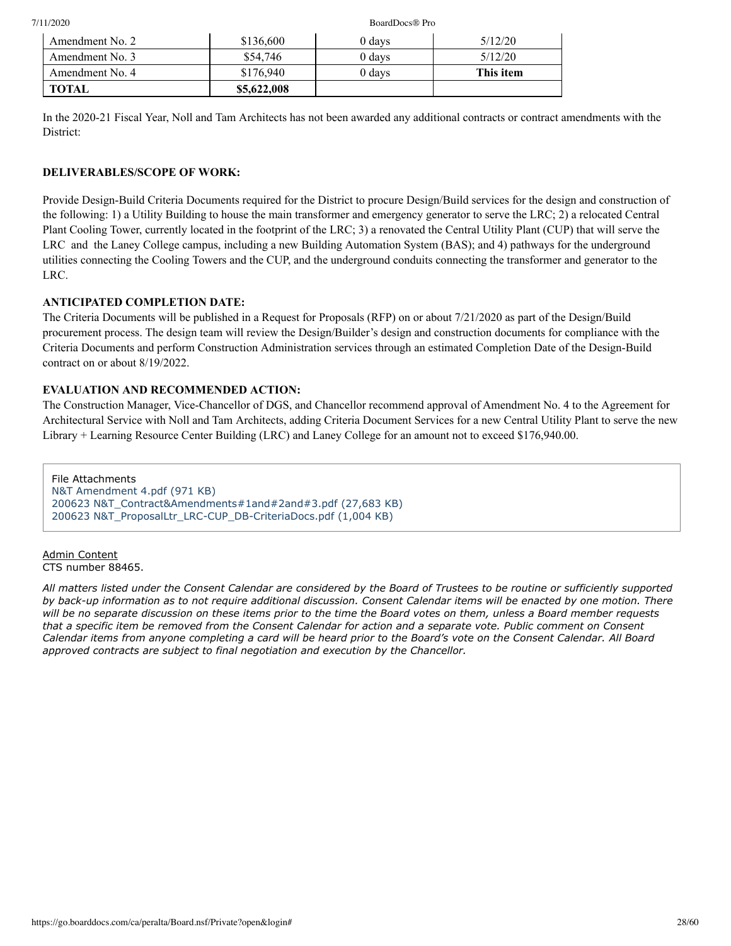### 7/11/2020 BoardDocs® Pro

| Amendment No. 2 | \$136,600   | 0 days | 5/12/20   |
|-----------------|-------------|--------|-----------|
| Amendment No. 3 | \$54,746    | 0 days | 5/12/20   |
| Amendment No. 4 | \$176,940   | 0 days | This item |
| <b>TOTAL</b>    | \$5,622,008 |        |           |

In the 2020-21 Fiscal Year, Noll and Tam Architects has not been awarded any additional contracts or contract amendments with the District:

# **DELIVERABLES/SCOPE OF WORK:**

Provide Design-Build Criteria Documents required for the District to procure Design/Build services for the design and construction of the following: 1) a Utility Building to house the main transformer and emergency generator to serve the LRC; 2) a relocated Central Plant Cooling Tower, currently located in the footprint of the LRC; 3) a renovated the Central Utility Plant (CUP) that will serve the LRC and the Laney College campus, including a new Building Automation System (BAS); and 4) pathways for the underground utilities connecting the Cooling Towers and the CUP, and the underground conduits connecting the transformer and generator to the LRC.

# **ANTICIPATED COMPLETION DATE:**

The Criteria Documents will be published in a Request for Proposals (RFP) on or about 7/21/2020 as part of the Design/Build procurement process. The design team will review the Design/Builder's design and construction documents for compliance with the Criteria Documents and perform Construction Administration services through an estimated Completion Date of the Design-Build contract on or about 8/19/2022.

# **EVALUATION AND RECOMMENDED ACTION:**

The Construction Manager, Vice-Chancellor of DGS, and Chancellor recommend approval of Amendment No. 4 to the Agreement for Architectural Service with Noll and Tam Architects, adding Criteria Document Services for a new Central Utility Plant to serve the new Library + Learning Resource Center Building (LRC) and Laney College for an amount not to exceed \$176,940.00.

File Attachments [N&T Amendment 4.pdf \(971 KB\)](https://go.boarddocs.com/ca/peralta/Board.nsf/files/BQPMTE5C6470/$file/N%26T%20Amendment%204.pdf) [200623 N&T\\_Contract&Amendments#1and#2and#3.pdf \(27,683 KB\)](https://go.boarddocs.com/ca/peralta/Board.nsf/files/BQPMUA5C8183/$file/200623%20N%26T_Contract%26Amendments%231and%232and%233.pdf) [200623 N&T\\_ProposalLtr\\_LRC-CUP\\_DB-CriteriaDocs.pdf \(1,004 KB\)](https://go.boarddocs.com/ca/peralta/Board.nsf/files/BQPMUF5C977E/$file/200623%20N%26T_ProposalLtr_LRC-CUP_DB-CriteriaDocs.pdf)

Admin Content CTS number 88465.

*All matters listed under the Consent Calendar are considered by the Board of Trustees to be routine or sufficiently supported by back-up information as to not require additional discussion. Consent Calendar items will be enacted by one motion. There will be no separate discussion on these items prior to the time the Board votes on them, unless a Board member requests that a specific item be removed from the Consent Calendar for action and a separate vote. Public comment on Consent Calendar items from anyone completing a card will be heard prior to the Board's vote on the Consent Calendar. All Board approved contracts are subject to final negotiation and execution by the Chancellor.*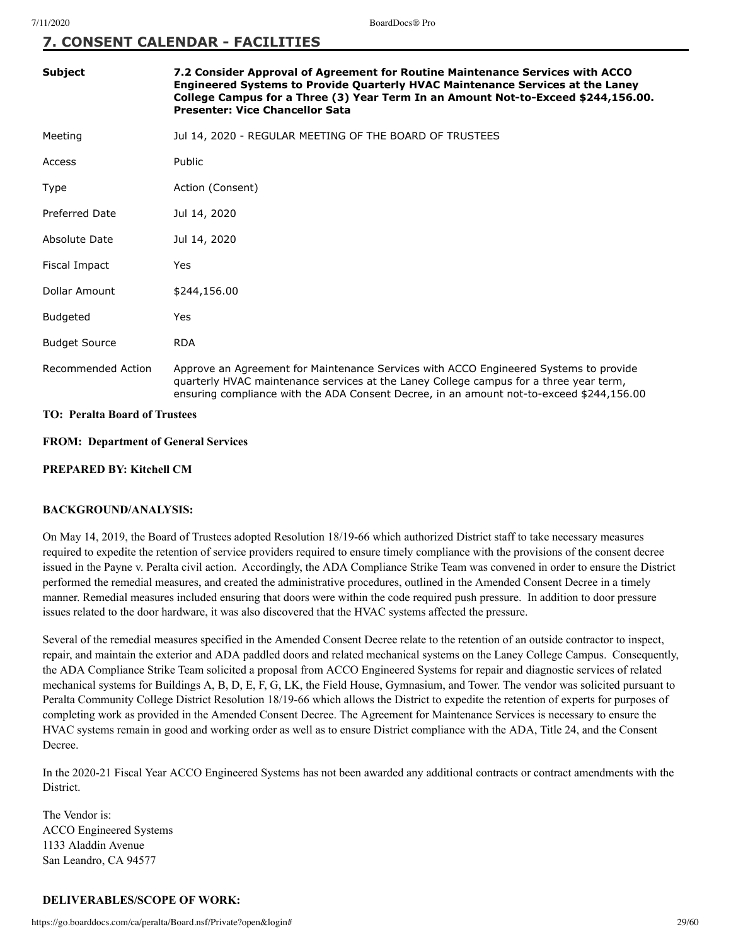## **7. CONSENT CALENDAR - FACILITIES**

| <b>Subject</b>                  | 7.2 Consider Approval of Agreement for Routine Maintenance Services with ACCO<br>Engineered Systems to Provide Quarterly HVAC Maintenance Services at the Laney<br>College Campus for a Three (3) Year Term In an Amount Not-to-Exceed \$244,156.00.<br><b>Presenter: Vice Chancellor Sata</b> |
|---------------------------------|------------------------------------------------------------------------------------------------------------------------------------------------------------------------------------------------------------------------------------------------------------------------------------------------|
| Meeting                         | Jul 14, 2020 - REGULAR MEETING OF THE BOARD OF TRUSTEES                                                                                                                                                                                                                                        |
| Access                          | Public                                                                                                                                                                                                                                                                                         |
| Type                            | Action (Consent)                                                                                                                                                                                                                                                                               |
| <b>Preferred Date</b>           | Jul 14, 2020                                                                                                                                                                                                                                                                                   |
| Absolute Date                   | Jul 14, 2020                                                                                                                                                                                                                                                                                   |
| Fiscal Impact                   | Yes                                                                                                                                                                                                                                                                                            |
| Dollar Amount                   | \$244,156.00                                                                                                                                                                                                                                                                                   |
| <b>Budgeted</b>                 | Yes                                                                                                                                                                                                                                                                                            |
| <b>Budget Source</b>            | <b>RDA</b>                                                                                                                                                                                                                                                                                     |
| Recommended Action              | Approve an Agreement for Maintenance Services with ACCO Engineered Systems to provide<br>quarterly HVAC maintenance services at the Laney College campus for a three year term,<br>ensuring compliance with the ADA Consent Decree, in an amount not-to-exceed \$244,156.00                    |
| TO, Dovelte Deavel of Turratega |                                                                                                                                                                                                                                                                                                |

### **TO: Peralta Board of Trustees**

### **FROM: Department of General Services**

### **PREPARED BY: Kitchell CM**

### **BACKGROUND/ANALYSIS:**

On May 14, 2019, the Board of Trustees adopted Resolution 18/19-66 which authorized District staff to take necessary measures required to expedite the retention of service providers required to ensure timely compliance with the provisions of the consent decree issued in the Payne v. Peralta civil action. Accordingly, the ADA Compliance Strike Team was convened in order to ensure the District performed the remedial measures, and created the administrative procedures, outlined in the Amended Consent Decree in a timely manner. Remedial measures included ensuring that doors were within the code required push pressure. In addition to door pressure issues related to the door hardware, it was also discovered that the HVAC systems affected the pressure.

Several of the remedial measures specified in the Amended Consent Decree relate to the retention of an outside contractor to inspect, repair, and maintain the exterior and ADA paddled doors and related mechanical systems on the Laney College Campus. Consequently, the ADA Compliance Strike Team solicited a proposal from ACCO Engineered Systems for repair and diagnostic services of related mechanical systems for Buildings A, B, D, E, F, G, LK, the Field House, Gymnasium, and Tower. The vendor was solicited pursuant to Peralta Community College District Resolution 18/19-66 which allows the District to expedite the retention of experts for purposes of completing work as provided in the Amended Consent Decree. The Agreement for Maintenance Services is necessary to ensure the HVAC systems remain in good and working order as well as to ensure District compliance with the ADA, Title 24, and the Consent Decree.

In the 2020-21 Fiscal Year ACCO Engineered Systems has not been awarded any additional contracts or contract amendments with the District.

The Vendor is: ACCO Engineered Systems 1133 Aladdin Avenue San Leandro, CA 94577

### **DELIVERABLES/SCOPE OF WORK:**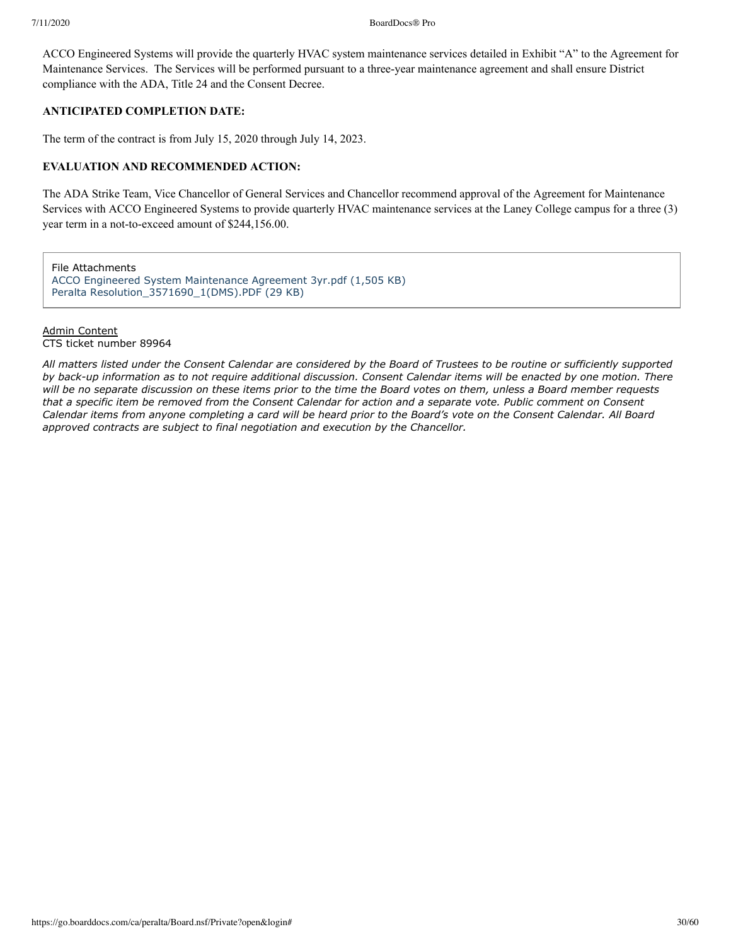ACCO Engineered Systems will provide the quarterly HVAC system maintenance services detailed in Exhibit "A" to the Agreement for Maintenance Services. The Services will be performed pursuant to a three-year maintenance agreement and shall ensure District compliance with the ADA, Title 24 and the Consent Decree.

### **ANTICIPATED COMPLETION DATE:**

The term of the contract is from July 15, 2020 through July 14, 2023.

### **EVALUATION AND RECOMMENDED ACTION:**

The ADA Strike Team, Vice Chancellor of General Services and Chancellor recommend approval of the Agreement for Maintenance Services with ACCO Engineered Systems to provide quarterly HVAC maintenance services at the Laney College campus for a three (3) year term in a not-to-exceed amount of \$244,156.00.

File Attachments [ACCO Engineered System Maintenance Agreement 3yr.pdf \(1,505 KB\)](https://go.boarddocs.com/ca/peralta/Board.nsf/files/BR2VE88058AD/$file/ACCO%20Engineered%20System%20Maintenance%20Agreement%203yr.pdf) Peralta Resolution 3571690 1(DMS).PDF (29 KB)

### Admin Content CTS ticket number 89964

*All matters listed under the Consent Calendar are considered by the Board of Trustees to be routine or sufficiently supported by back-up information as to not require additional discussion. Consent Calendar items will be enacted by one motion. There will be no separate discussion on these items prior to the time the Board votes on them, unless a Board member requests that a specific item be removed from the Consent Calendar for action and a separate vote. Public comment on Consent Calendar items from anyone completing a card will be heard prior to the Board's vote on the Consent Calendar. All Board approved contracts are subject to final negotiation and execution by the Chancellor.*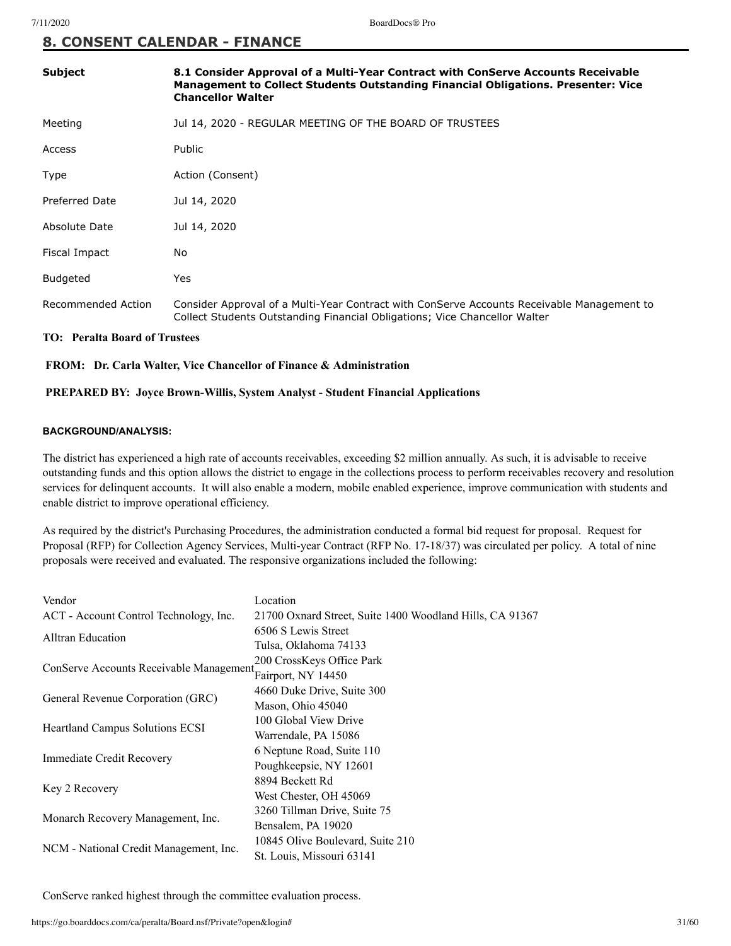# **8. CONSENT CALENDAR - FINANCE**

| <b>Subject</b>     | 8.1 Consider Approval of a Multi-Year Contract with ConServe Accounts Receivable<br>Management to Collect Students Outstanding Financial Obligations. Presenter: Vice<br><b>Chancellor Walter</b> |
|--------------------|---------------------------------------------------------------------------------------------------------------------------------------------------------------------------------------------------|
| Meeting            | Jul 14, 2020 - REGULAR MEETING OF THE BOARD OF TRUSTEES                                                                                                                                           |
| Access             | Public                                                                                                                                                                                            |
| Type               | Action (Consent)                                                                                                                                                                                  |
| Preferred Date     | Jul 14, 2020                                                                                                                                                                                      |
| Absolute Date      | Jul 14, 2020                                                                                                                                                                                      |
| Fiscal Impact      | No.                                                                                                                                                                                               |
| <b>Budgeted</b>    | Yes                                                                                                                                                                                               |
| Recommended Action | Consider Approval of a Multi-Year Contract with ConServe Accounts Receivable Management to<br>Collect Students Outstanding Financial Obligations; Vice Chancellor Walter                          |

### **TO: Peralta Board of Trustees**

### **FROM: Dr. Carla Walter, Vice Chancellor of Finance & Administration**

### **PREPARED BY: Joyce Brown-Willis, System Analyst - Student Financial Applications**

### **BACKGROUND/ANALYSIS:**

The district has experienced a high rate of accounts receivables, exceeding \$2 million annually. As such, it is advisable to receive outstanding funds and this option allows the district to engage in the collections process to perform receivables recovery and resolution services for delinquent accounts. It will also enable a modern, mobile enabled experience, improve communication with students and enable district to improve operational efficiency.

As required by the district's Purchasing Procedures, the administration conducted a formal bid request for proposal. Request for Proposal (RFP) for Collection Agency Services, Multi-year Contract (RFP No. 17-18/37) was circulated per policy. A total of nine proposals were received and evaluated. The responsive organizations included the following:

| Vendor                                  | Location                                                 |  |
|-----------------------------------------|----------------------------------------------------------|--|
| ACT - Account Control Technology, Inc.  | 21700 Oxnard Street, Suite 1400 Woodland Hills, CA 91367 |  |
| <b>Alltran Education</b>                | 6506 S Lewis Street                                      |  |
|                                         | Tulsa, Oklahoma 74133                                    |  |
| ConServe Accounts Receivable Management | 200 CrossKeys Office Park                                |  |
|                                         | Fairport, NY 14450                                       |  |
| General Revenue Corporation (GRC)       | 4660 Duke Drive, Suite 300                               |  |
|                                         | Mason, Ohio 45040                                        |  |
|                                         | 100 Global View Drive                                    |  |
| <b>Heartland Campus Solutions ECSI</b>  | Warrendale, PA 15086                                     |  |
| Immediate Credit Recovery               | 6 Neptune Road, Suite 110                                |  |
|                                         | Poughkeepsie, NY 12601                                   |  |
| Key 2 Recovery                          | 8894 Beckett Rd                                          |  |
|                                         | West Chester, OH 45069                                   |  |
| Monarch Recovery Management, Inc.       | 3260 Tillman Drive, Suite 75                             |  |
|                                         | Bensalem, PA 19020                                       |  |
|                                         | 10845 Olive Boulevard, Suite 210                         |  |
| NCM - National Credit Management, Inc.  | St. Louis, Missouri 63141                                |  |
|                                         |                                                          |  |

ConServe ranked highest through the committee evaluation process.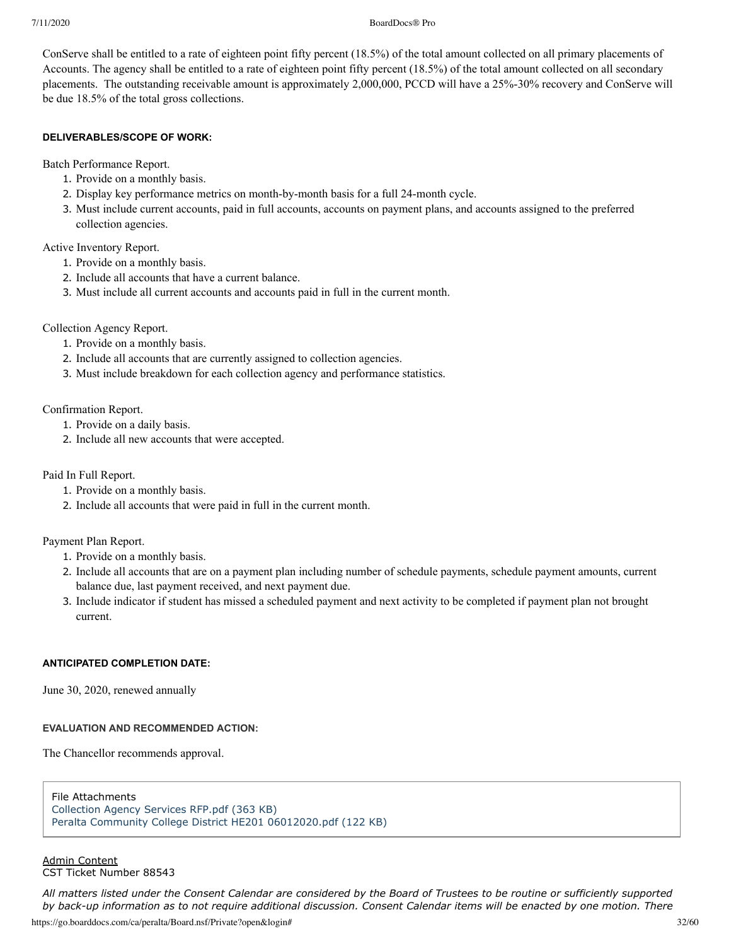7/11/2020 BoardDocs® Pro

ConServe shall be entitled to a rate of eighteen point fifty percent (18.5%) of the total amount collected on all primary placements of Accounts. The agency shall be entitled to a rate of eighteen point fifty percent (18.5%) of the total amount collected on all secondary placements. The outstanding receivable amount is approximately 2,000,000, PCCD will have a 25%-30% recovery and ConServe will be due 18.5% of the total gross collections.

### **DELIVERABLES/SCOPE OF WORK:**

Batch Performance Report.

- 1. Provide on a monthly basis.
- 2. Display key performance metrics on month-by-month basis for a full 24-month cycle.
- 3. Must include current accounts, paid in full accounts, accounts on payment plans, and accounts assigned to the preferred collection agencies.

Active Inventory Report.

- 1. Provide on a monthly basis.
- 2. Include all accounts that have a current balance.
- 3. Must include all current accounts and accounts paid in full in the current month.

### Collection Agency Report.

- 1. Provide on a monthly basis.
- 2. Include all accounts that are currently assigned to collection agencies.
- 3. Must include breakdown for each collection agency and performance statistics.

Confirmation Report.

- 1. Provide on a daily basis.
- 2. Include all new accounts that were accepted.

Paid In Full Report.

- 1. Provide on a monthly basis.
- 2. Include all accounts that were paid in full in the current month.

Payment Plan Report.

- 1. Provide on a monthly basis.
- 2. Include all accounts that are on a payment plan including number of schedule payments, schedule payment amounts, current balance due, last payment received, and next payment due.
- 3. Include indicator if student has missed a scheduled payment and next activity to be completed if payment plan not brought current.

### **ANTICIPATED COMPLETION DATE:**

June 30, 2020, renewed annually

### **EVALUATION AND RECOMMENDED ACTION:**

The Chancellor recommends approval.

File Attachments [Collection Agency Services RFP.pdf \(363 KB\)](https://go.boarddocs.com/ca/peralta/Board.nsf/files/BQWHGD44E805/$file/Collection%20Agency%20Services%20RFP.pdf) [Peralta Community College District HE201 06012020.pdf \(122 KB\)](https://go.boarddocs.com/ca/peralta/Board.nsf/files/BQWHGF44E829/$file/Peralta%20Community%20College%20District%20HE201%2006012020.pdf)

Admin Content CST Ticket Number 88543

https://go.boarddocs.com/ca/peralta/Board.nsf/Private?open&login# 32/60 *All matters listed under the Consent Calendar are considered by the Board of Trustees to be routine or sufficiently supported by back-up information as to not require additional discussion. Consent Calendar items will be enacted by one motion. There*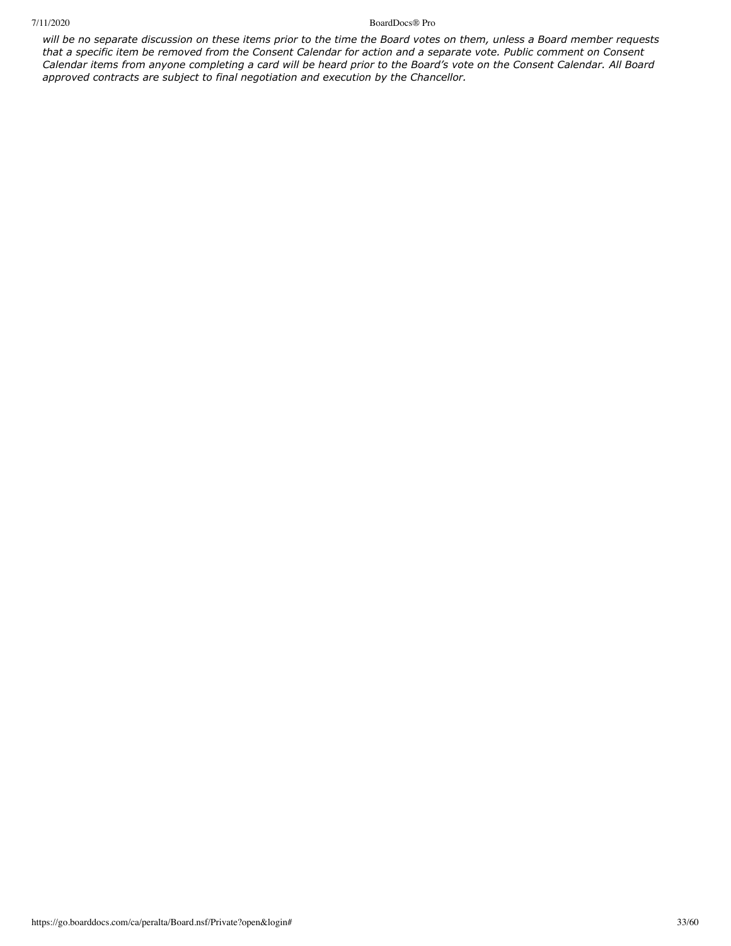### 7/11/2020 BoardDocs® Pro

*will be no separate discussion on these items prior to the time the Board votes on them, unless a Board member requests that a specific item be removed from the Consent Calendar for action and a separate vote. Public comment on Consent Calendar items from anyone completing a card will be heard prior to the Board's vote on the Consent Calendar. All Board approved contracts are subject to final negotiation and execution by the Chancellor.*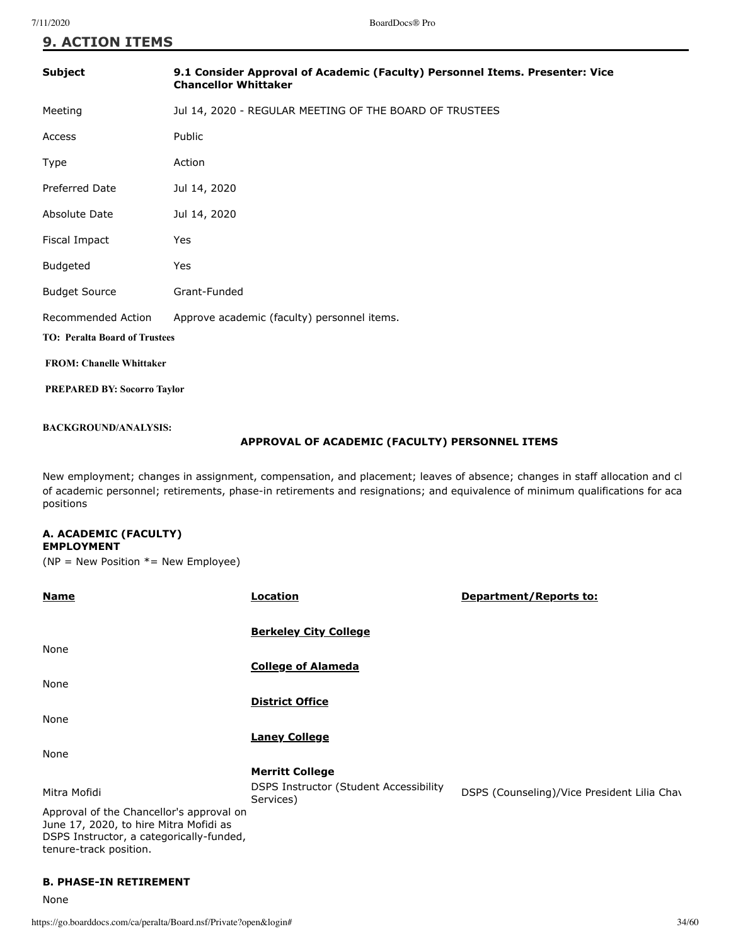| 9.1 Consider Approval of Academic (Faculty) Personnel Items. Presenter: Vice<br><b>Chancellor Whittaker</b> |  |  |
|-------------------------------------------------------------------------------------------------------------|--|--|
| Jul 14, 2020 - REGULAR MEETING OF THE BOARD OF TRUSTEES                                                     |  |  |
| Public                                                                                                      |  |  |
| Action                                                                                                      |  |  |
| Jul 14, 2020                                                                                                |  |  |
| Jul 14, 2020                                                                                                |  |  |
| Yes                                                                                                         |  |  |
| Yes                                                                                                         |  |  |
| Grant-Funded                                                                                                |  |  |
| Approve academic (faculty) personnel items.                                                                 |  |  |
| <b>TO: Peralta Board of Trustees</b>                                                                        |  |  |
| <b>FROM: Chanelle Whittaker</b>                                                                             |  |  |
| <b>PREPARED BY: Socorro Taylor</b>                                                                          |  |  |
|                                                                                                             |  |  |

### **BACKGROUND/ANALYSIS:**

### **APPROVAL OF ACADEMIC (FACULTY) PERSONNEL ITEMS**

New employment; changes in assignment, compensation, and placement; leaves of absence; changes in staff allocation and cl of academic personnel; retirements, phase-in retirements and resignations; and equivalence of minimum qualifications for aca positions

### **A. ACADEMIC (FACULTY) EMPLOYMENT**

( $NP = New Position * = New Empire)$ )

| <b>Name</b>                                                                                                                                              | Location                                                    | Department/Reports to:                      |
|----------------------------------------------------------------------------------------------------------------------------------------------------------|-------------------------------------------------------------|---------------------------------------------|
|                                                                                                                                                          | <b>Berkeley City College</b>                                |                                             |
| None                                                                                                                                                     |                                                             |                                             |
|                                                                                                                                                          | <b>College of Alameda</b>                                   |                                             |
| None                                                                                                                                                     |                                                             |                                             |
|                                                                                                                                                          | <b>District Office</b>                                      |                                             |
| None                                                                                                                                                     |                                                             |                                             |
|                                                                                                                                                          | <b>Laney College</b>                                        |                                             |
| None                                                                                                                                                     |                                                             |                                             |
|                                                                                                                                                          | <b>Merritt College</b>                                      |                                             |
| Mitra Mofidi                                                                                                                                             | <b>DSPS Instructor (Student Accessibility)</b><br>Services) | DSPS (Counseling)/Vice President Lilia Chav |
| Approval of the Chancellor's approval on<br>June 17, 2020, to hire Mitra Mofidi as<br>DSPS Instructor, a categorically-funded,<br>tenure-track position. |                                                             |                                             |

### **B. PHASE-IN RETIREMENT**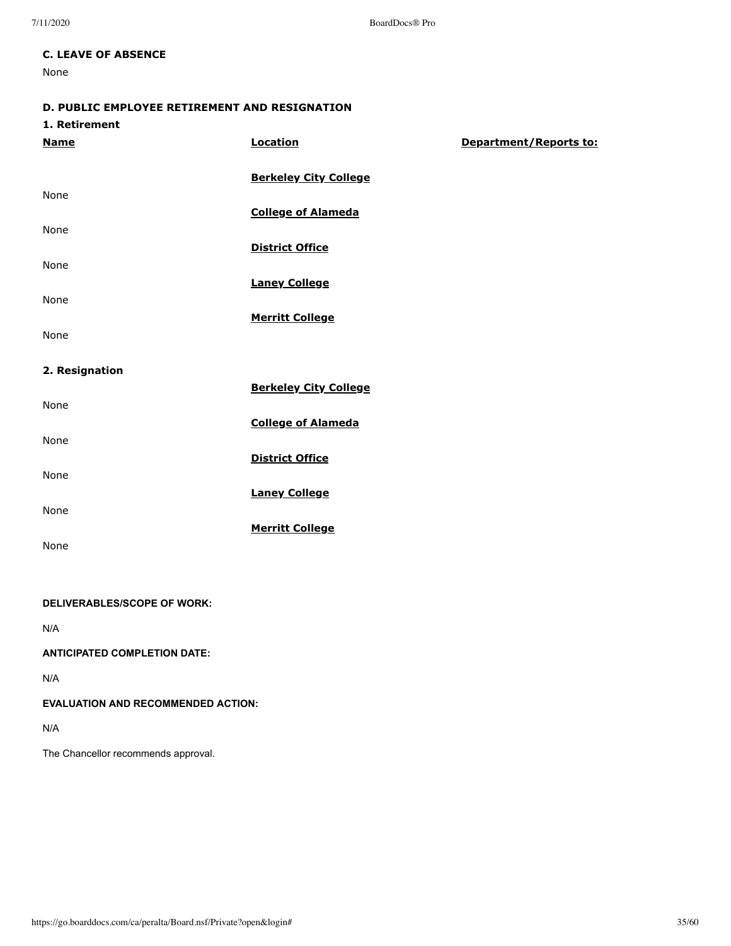7/11/2020 BoardDocs® Pro

### **C. LEAVE OF ABSENCE**

None

# **D. PUBLIC EMPLOYEE RETIREMENT AND RESIGNATION**

| 1. Retirement |
|---------------|
|               |

| <b>Name</b>    | <b>Location</b>              | Department/Reports to: |
|----------------|------------------------------|------------------------|
|                | <b>Berkeley City College</b> |                        |
| None           |                              |                        |
|                | <b>College of Alameda</b>    |                        |
| None           | <b>District Office</b>       |                        |
| None           |                              |                        |
|                | <b>Laney College</b>         |                        |
| None           |                              |                        |
| None           | <b>Merritt College</b>       |                        |
| 2. Resignation |                              |                        |
|                | <b>Berkeley City College</b> |                        |
| None           |                              |                        |
| None           | <b>College of Alameda</b>    |                        |
|                | <b>District Office</b>       |                        |

**Merritt College**

None **Laney College**

None

None

### **DELIVERABLES/SCOPE OF WORK:**

N/A

### **ANTICIPATED COMPLETION DATE:**

N/A

### **EVALUATION AND RECOMMENDED ACTION:**

N/A

The Chancellor recommends approval.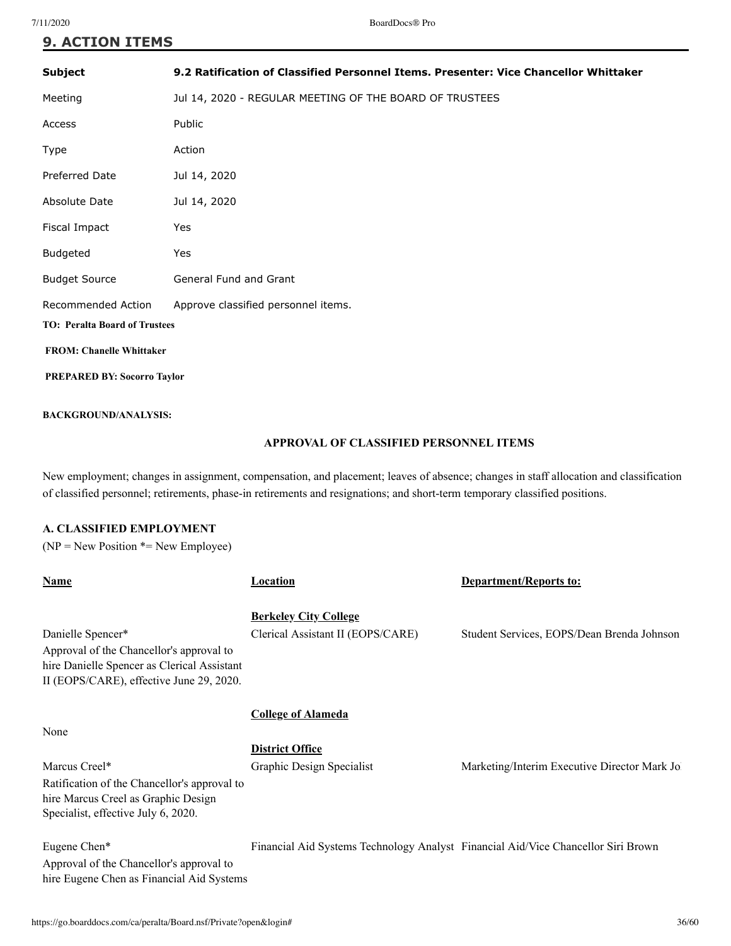| <b>9. ACTION ITEMS</b>               |                                                                                      |  |
|--------------------------------------|--------------------------------------------------------------------------------------|--|
| <b>Subject</b>                       | 9.2 Ratification of Classified Personnel Items. Presenter: Vice Chancellor Whittaker |  |
| Meeting                              | Jul 14, 2020 - REGULAR MEETING OF THE BOARD OF TRUSTEES                              |  |
| Access                               | Public                                                                               |  |
| Type                                 | Action                                                                               |  |
| <b>Preferred Date</b>                | Jul 14, 2020                                                                         |  |
| Absolute Date                        | Jul 14, 2020                                                                         |  |
| Fiscal Impact                        | Yes                                                                                  |  |
| Budgeted                             | Yes                                                                                  |  |
| <b>Budget Source</b>                 | General Fund and Grant                                                               |  |
| <b>Recommended Action</b>            | Approve classified personnel items.                                                  |  |
| <b>TO: Peralta Board of Trustees</b> |                                                                                      |  |
| <b>FROM: Chanelle Whittaker</b>      |                                                                                      |  |
| <b>PREPARED BY: Socorro Taylor</b>   |                                                                                      |  |
| <b>BACKGROUND/ANALYSIS:</b>          |                                                                                      |  |

### **APPROVAL OF CLASSIFIED PERSONNEL ITEMS**

New employment; changes in assignment, compensation, and placement; leaves of absence; changes in staff allocation and classification of classified personnel; retirements, phase-in retirements and resignations; and short-term temporary classified positions.

### **A. CLASSIFIED EMPLOYMENT**

 $(NP = New Position * = New Employee)$ 

| Name                                                                                                                                                     | Location                                                                          | <b>Department/Reports to:</b>                |
|----------------------------------------------------------------------------------------------------------------------------------------------------------|-----------------------------------------------------------------------------------|----------------------------------------------|
| Danielle Spencer*<br>Approval of the Chancellor's approval to<br>hire Danielle Spencer as Clerical Assistant<br>II (EOPS/CARE), effective June 29, 2020. | <b>Berkeley City College</b><br>Clerical Assistant II (EOPS/CARE)                 | Student Services, EOPS/Dean Brenda Johnson   |
| None                                                                                                                                                     | <b>College of Alameda</b>                                                         |                                              |
|                                                                                                                                                          | <b>District Office</b>                                                            |                                              |
| Marcus Creel*<br>Ratification of the Chancellor's approval to<br>hire Marcus Creel as Graphic Design<br>Specialist, effective July 6, 2020.              | Graphic Design Specialist                                                         | Marketing/Interim Executive Director Mark Jo |
| Eugene Chen*<br>Approval of the Chancellor's approval to<br>hire Eugene Chen as Financial Aid Systems                                                    | Financial Aid Systems Technology Analyst Financial Aid/Vice Chancellor Siri Brown |                                              |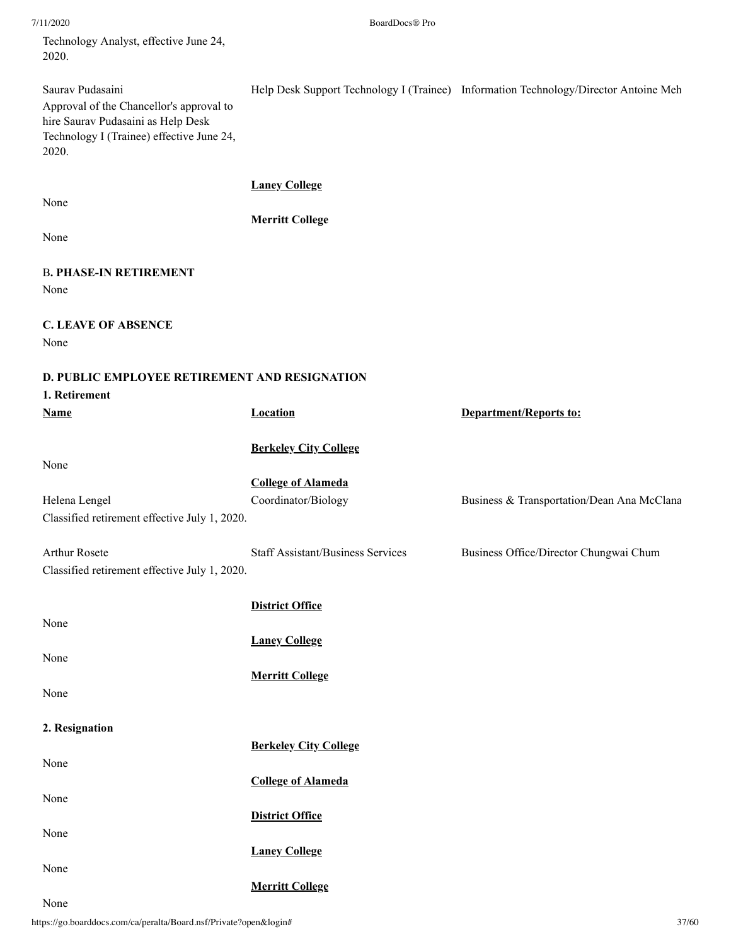7/11/2020 BoardDocs® Pro

Technology Analyst, effective June 24, 2020.

Saurav Pudasaini Help Desk Support Technology I (Trainee) Information Technology/Director Antoine Meh Approval of the Chancellor's approval to hire Saurav Pudasaini as Help Desk Technology I (Trainee) effective June 24, 2020. **Laney College** None **Merritt College** None B**. PHASE-IN RETIREMENT** None **C. LEAVE OF ABSENCE** None **D. PUBLIC EMPLOYEE RETIREMENT AND RESIGNATION 1. Retirement Name Location Department/Reports to: Berkeley City College** None **College of Alameda** Helena Lengel Coordinator/Biology Business & Transportation/Dean Ana McClana Classified retirement effective July 1, 2020. Arthur Rosete Staff Assistant/Business Services Business Office/Director Chungwai Chum Classified retirement effective July 1, 2020. **District Office** None **Laney College** None **Merritt College** None **2. Resignation Berkeley City College** None **College of Alameda** None **District Office** None **Laney College** None

None

**Merritt College**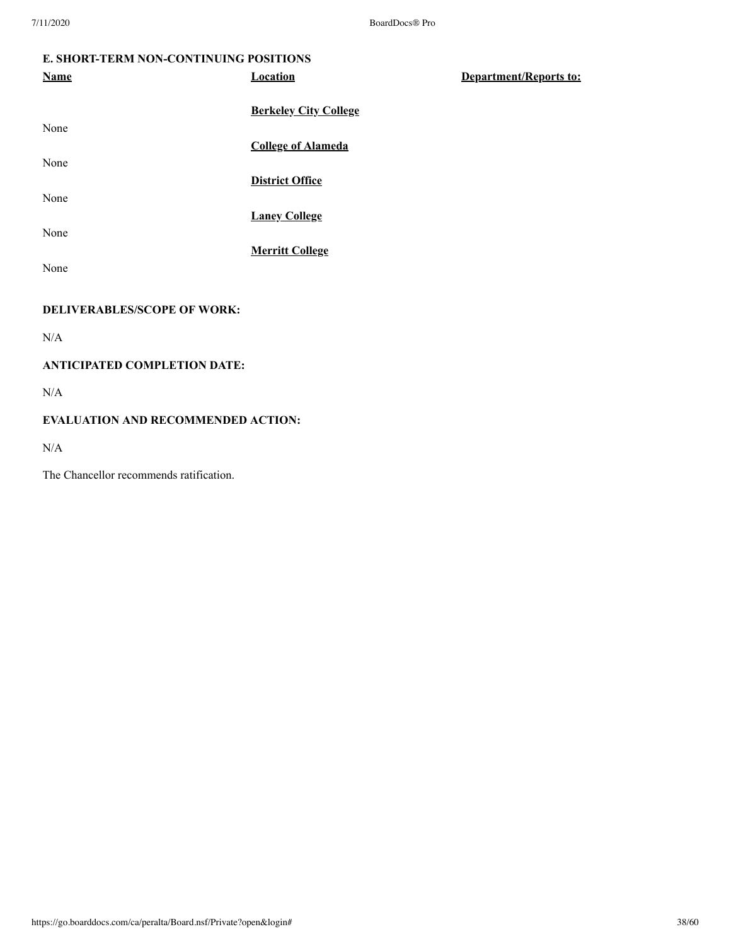### **E. SHORT-TERM NON-CONTINUING POSITIONS**

| <b>Name</b> | <b>Location</b>              | <b>Department/Reports to:</b> |
|-------------|------------------------------|-------------------------------|
|             | <b>Berkeley City College</b> |                               |
| None        |                              |                               |
|             | <b>College of Alameda</b>    |                               |
| None        |                              |                               |
|             | <b>District Office</b>       |                               |
| None        |                              |                               |
|             | <b>Laney College</b>         |                               |
| None        | <b>Merritt College</b>       |                               |
| None        |                              |                               |
|             |                              |                               |

# **DELIVERABLES/SCOPE OF WORK:**

N/A

# **ANTICIPATED COMPLETION DATE:**

 $\rm N/A$ 

### **EVALUATION AND RECOMMENDED ACTION:**

N/A

The Chancellor recommends ratification.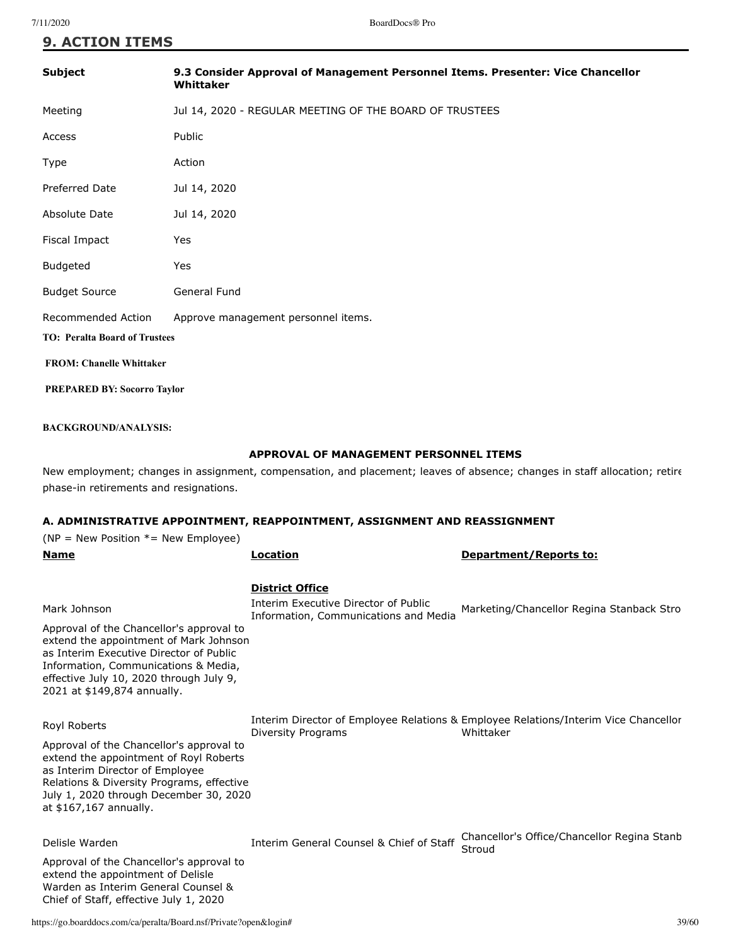| <b>Subject</b>                       | 9.3 Consider Approval of Management Personnel Items. Presenter: Vice Chancellor<br>Whittaker |  |
|--------------------------------------|----------------------------------------------------------------------------------------------|--|
| Meeting                              | Jul 14, 2020 - REGULAR MEETING OF THE BOARD OF TRUSTEES                                      |  |
| Access                               | Public                                                                                       |  |
| Type                                 | Action                                                                                       |  |
| <b>Preferred Date</b>                | Jul 14, 2020                                                                                 |  |
| Absolute Date                        | Jul 14, 2020                                                                                 |  |
| Fiscal Impact                        | Yes                                                                                          |  |
| Budgeted                             | Yes                                                                                          |  |
| <b>Budget Source</b>                 | General Fund                                                                                 |  |
| Recommended Action                   | Approve management personnel items.                                                          |  |
| <b>TO: Peralta Board of Trustees</b> |                                                                                              |  |
| <b>FROM: Chanelle Whittaker</b>      |                                                                                              |  |
| <b>PREPARED BY: Socorro Taylor</b>   |                                                                                              |  |

### **BACKGROUND/ANALYSIS:**

### **APPROVAL OF MANAGEMENT PERSONNEL ITEMS**

New employment; changes in assignment, compensation, and placement; leaves of absence; changes in staff allocation; retire phase-in retirements and resignations.

| A. ADMINISTRATIVE APPOINTMENT, REAPPOINTMENT, ASSIGNMENT AND REASSIGNMENT                                                                                                                                                                                       |                                                                                                         |                                                                                                  |  |
|-----------------------------------------------------------------------------------------------------------------------------------------------------------------------------------------------------------------------------------------------------------------|---------------------------------------------------------------------------------------------------------|--------------------------------------------------------------------------------------------------|--|
| ( $NP = New Position * = New Employee$ )                                                                                                                                                                                                                        |                                                                                                         |                                                                                                  |  |
| <b>Name</b>                                                                                                                                                                                                                                                     | Location                                                                                                | <b>Department/Reports to:</b>                                                                    |  |
| Mark Johnson<br>Approval of the Chancellor's approval to<br>extend the appointment of Mark Johnson<br>as Interim Executive Director of Public<br>Information, Communications & Media,<br>effective July 10, 2020 through July 9,<br>2021 at \$149,874 annually. | <b>District Office</b><br>Interim Executive Director of Public<br>Information, Communications and Media | Marketing/Chancellor Regina Stanback Stro                                                        |  |
| Royl Roberts<br>Approval of the Chancellor's approval to<br>extend the appointment of Royl Roberts<br>as Interim Director of Employee<br>Relations & Diversity Programs, effective<br>July 1, 2020 through December 30, 2020<br>at \$167,167 annually.          | <b>Diversity Programs</b>                                                                               | Interim Director of Employee Relations & Employee Relations/Interim Vice Chancellor<br>Whittaker |  |
| Delisle Warden<br>Approval of the Chancellor's approval to<br>extend the appointment of Delisle<br>Warden as Interim General Counsel &<br>Chief of Staff, effective July 1, 2020                                                                                | Interim General Counsel & Chief of Staff                                                                | Chancellor's Office/Chancellor Regina Stanb<br>Stroud                                            |  |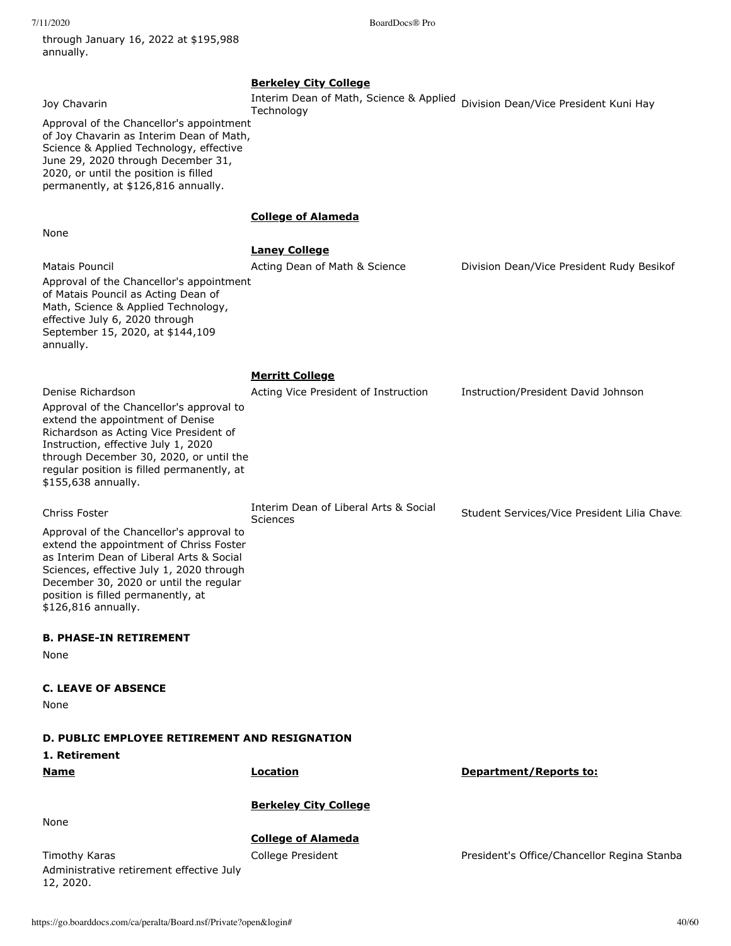through January 16, 2022 at \$195,988 annually.

7/11/2020 BoardDocs® Pro

| Joy Chavarin<br>Approval of the Chancellor's appointment<br>of Joy Chavarin as Interim Dean of Math,<br>Science & Applied Technology, effective<br>June 29, 2020 through December 31,<br>2020, or until the position is filled<br>permanently, at \$126,816 annually.                              | <b>Berkeley City College</b><br>Interim Dean of Math, Science & Applied<br>Technology | Division Dean/Vice President Kuni Hay        |
|----------------------------------------------------------------------------------------------------------------------------------------------------------------------------------------------------------------------------------------------------------------------------------------------------|---------------------------------------------------------------------------------------|----------------------------------------------|
|                                                                                                                                                                                                                                                                                                    | <b>College of Alameda</b>                                                             |                                              |
| None                                                                                                                                                                                                                                                                                               |                                                                                       |                                              |
|                                                                                                                                                                                                                                                                                                    | <b>Laney College</b>                                                                  |                                              |
| Matais Pouncil<br>Approval of the Chancellor's appointment<br>of Matais Pouncil as Acting Dean of<br>Math, Science & Applied Technology,<br>effective July 6, 2020 through<br>September 15, 2020, at \$144,109<br>annually.                                                                        | Acting Dean of Math & Science                                                         | Division Dean/Vice President Rudy Besikof    |
|                                                                                                                                                                                                                                                                                                    | <u>Merritt College</u>                                                                |                                              |
| Denise Richardson<br>Approval of the Chancellor's approval to<br>extend the appointment of Denise<br>Richardson as Acting Vice President of<br>Instruction, effective July 1, 2020<br>through December 30, 2020, or until the<br>regular position is filled permanently, at<br>\$155,638 annually. | Acting Vice President of Instruction                                                  | Instruction/President David Johnson          |
| <b>Chriss Foster</b>                                                                                                                                                                                                                                                                               | Interim Dean of Liberal Arts & Social<br>Sciences                                     | Student Services/Vice President Lilia Chave: |
| Approval of the Chancellor's approval to<br>extend the appointment of Chriss Foster<br>as Interim Dean of Liberal Arts & Social<br>Sciences, effective July 1, 2020 through<br>December 30, 2020 or until the regular<br>position is filled permanently, at<br>\$126,816 annually.                 |                                                                                       |                                              |
| <b>B. PHASE-IN RETIREMENT</b>                                                                                                                                                                                                                                                                      |                                                                                       |                                              |
| None                                                                                                                                                                                                                                                                                               |                                                                                       |                                              |
| <b>C. LEAVE OF ABSENCE</b><br>None                                                                                                                                                                                                                                                                 |                                                                                       |                                              |
| D. PUBLIC EMPLOYEE RETIREMENT AND RESIGNATION<br>1. Retirement                                                                                                                                                                                                                                     |                                                                                       |                                              |
| <u>Name</u>                                                                                                                                                                                                                                                                                        | <b>Location</b>                                                                       | Department/Reports to:                       |
| None                                                                                                                                                                                                                                                                                               | <b>Berkeley City College</b>                                                          |                                              |
| Timothy Karas<br>Administrative retirement effective July<br>12, 2020.                                                                                                                                                                                                                             | <b>College of Alameda</b><br>College President                                        | President's Office/Chancellor Regina Stanba  |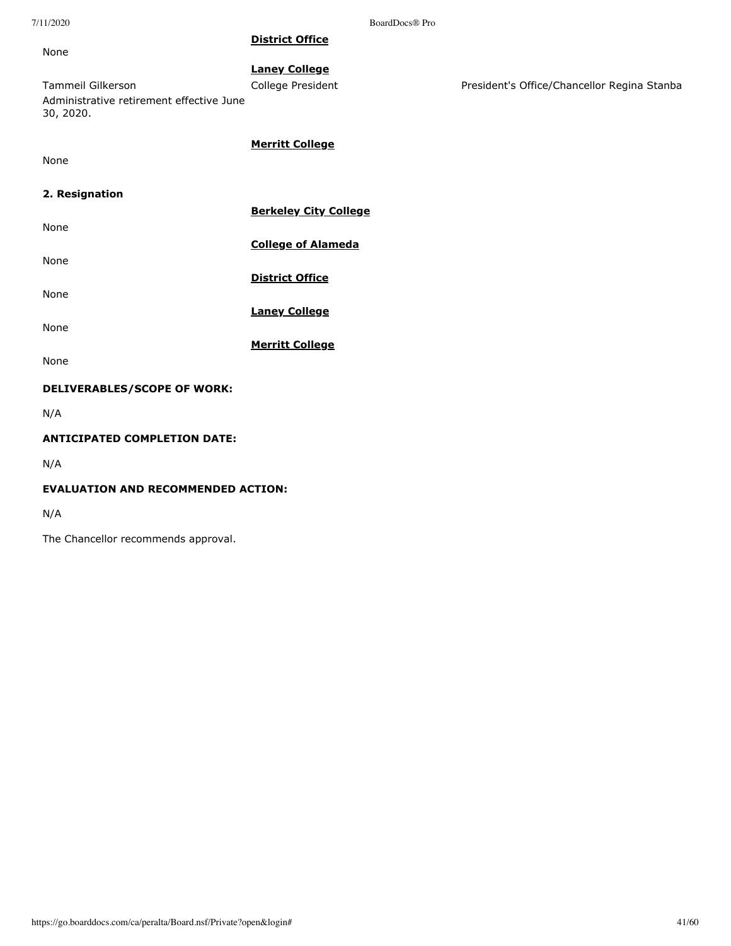None

**District Office**

**Laney College** Tammeil Gilkerson **College President** President President's Office/Chancellor Regina Stanba Administrative retirement effective June 30, 2020.

**Merritt College**

None

### **2. Resignation**

| None                               | <b>Berkeley City College</b> |
|------------------------------------|------------------------------|
|                                    | <b>College of Alameda</b>    |
| None                               | <b>District Office</b>       |
| None                               | <b>Laney College</b>         |
| None                               |                              |
| None                               | <b>Merritt College</b>       |
| <b>DELIVERABLES/SCOPE OF WORK:</b> |                              |
| NI/A                               |                              |

N/A

### **ANTICIPATED COMPLETION DATE:**

N/A

### **EVALUATION AND RECOMMENDED ACTION:**

N/A

The Chancellor recommends approval.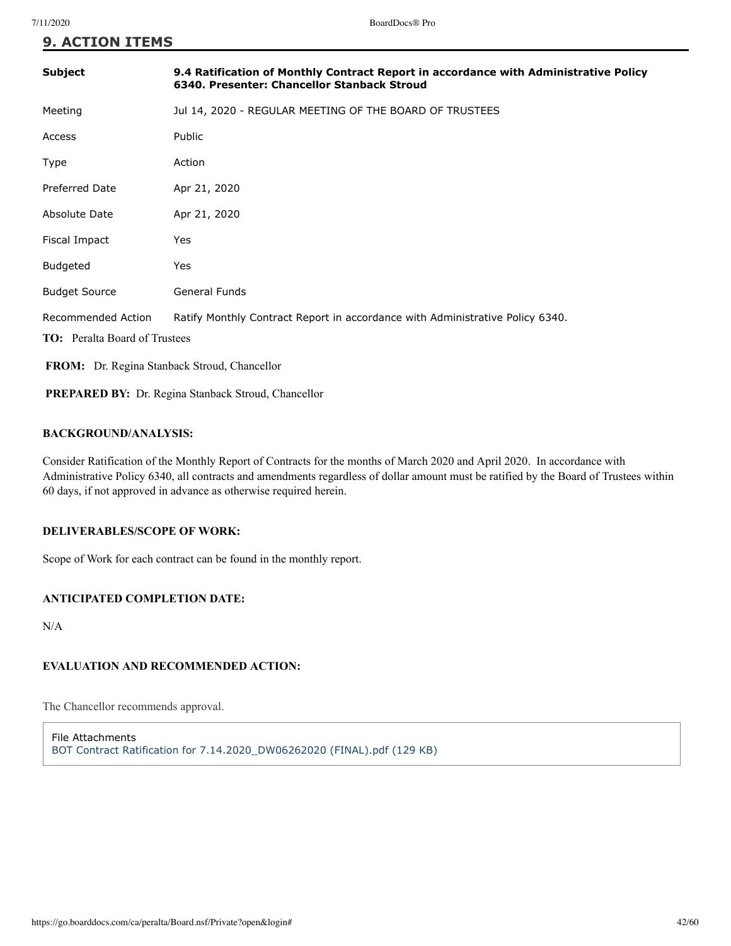| Subject                                                    | 9.4 Ratification of Monthly Contract Report in accordance with Administrative Policy<br>6340. Presenter: Chancellor Stanback Stroud |  |
|------------------------------------------------------------|-------------------------------------------------------------------------------------------------------------------------------------|--|
| Meeting                                                    | Jul 14, 2020 - REGULAR MEETING OF THE BOARD OF TRUSTEES                                                                             |  |
| Access                                                     | Public                                                                                                                              |  |
| Type                                                       | Action                                                                                                                              |  |
| <b>Preferred Date</b>                                      | Apr 21, 2020                                                                                                                        |  |
| Absolute Date                                              | Apr 21, 2020                                                                                                                        |  |
| Fiscal Impact                                              | Yes                                                                                                                                 |  |
| <b>Budgeted</b>                                            | Yes                                                                                                                                 |  |
| <b>Budget Source</b>                                       | General Funds                                                                                                                       |  |
| <b>Recommended Action</b>                                  | Ratify Monthly Contract Report in accordance with Administrative Policy 6340.                                                       |  |
| <b>TO:</b> Peralta Board of Trustees                       |                                                                                                                                     |  |
| FROM: Dr. Regina Stanback Stroud, Chancellor               |                                                                                                                                     |  |
| <b>PREPARED BY:</b> Dr. Regina Stanback Stroud, Chancellor |                                                                                                                                     |  |

### **BACKGROUND/ANALYSIS:**

Consider Ratification of the Monthly Report of Contracts for the months of March 2020 and April 2020. In accordance with Administrative Policy 6340, all contracts and amendments regardless of dollar amount must be ratified by the Board of Trustees within 60 days, if not approved in advance as otherwise required herein.

### **DELIVERABLES/SCOPE OF WORK:**

Scope of Work for each contract can be found in the monthly report.

### **ANTICIPATED COMPLETION DATE:**

N/A

### **EVALUATION AND RECOMMENDED ACTION:**

The Chancellor recommends approval.

File Attachments [BOT Contract Ratification for 7.14.2020\\_DW06262020 \(FINAL\).pdf \(129 KB\)](https://go.boarddocs.com/ca/peralta/Board.nsf/files/BR2ULN7C99DC/$file/BOT%20Contract%20Ratification%20for%20%207.14.2020_DW06262020%20(FINAL).pdf)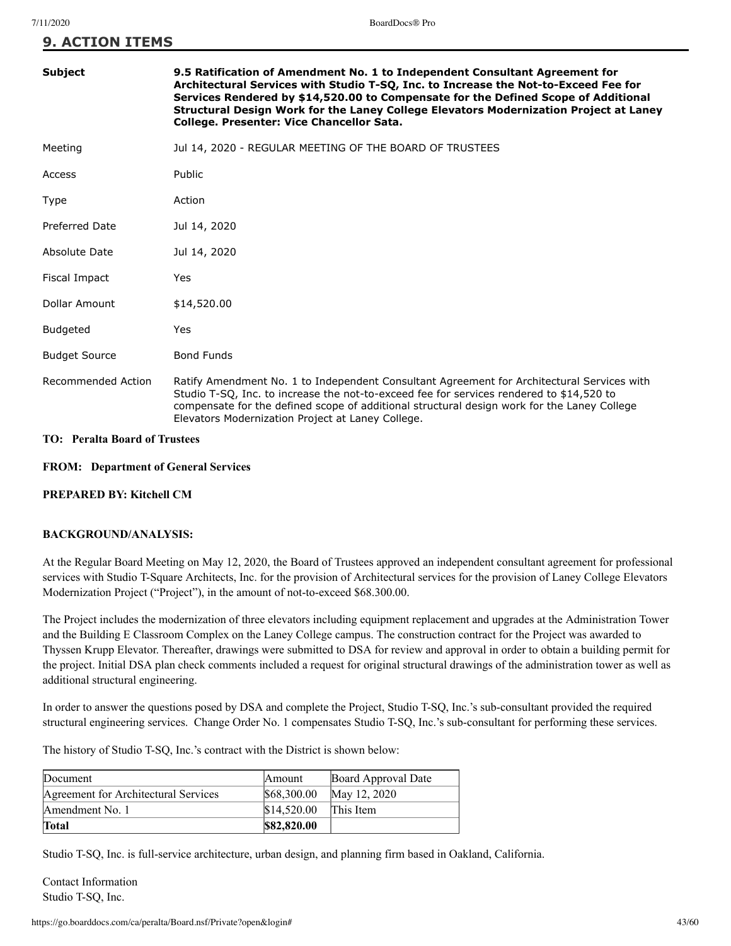| <b>Subject</b>        | 9.5 Ratification of Amendment No. 1 to Independent Consultant Agreement for<br>Architectural Services with Studio T-SQ, Inc. to Increase the Not-to-Exceed Fee for<br>Services Rendered by \$14,520.00 to Compensate for the Defined Scope of Additional<br>Structural Design Work for the Laney College Elevators Modernization Project at Laney<br>College. Presenter: Vice Chancellor Sata. |
|-----------------------|------------------------------------------------------------------------------------------------------------------------------------------------------------------------------------------------------------------------------------------------------------------------------------------------------------------------------------------------------------------------------------------------|
| Meeting               | Jul 14, 2020 - REGULAR MEETING OF THE BOARD OF TRUSTEES                                                                                                                                                                                                                                                                                                                                        |
| Access                | <b>Public</b>                                                                                                                                                                                                                                                                                                                                                                                  |
| Type                  | Action                                                                                                                                                                                                                                                                                                                                                                                         |
| <b>Preferred Date</b> | Jul 14, 2020                                                                                                                                                                                                                                                                                                                                                                                   |
| Absolute Date         | Jul 14, 2020                                                                                                                                                                                                                                                                                                                                                                                   |
| Fiscal Impact         | Yes                                                                                                                                                                                                                                                                                                                                                                                            |
| Dollar Amount         | \$14,520.00                                                                                                                                                                                                                                                                                                                                                                                    |
| <b>Budgeted</b>       | Yes                                                                                                                                                                                                                                                                                                                                                                                            |
| <b>Budget Source</b>  | <b>Bond Funds</b>                                                                                                                                                                                                                                                                                                                                                                              |
| Recommended Action    | Ratify Amendment No. 1 to Independent Consultant Agreement for Architectural Services with<br>Studio T-SQ, Inc. to increase the not-to-exceed fee for services rendered to \$14,520 to<br>compensate for the defined scope of additional structural design work for the Laney College<br>Elevators Modernization Project at Laney College.                                                     |

### **TO: Peralta Board of Trustees**

### **FROM: Department of General Services**

### **PREPARED BY: Kitchell CM**

### **BACKGROUND/ANALYSIS:**

At the Regular Board Meeting on May 12, 2020, the Board of Trustees approved an independent consultant agreement for professional services with Studio T-Square Architects, Inc. for the provision of Architectural services for the provision of Laney College Elevators Modernization Project ("Project"), in the amount of not-to-exceed \$68.300.00.

The Project includes the modernization of three elevators including equipment replacement and upgrades at the Administration Tower and the Building E Classroom Complex on the Laney College campus. The construction contract for the Project was awarded to Thyssen Krupp Elevator. Thereafter, drawings were submitted to DSA for review and approval in order to obtain a building permit for the project. Initial DSA plan check comments included a request for original structural drawings of the administration tower as well as additional structural engineering.

In order to answer the questions posed by DSA and complete the Project, Studio T-SQ, Inc.'s sub-consultant provided the required structural engineering services. Change Order No. 1 compensates Studio T-SQ, Inc.'s sub-consultant for performing these services.

The history of Studio T-SQ, Inc.'s contract with the District is shown below:

| Document                             | Amount      | Board Approval Date |
|--------------------------------------|-------------|---------------------|
| Agreement for Architectural Services | \$68,300.00 | May 12, 2020        |
| Amendment No. 1                      | \$14.520.00 | This Item           |
| <b>Total</b>                         | \$82,820.00 |                     |

Studio T-SQ, Inc. is full-service architecture, urban design, and planning firm based in Oakland, California.

Contact Information Studio T-SQ, Inc.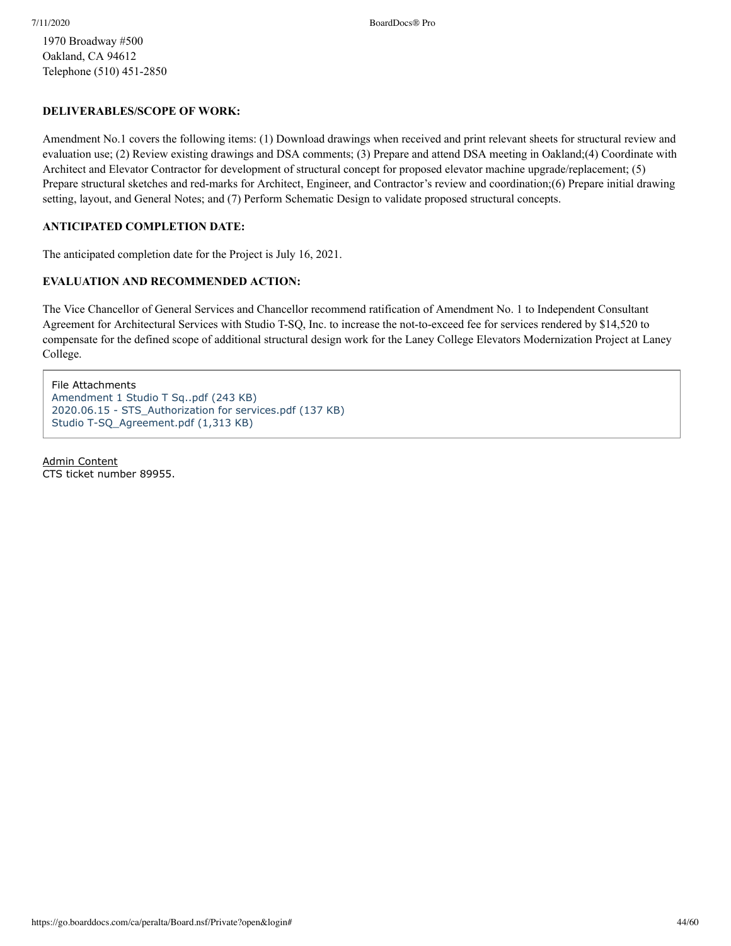1970 Broadway #500 Oakland, CA 94612 Telephone (510) 451-2850

### **DELIVERABLES/SCOPE OF WORK:**

Amendment No.1 covers the following items: (1) Download drawings when received and print relevant sheets for structural review and evaluation use; (2) Review existing drawings and DSA comments; (3) Prepare and attend DSA meeting in Oakland;(4) Coordinate with Architect and Elevator Contractor for development of structural concept for proposed elevator machine upgrade/replacement; (5) Prepare structural sketches and red-marks for Architect, Engineer, and Contractor's review and coordination;(6) Prepare initial drawing setting, layout, and General Notes; and (7) Perform Schematic Design to validate proposed structural concepts.

### **ANTICIPATED COMPLETION DATE:**

The anticipated completion date for the Project is July 16, 2021.

### **EVALUATION AND RECOMMENDED ACTION:**

The Vice Chancellor of General Services and Chancellor recommend ratification of Amendment No. 1 to Independent Consultant Agreement for Architectural Services with Studio T-SQ, Inc. to increase the not-to-exceed fee for services rendered by \$14,520 to compensate for the defined scope of additional structural design work for the Laney College Elevators Modernization Project at Laney College.

File Attachments [Amendment 1 Studio T Sq..pdf \(243 KB\)](https://go.boarddocs.com/ca/peralta/Board.nsf/files/BR2W4Q83A486/$file/Amendment%201%20Studio%20T%20Sq..pdf) [2020.06.15 - STS\\_Authorization for services.pdf \(137 KB\)](https://go.boarddocs.com/ca/peralta/Board.nsf/files/BR2W5683B42E/$file/2020.06.15%20-%20STS_Authorization%20for%20services.pdf) [Studio T-SQ\\_Agreement.pdf \(1,313 KB\)](https://go.boarddocs.com/ca/peralta/Board.nsf/files/BR2W5883B714/$file/Studio%20T-SQ_Agreement.pdf)

Admin Content CTS ticket number 89955.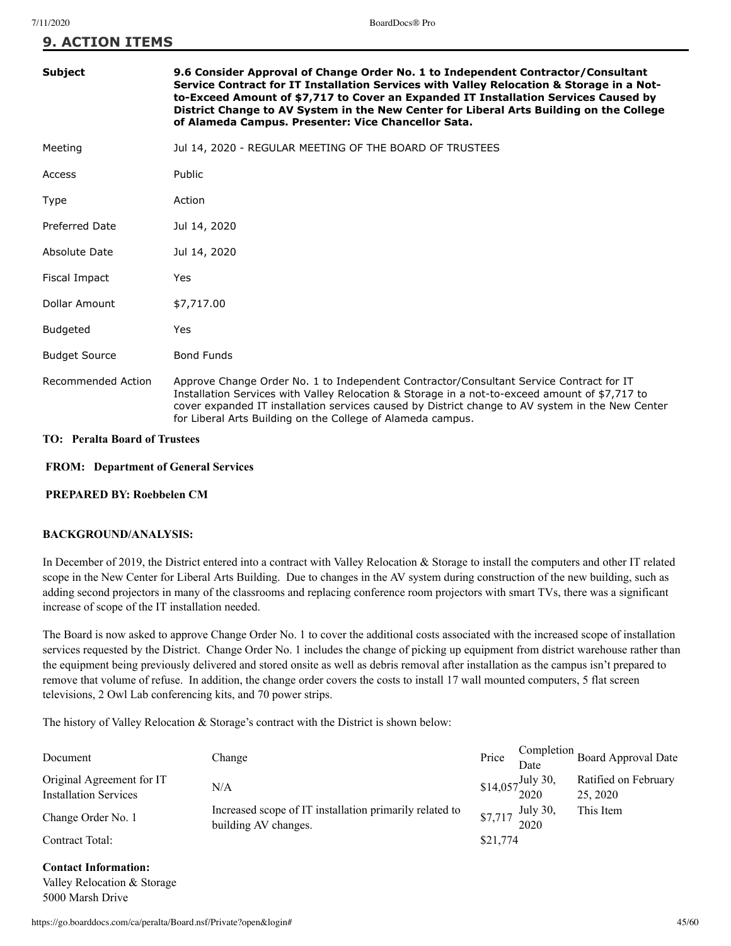| <b>Subject</b>       | 9.6 Consider Approval of Change Order No. 1 to Independent Contractor/Consultant<br>Service Contract for IT Installation Services with Valley Relocation & Storage in a Not-<br>to-Exceed Amount of \$7,717 to Cover an Expanded IT Installation Services Caused by<br>District Change to AV System in the New Center for Liberal Arts Building on the College<br>of Alameda Campus. Presenter: Vice Chancellor Sata. |
|----------------------|-----------------------------------------------------------------------------------------------------------------------------------------------------------------------------------------------------------------------------------------------------------------------------------------------------------------------------------------------------------------------------------------------------------------------|
| Meeting              | Jul 14, 2020 - REGULAR MEETING OF THE BOARD OF TRUSTEES                                                                                                                                                                                                                                                                                                                                                               |
| Access               | Public                                                                                                                                                                                                                                                                                                                                                                                                                |
| Type                 | Action                                                                                                                                                                                                                                                                                                                                                                                                                |
| Preferred Date       | Jul 14, 2020                                                                                                                                                                                                                                                                                                                                                                                                          |
| Absolute Date        | Jul 14, 2020                                                                                                                                                                                                                                                                                                                                                                                                          |
| Fiscal Impact        | Yes                                                                                                                                                                                                                                                                                                                                                                                                                   |
| Dollar Amount        | \$7,717.00                                                                                                                                                                                                                                                                                                                                                                                                            |
| <b>Budgeted</b>      | Yes                                                                                                                                                                                                                                                                                                                                                                                                                   |
| <b>Budget Source</b> | <b>Bond Funds</b>                                                                                                                                                                                                                                                                                                                                                                                                     |
| Recommended Action   | Approve Change Order No. 1 to Independent Contractor/Consultant Service Contract for IT<br>Installation Services with Valley Relocation & Storage in a not-to-exceed amount of \$7,717 to<br>cover expanded IT installation services caused by District change to AV system in the New Center<br>for Liberal Arts Building on the College of Alameda campus.                                                          |

### **TO: Peralta Board of Trustees**

### **FROM: Department of General Services**

### **PREPARED BY: Roebbelen CM**

### **BACKGROUND/ANALYSIS:**

In December of 2019, the District entered into a contract with Valley Relocation & Storage to install the computers and other IT related scope in the New Center for Liberal Arts Building. Due to changes in the AV system during construction of the new building, such as adding second projectors in many of the classrooms and replacing conference room projectors with smart TVs, there was a significant increase of scope of the IT installation needed.

The Board is now asked to approve Change Order No. 1 to cover the additional costs associated with the increased scope of installation services requested by the District. Change Order No. 1 includes the change of picking up equipment from district warehouse rather than the equipment being previously delivered and stored onsite as well as debris removal after installation as the campus isn't prepared to remove that volume of refuse. In addition, the change order covers the costs to install 17 wall mounted computers, 5 flat screen televisions, 2 Owl Lab conferencing kits, and 70 power strips.

The history of Valley Relocation & Storage's contract with the District is shown below:

| Document                                                  | Change                                                                          | Price    | Date               | Completion Board Approval Date   |
|-----------------------------------------------------------|---------------------------------------------------------------------------------|----------|--------------------|----------------------------------|
| Original Agreement for IT<br><b>Installation Services</b> | N/A                                                                             |          | $$14,057$ July 30, | Ratified on February<br>25, 2020 |
| Change Order No. 1                                        | Increased scope of IT installation primarily related to<br>building AV changes. |          | \$7,717 July 30,   | This Item                        |
| Contract Total:                                           |                                                                                 | \$21,774 |                    |                                  |

**Contact Information:** Valley Relocation & Storage 5000 Marsh Drive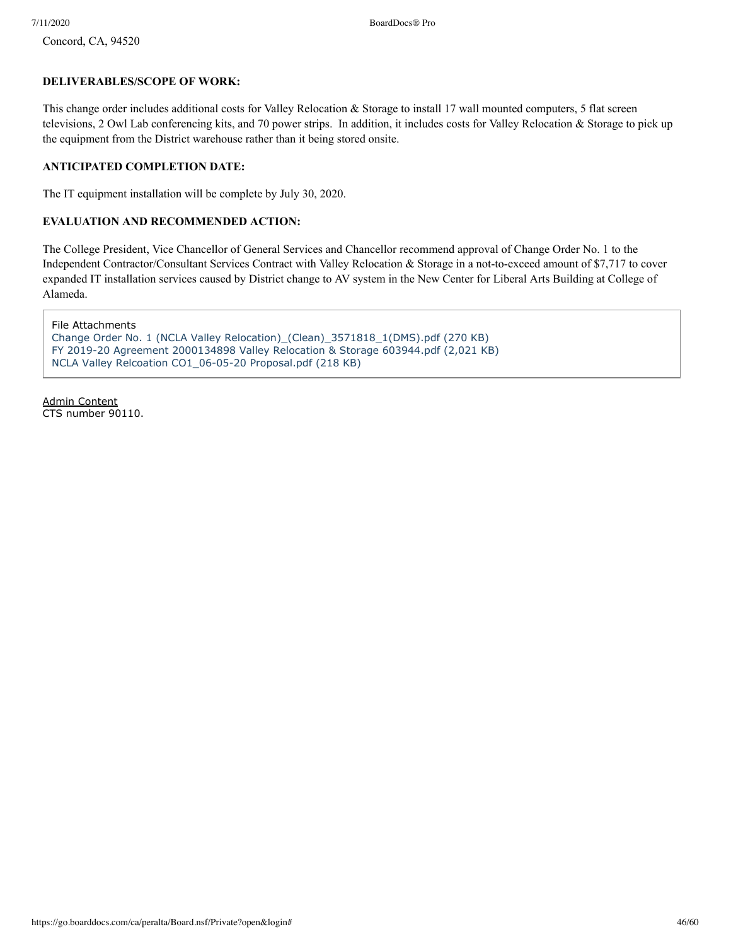Concord, CA, 94520

### **DELIVERABLES/SCOPE OF WORK:**

This change order includes additional costs for Valley Relocation & Storage to install 17 wall mounted computers, 5 flat screen televisions, 2 Owl Lab conferencing kits, and 70 power strips. In addition, it includes costs for Valley Relocation & Storage to pick up the equipment from the District warehouse rather than it being stored onsite.

### **ANTICIPATED COMPLETION DATE:**

The IT equipment installation will be complete by July 30, 2020.

### **EVALUATION AND RECOMMENDED ACTION:**

The College President, Vice Chancellor of General Services and Chancellor recommend approval of Change Order No. 1 to the Independent Contractor/Consultant Services Contract with Valley Relocation & Storage in a not-to-exceed amount of \$7,717 to cover expanded IT installation services caused by District change to AV system in the New Center for Liberal Arts Building at College of Alameda.

File Attachments [Change Order No. 1 \(NCLA Valley Relocation\)\\_\(Clean\)\\_3571818\\_1\(DMS\).pdf \(270 KB\)](https://go.boarddocs.com/ca/peralta/Board.nsf/files/BR2VU2825E0D/$file/Change%20Order%20No.%201%20(NCLA%20Valley%20Relocation)_(Clean)_3571818_1(DMS).pdf) [FY 2019-20 Agreement 2000134898 Valley Relocation & Storage 603944.pdf \(2,021 KB\)](https://go.boarddocs.com/ca/peralta/Board.nsf/files/BR2VU4826107/$file/FY%202019-20%20Agreement%202000134898%20Valley%20Relocation%20%26%20Storage%20603944.pdf) [NCLA Valley Relcoation CO1\\_06-05-20 Proposal.pdf \(218 KB\)](https://go.boarddocs.com/ca/peralta/Board.nsf/files/BR2VU68263A8/$file/NCLA%20Valley%20Relcoation%20CO1_06-05-20%20Proposal.pdf)

Admin Content CTS number 90110.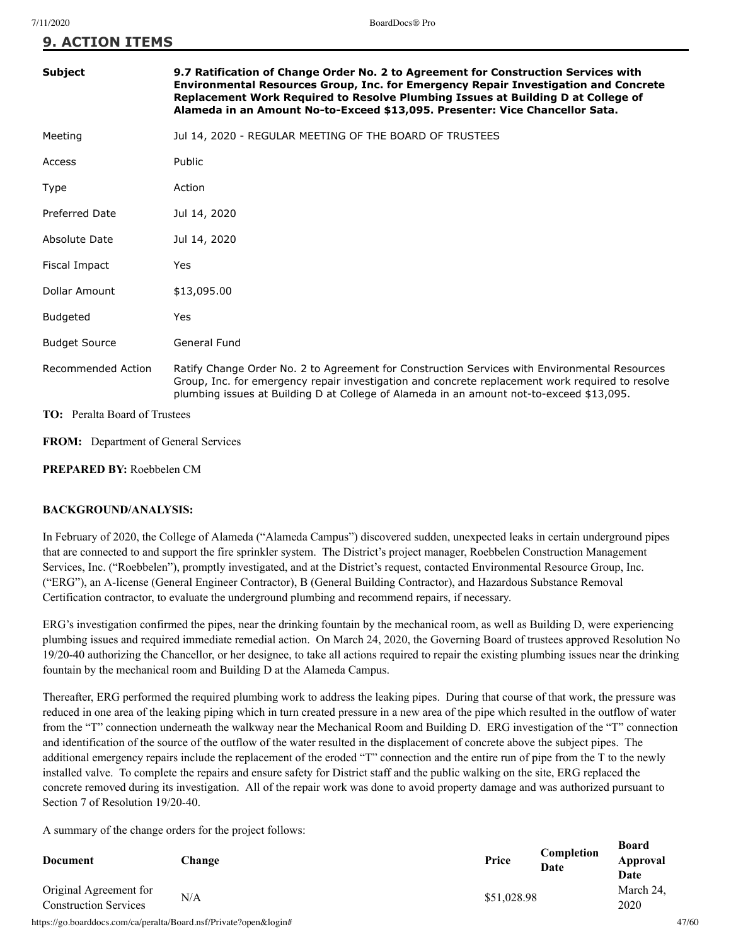| Subject                              | 9.7 Ratification of Change Order No. 2 to Agreement for Construction Services with<br>Environmental Resources Group, Inc. for Emergency Repair Investigation and Concrete<br>Replacement Work Required to Resolve Plumbing Issues at Building D at College of<br>Alameda in an Amount No-to-Exceed \$13,095. Presenter: Vice Chancellor Sata. |
|--------------------------------------|-----------------------------------------------------------------------------------------------------------------------------------------------------------------------------------------------------------------------------------------------------------------------------------------------------------------------------------------------|
| Meeting                              | Jul 14, 2020 - REGULAR MEETING OF THE BOARD OF TRUSTEES                                                                                                                                                                                                                                                                                       |
| Access                               | Public                                                                                                                                                                                                                                                                                                                                        |
| Type                                 | Action                                                                                                                                                                                                                                                                                                                                        |
| <b>Preferred Date</b>                | Jul 14, 2020                                                                                                                                                                                                                                                                                                                                  |
| Absolute Date                        | Jul 14, 2020                                                                                                                                                                                                                                                                                                                                  |
| Fiscal Impact                        | Yes                                                                                                                                                                                                                                                                                                                                           |
| Dollar Amount                        | \$13,095.00                                                                                                                                                                                                                                                                                                                                   |
| <b>Budgeted</b>                      | Yes                                                                                                                                                                                                                                                                                                                                           |
| <b>Budget Source</b>                 | General Fund                                                                                                                                                                                                                                                                                                                                  |
| Recommended Action                   | Ratify Change Order No. 2 to Agreement for Construction Services with Environmental Resources<br>Group, Inc. for emergency repair investigation and concrete replacement work required to resolve<br>plumbing issues at Building D at College of Alameda in an amount not-to-exceed \$13,095.                                                 |
| <b>TO:</b> Peralta Board of Trustees |                                                                                                                                                                                                                                                                                                                                               |

**FROM:** Department of General Services

**PREPARED BY:** Roebbelen CM

### **BACKGROUND/ANALYSIS:**

In February of 2020, the College of Alameda ("Alameda Campus") discovered sudden, unexpected leaks in certain underground pipes that are connected to and support the fire sprinkler system. The District's project manager, Roebbelen Construction Management Services, Inc. ("Roebbelen"), promptly investigated, and at the District's request, contacted Environmental Resource Group, Inc. ("ERG"), an A-license (General Engineer Contractor), B (General Building Contractor), and Hazardous Substance Removal Certification contractor, to evaluate the underground plumbing and recommend repairs, if necessary.

ERG's investigation confirmed the pipes, near the drinking fountain by the mechanical room, as well as Building D, were experiencing plumbing issues and required immediate remedial action. On March 24, 2020, the Governing Board of trustees approved Resolution No 19/20-40 authorizing the Chancellor, or her designee, to take all actions required to repair the existing plumbing issues near the drinking fountain by the mechanical room and Building D at the Alameda Campus.

Thereafter, ERG performed the required plumbing work to address the leaking pipes. During that course of that work, the pressure was reduced in one area of the leaking piping which in turn created pressure in a new area of the pipe which resulted in the outflow of water from the "T" connection underneath the walkway near the Mechanical Room and Building D. ERG investigation of the "T" connection and identification of the source of the outflow of the water resulted in the displacement of concrete above the subject pipes. The additional emergency repairs include the replacement of the eroded "T" connection and the entire run of pipe from the T to the newly installed valve. To complete the repairs and ensure safety for District staff and the public walking on the site, ERG replaced the concrete removed during its investigation. All of the repair work was done to avoid property damage and was authorized pursuant to Section 7 of Resolution 19/20-40.

A summary of the change orders for the project follows:

| Document                                               | <b>Change</b> | Price       | Completion<br>Date | D0aru<br>Approval<br>Date |
|--------------------------------------------------------|---------------|-------------|--------------------|---------------------------|
| Original Agreement for<br><b>Construction Services</b> | N/A           | \$51,028.98 |                    | March 24.<br>2020         |

https://go.boarddocs.com/ca/peralta/Board.nsf/Private?open&login# 47/60

**Board**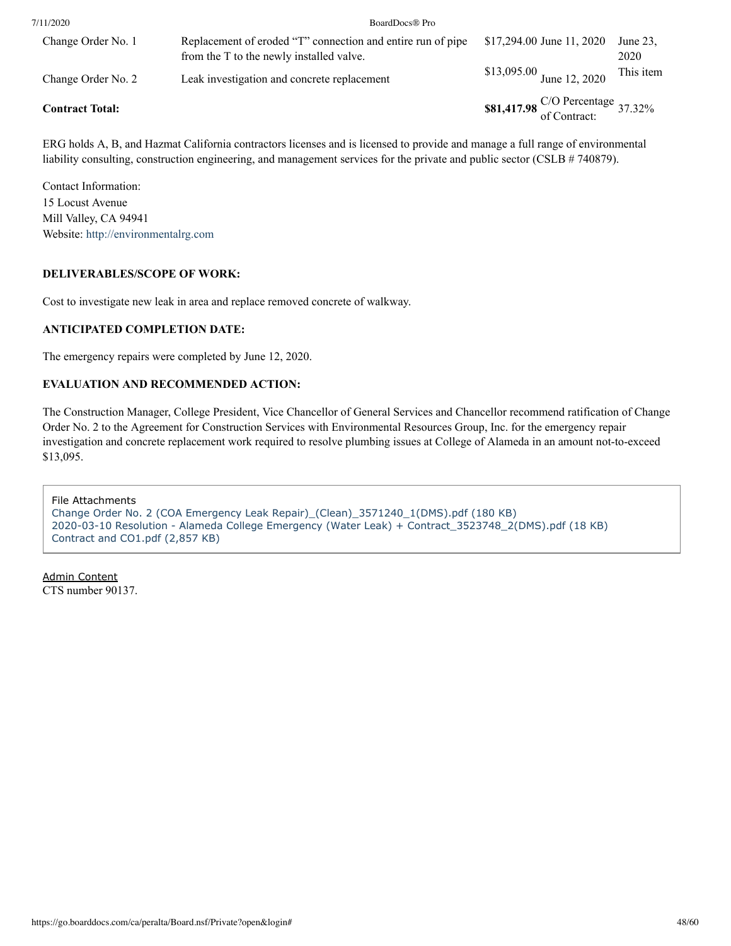| 7/11/2020              | BoardDocs® Pro                                                                                          |                                             |                  |
|------------------------|---------------------------------------------------------------------------------------------------------|---------------------------------------------|------------------|
| Change Order No. 1     | Replacement of eroded "T" connection and entire run of pipe<br>from the T to the newly installed valve. | \$17,294.00 June 11, 2020                   | June 23.<br>2020 |
| Change Order No. 2     | Leak investigation and concrete replacement                                                             | \$13,095.00 June 12, 2020                   | This item        |
| <b>Contract Total:</b> |                                                                                                         | \$81,417.98 $\frac{C}{O}$ Percentage 37.32% |                  |

ERG holds A, B, and Hazmat California contractors licenses and is licensed to provide and manage a full range of environmental liability consulting, construction engineering, and management services for the private and public sector (CSLB # 740879).

Contact Information: 15 Locust Avenue Mill Valley, CA 94941 Website: [http://environmentalrg.com](http://environmentalrg.com/)

### **DELIVERABLES/SCOPE OF WORK:**

Cost to investigate new leak in area and replace removed concrete of walkway.

### **ANTICIPATED COMPLETION DATE:**

The emergency repairs were completed by June 12, 2020.

### **EVALUATION AND RECOMMENDED ACTION:**

The Construction Manager, College President, Vice Chancellor of General Services and Chancellor recommend ratification of Change Order No. 2 to the Agreement for Construction Services with Environmental Resources Group, Inc. for the emergency repair investigation and concrete replacement work required to resolve plumbing issues at College of Alameda in an amount not-to-exceed \$13,095.

File Attachments [Change Order No. 2 \(COA Emergency Leak Repair\)\\_\(Clean\)\\_3571240\\_1\(DMS\).pdf \(180 KB\)](https://go.boarddocs.com/ca/peralta/Board.nsf/files/BR2UVL7DE8C2/$file/Change%20Order%20No.%202%20(COA%20Emergency%20Leak%20Repair)_(Clean)_3571240_1(DMS).pdf) [2020-03-10 Resolution - Alameda College Emergency \(Water Leak\) + Contract\\_3523748\\_2\(DMS\).pdf \(18 KB\)](https://go.boarddocs.com/ca/peralta/Board.nsf/files/BR2UVN7DEB78/$file/2020-03-10%20Resolution%20-%20Alameda%20College%20Emergency%20(Water%20Leak)%20%2B%20Contract_3523748_2(DMS).pdf) [Contract and CO1.pdf \(2,857 KB\)](https://go.boarddocs.com/ca/peralta/Board.nsf/files/BR2UVR7DEEDD/$file/Contract%20and%20CO1.pdf)

Admin Content CTS number 90137.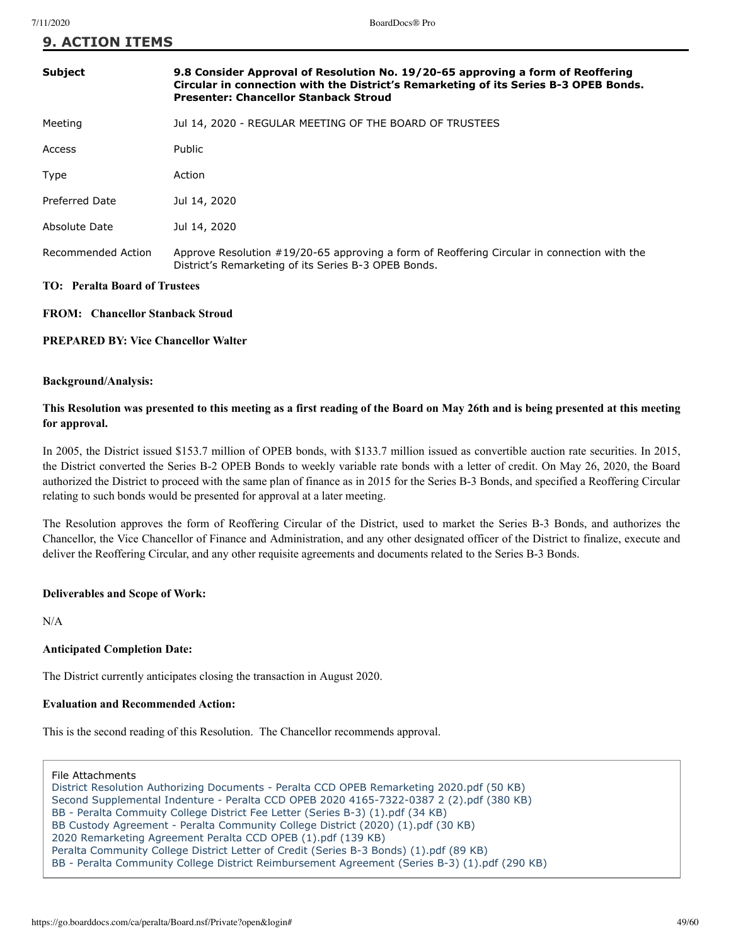| <b>Subject</b>                       | 9.8 Consider Approval of Resolution No. 19/20-65 approving a form of Reoffering<br>Circular in connection with the District's Remarketing of its Series B-3 OPEB Bonds.<br><b>Presenter: Chancellor Stanback Stroud</b> |
|--------------------------------------|-------------------------------------------------------------------------------------------------------------------------------------------------------------------------------------------------------------------------|
| Meeting                              | Jul 14, 2020 - REGULAR MEETING OF THE BOARD OF TRUSTEES                                                                                                                                                                 |
| Access                               | <b>Public</b>                                                                                                                                                                                                           |
| Type                                 | Action                                                                                                                                                                                                                  |
| Preferred Date                       | Jul 14, 2020                                                                                                                                                                                                            |
| Absolute Date                        | Jul 14, 2020                                                                                                                                                                                                            |
| Recommended Action                   | Approve Resolution #19/20-65 approving a form of Reoffering Circular in connection with the<br>District's Remarketing of its Series B-3 OPEB Bonds.                                                                     |
| <b>TO: Peralta Board of Trustees</b> |                                                                                                                                                                                                                         |

### **FROM: Chancellor Stanback Stroud**

### **PREPARED BY: Vice Chancellor Walter**

### **Background/Analysis:**

### **This Resolution was presented to this meeting as a first reading of the Board on May 26th and is being presented at this meeting for approval.**

In 2005, the District issued \$153.7 million of OPEB bonds, with \$133.7 million issued as convertible auction rate securities. In 2015, the District converted the Series B-2 OPEB Bonds to weekly variable rate bonds with a letter of credit. On May 26, 2020, the Board authorized the District to proceed with the same plan of finance as in 2015 for the Series B-3 Bonds, and specified a Reoffering Circular relating to such bonds would be presented for approval at a later meeting.

The Resolution approves the form of Reoffering Circular of the District, used to market the Series B-3 Bonds, and authorizes the Chancellor, the Vice Chancellor of Finance and Administration, and any other designated officer of the District to finalize, execute and deliver the Reoffering Circular, and any other requisite agreements and documents related to the Series B-3 Bonds.

### **Deliverables and Scope of Work:**

N/A

### **Anticipated Completion Date:**

The District currently anticipates closing the transaction in August 2020.

### **Evaluation and Recommended Action:**

This is the second reading of this Resolution. The Chancellor recommends approval.

File Attachments

[District Resolution Authorizing Documents - Peralta CCD OPEB Remarketing 2020.pdf \(50 KB\)](https://go.boarddocs.com/ca/peralta/Board.nsf/files/BRC2ZS04A608/$file/District%20Resolution%20Authorizing%20Documents%20-%20Peralta%20CCD%20OPEB%20Remarketing%202020.pdf) [Second Supplemental Indenture - Peralta CCD OPEB 2020 4165-7322-0387 2 \(2\).pdf \(380 KB\)](https://go.boarddocs.com/ca/peralta/Board.nsf/files/BRC3660549E0/$file/Second%20Supplemental%20Indenture%20-%20Peralta%20CCD%20OPEB%202020%204165-7322-0387%202%20(2).pdf) [BB - Peralta Commuity College District Fee Letter \(Series B-3\) \(1\).pdf \(34 KB\)](https://go.boarddocs.com/ca/peralta/Board.nsf/files/BRC354052244/$file/BB%20-%20Peralta%20Commuity%20College%20District%20Fee%20Letter%20(Series%20B-3)%20(1).pdf) [BB Custody Agreement - Peralta Community College District \(2020\) \(1\).pdf \(30 KB\)](https://go.boarddocs.com/ca/peralta/Board.nsf/files/BRC35B0529A3/$file/BB%20Custody%20Agreement%20-%20Peralta%20Community%20College%20District%20(2020)%20(1).pdf) [2020 Remarketing Agreement Peralta CCD OPEB \(1\).pdf \(139 KB\)](https://go.boarddocs.com/ca/peralta/Board.nsf/files/BRC359052867/$file/2020%20Remarketing%20Agreement%20Peralta%20CCD%20OPEB%20(1).pdf) [Peralta Community College District Letter of Credit \(Series B-3 Bonds\) \(1\).pdf \(89 KB\)](https://go.boarddocs.com/ca/peralta/Board.nsf/files/BRC3570525C2/$file/Peralta%20Community%20College%20District%20Letter%20of%20Credit%20(Series%20B-3%20Bonds)%20(1).pdf) [BB - Peralta Community College District Reimbursement Agreement \(Series B-3\) \(1\).pdf \(290 KB\)](https://go.boarddocs.com/ca/peralta/Board.nsf/files/BRC35D052AA2/$file/BB%20-%20Peralta%20Community%20College%20District%20Reimbursement%20Agreement%20(Series%20B-3)%20(1).pdf)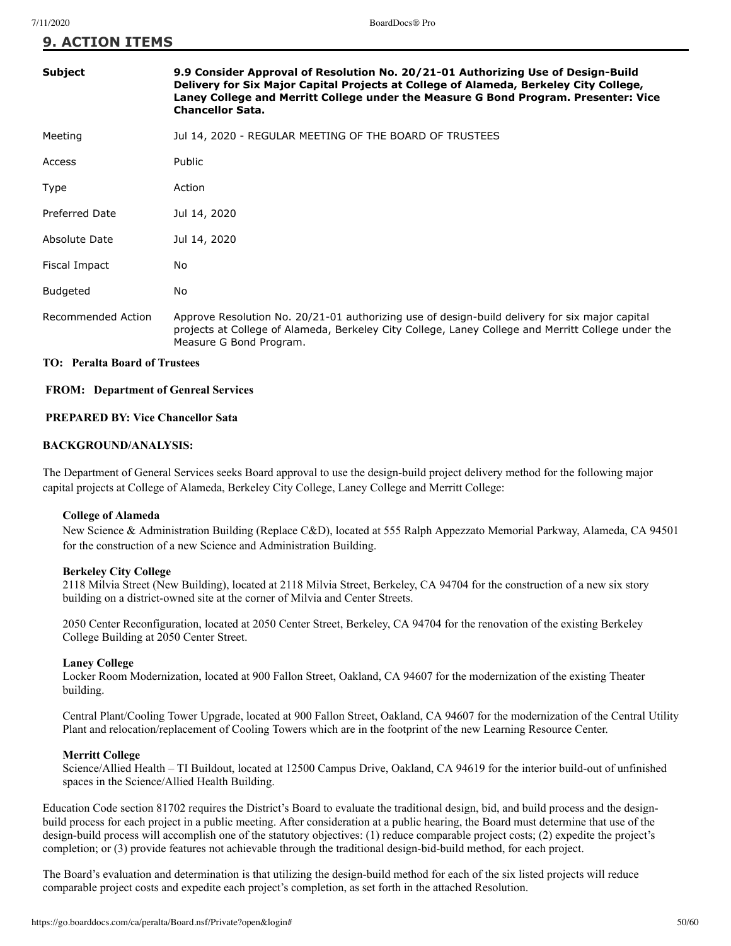| <b>Subject</b>     | 9.9 Consider Approval of Resolution No. 20/21-01 Authorizing Use of Design-Build<br>Delivery for Six Major Capital Projects at College of Alameda, Berkeley City College,<br>Laney College and Merritt College under the Measure G Bond Program. Presenter: Vice<br><b>Chancellor Sata.</b> |
|--------------------|---------------------------------------------------------------------------------------------------------------------------------------------------------------------------------------------------------------------------------------------------------------------------------------------|
| Meeting            | Jul 14, 2020 - REGULAR MEETING OF THE BOARD OF TRUSTEES                                                                                                                                                                                                                                     |
| Access             | <b>Public</b>                                                                                                                                                                                                                                                                               |
| Type               | Action                                                                                                                                                                                                                                                                                      |
| Preferred Date     | Jul 14, 2020                                                                                                                                                                                                                                                                                |
| Absolute Date      | Jul 14, 2020                                                                                                                                                                                                                                                                                |
| Fiscal Impact      | No.                                                                                                                                                                                                                                                                                         |
| <b>Budgeted</b>    | No                                                                                                                                                                                                                                                                                          |
| Recommended Action | Approve Resolution No. 20/21-01 authorizing use of design-build delivery for six major capital<br>projects at College of Alameda, Berkeley City College, Laney College and Merritt College under the<br>Measure G Bond Program.                                                             |

### **TO: Peralta Board of Trustees**

### **FROM: Department of Genreal Services**

### **PREPARED BY: Vice Chancellor Sata**

### **BACKGROUND/ANALYSIS:**

The Department of General Services seeks Board approval to use the design-build project delivery method for the following major capital projects at College of Alameda, Berkeley City College, Laney College and Merritt College:

### **College of Alameda**

New Science & Administration Building (Replace C&D), located at 555 Ralph Appezzato Memorial Parkway, Alameda, CA 94501 for the construction of a new Science and Administration Building.

### **Berkeley City College**

2118 Milvia Street (New Building), located at 2118 Milvia Street, Berkeley, CA 94704 for the construction of a new six story building on a district-owned site at the corner of Milvia and Center Streets.

2050 Center Reconfiguration, located at 2050 Center Street, Berkeley, CA 94704 for the renovation of the existing Berkeley College Building at 2050 Center Street.

### **Laney College**

Locker Room Modernization, located at 900 Fallon Street, Oakland, CA 94607 for the modernization of the existing Theater building.

Central Plant/Cooling Tower Upgrade, located at 900 Fallon Street, Oakland, CA 94607 for the modernization of the Central Utility Plant and relocation/replacement of Cooling Towers which are in the footprint of the new Learning Resource Center.

### **Merritt College**

Science/Allied Health – TI Buildout, located at 12500 Campus Drive, Oakland, CA 94619 for the interior build-out of unfinished spaces in the Science/Allied Health Building.

Education Code section 81702 requires the District's Board to evaluate the traditional design, bid, and build process and the designbuild process for each project in a public meeting. After consideration at a public hearing, the Board must determine that use of the design-build process will accomplish one of the statutory objectives: (1) reduce comparable project costs; (2) expedite the project's completion; or (3) provide features not achievable through the traditional design-bid-build method, for each project.

The Board's evaluation and determination is that utilizing the design-build method for each of the six listed projects will reduce comparable project costs and expedite each project's completion, as set forth in the attached Resolution.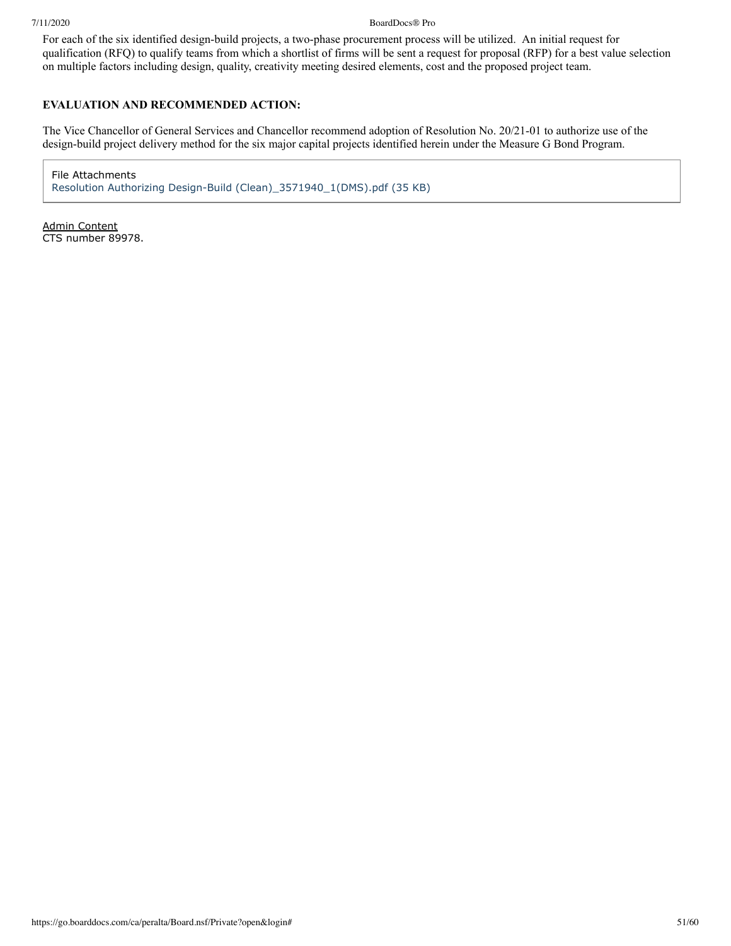### 7/11/2020 BoardDocs® Pro

For each of the six identified design-build projects, a two-phase procurement process will be utilized. An initial request for qualification (RFQ) to qualify teams from which a shortlist of firms will be sent a request for proposal (RFP) for a best value selection on multiple factors including design, quality, creativity meeting desired elements, cost and the proposed project team.

### **EVALUATION AND RECOMMENDED ACTION:**

The Vice Chancellor of General Services and Chancellor recommend adoption of Resolution No. 20/21-01 to authorize use of the design-build project delivery method for the six major capital projects identified herein under the Measure G Bond Program.

File Attachments [Resolution Authorizing Design-Build \(Clean\)\\_3571940\\_1\(DMS\).pdf \(35 KB\)](https://go.boarddocs.com/ca/peralta/Board.nsf/files/BR335P0537FF/$file/Resolution%20Authorizing%20Design-Build%20(Clean)_3571940_1(DMS).pdf)

Admin Content CTS number 89978.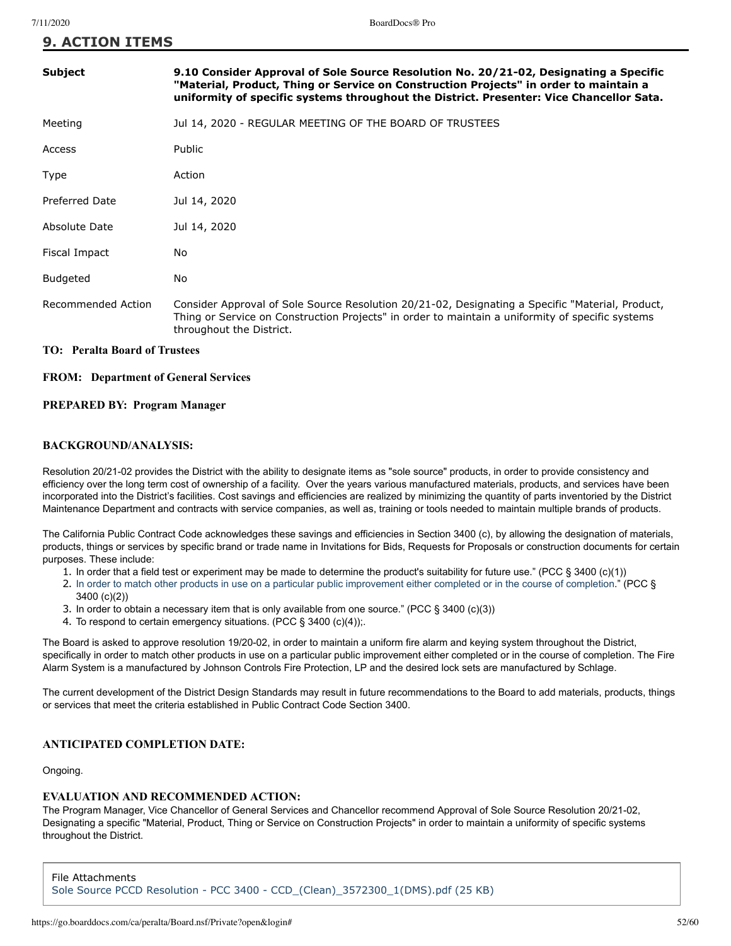| <b>Subject</b>                       | 9.10 Consider Approval of Sole Source Resolution No. 20/21-02, Designating a Specific<br>"Material, Product, Thing or Service on Construction Projects" in order to maintain a<br>uniformity of specific systems throughout the District. Presenter: Vice Chancellor Sata. |
|--------------------------------------|----------------------------------------------------------------------------------------------------------------------------------------------------------------------------------------------------------------------------------------------------------------------------|
| Meeting                              | Jul 14, 2020 - REGULAR MEETING OF THE BOARD OF TRUSTEES                                                                                                                                                                                                                    |
| Access                               | <b>Public</b>                                                                                                                                                                                                                                                              |
| Type                                 | Action                                                                                                                                                                                                                                                                     |
| <b>Preferred Date</b>                | Jul 14, 2020                                                                                                                                                                                                                                                               |
| Absolute Date                        | Jul 14, 2020                                                                                                                                                                                                                                                               |
| Fiscal Impact                        | No                                                                                                                                                                                                                                                                         |
| <b>Budgeted</b>                      | No.                                                                                                                                                                                                                                                                        |
| Recommended Action                   | Consider Approval of Sole Source Resolution 20/21-02, Designating a Specific "Material, Product,<br>Thing or Service on Construction Projects" in order to maintain a uniformity of specific systems<br>throughout the District.                                           |
| <b>TO:</b> Peralta Board of Trustees |                                                                                                                                                                                                                                                                            |

### **FROM: Department of General Services**

### **PREPARED BY: Program Manager**

### **BACKGROUND/ANALYSIS:**

Resolution 20/21-02 provides the District with the ability to designate items as "sole source" products, in order to provide consistency and efficiency over the long term cost of ownership of a facility. Over the years various manufactured materials, products, and services have been incorporated into the District's facilities. Cost savings and efficiencies are realized by minimizing the quantity of parts inventoried by the District Maintenance Department and contracts with service companies, as well as, training or tools needed to maintain multiple brands of products.

The California Public Contract Code acknowledges these savings and efficiencies in Section 3400 (c), by allowing the designation of materials, products, things or services by specific brand or trade name in Invitations for Bids, Requests for Proposals or construction documents for certain purposes. These include:

- 1. In order that a field test or experiment may be made to determine the product's suitability for future use." (PCC § 3400 (c)(1))
- 2. In order to match other products in use on a particular public improvement either completed or in the course of completion." (PCC § 3400 (c)(2))
- 3. In order to obtain a necessary item that is only available from one source." (PCC § 3400 (c)(3))
- 4. To respond to certain emergency situations. (PCC § 3400 (c)(4));.

The Board is asked to approve resolution 19/20-02, in order to maintain a uniform fire alarm and keying system throughout the District, specifically in order to match other products in use on a particular public improvement either completed or in the course of completion. The Fire Alarm System is a manufactured by Johnson Controls Fire Protection, LP and the desired lock sets are manufactured by Schlage.

The current development of the District Design Standards may result in future recommendations to the Board to add materials, products, things or services that meet the criteria established in Public Contract Code Section 3400.

### **ANTICIPATED COMPLETION DATE:**

Ongoing.

### **EVALUATION AND RECOMMENDED ACTION:**

The Program Manager, Vice Chancellor of General Services and Chancellor recommend Approval of Sole Source Resolution 20/21-02, Designating a specific "Material, Product, Thing or Service on Construction Projects" in order to maintain a uniformity of specific systems throughout the District.

File Attachments [Sole Source PCCD Resolution - PCC 3400 - CCD\\_\(Clean\)\\_3572300\\_1\(DMS\).pdf \(25 KB\)](https://go.boarddocs.com/ca/peralta/Board.nsf/files/BR339X05D7C6/$file/Sole%20Source%20PCCD%20Resolution%20-%20PCC%203400%20-%20CCD_(Clean)_3572300_1(DMS).pdf)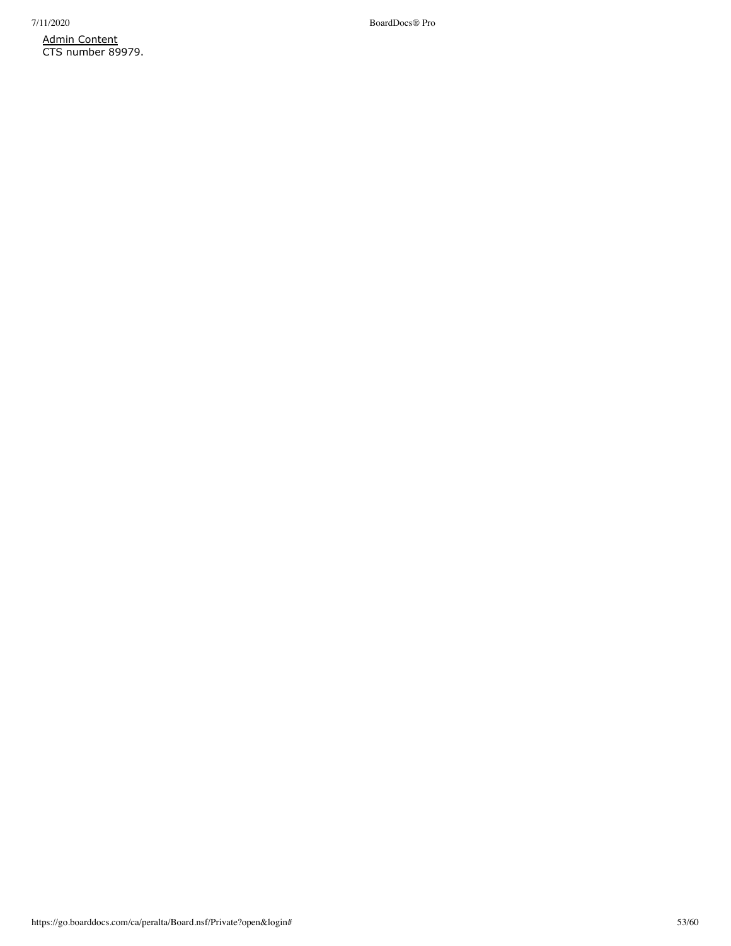Admin Content CTS number 89979.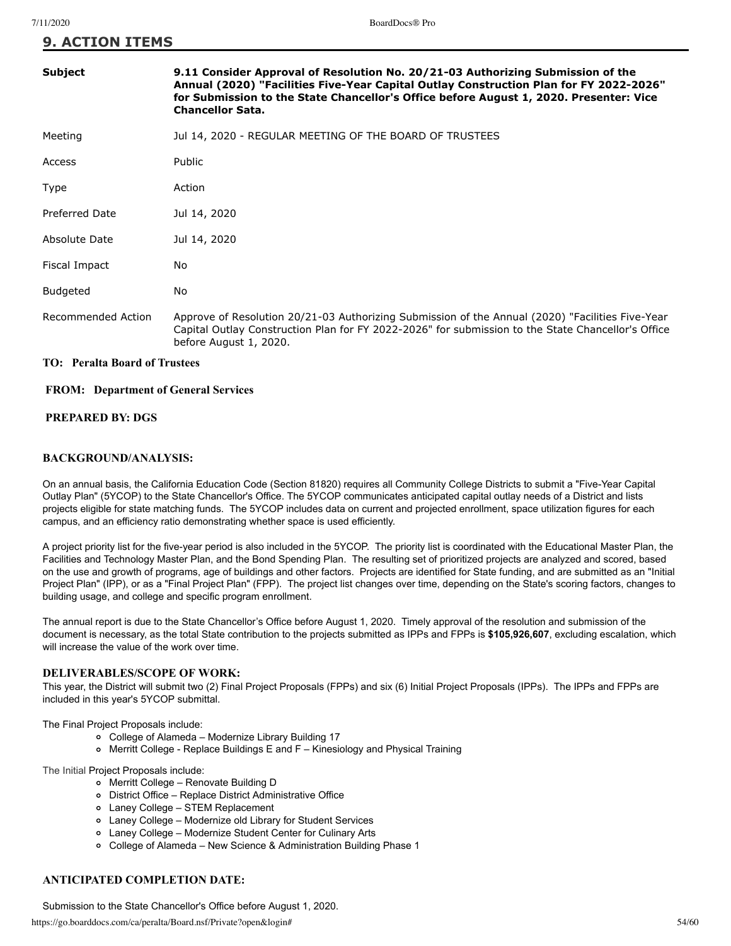| <b>Subject</b>        | 9.11 Consider Approval of Resolution No. 20/21-03 Authorizing Submission of the<br>Annual (2020) "Facilities Five-Year Capital Outlay Construction Plan for FY 2022-2026"<br>for Submission to the State Chancellor's Office before August 1, 2020. Presenter: Vice<br><b>Chancellor Sata.</b> |
|-----------------------|------------------------------------------------------------------------------------------------------------------------------------------------------------------------------------------------------------------------------------------------------------------------------------------------|
| Meeting               | Jul 14, 2020 - REGULAR MEETING OF THE BOARD OF TRUSTEES                                                                                                                                                                                                                                        |
| Access                | Public                                                                                                                                                                                                                                                                                         |
| Type                  | Action                                                                                                                                                                                                                                                                                         |
| <b>Preferred Date</b> | Jul 14, 2020                                                                                                                                                                                                                                                                                   |
| Absolute Date         | Jul 14, 2020                                                                                                                                                                                                                                                                                   |
| Fiscal Impact         | No.                                                                                                                                                                                                                                                                                            |
| <b>Budgeted</b>       | No.                                                                                                                                                                                                                                                                                            |
| Recommended Action    | Approve of Resolution 20/21-03 Authorizing Submission of the Annual (2020) "Facilities Five-Year<br>Capital Outlay Construction Plan for FY 2022-2026" for submission to the State Chancellor's Office<br>before August 1, 2020.                                                               |

### **TO: Peralta Board of Trustees**

### **FROM: Department of General Services**

### **PREPARED BY: DGS**

### **BACKGROUND/ANALYSIS:**

On an annual basis, the California Education Code (Section 81820) requires all Community College Districts to submit a "Five-Year Capital Outlay Plan" (5YCOP) to the State Chancellor's Office. The 5YCOP communicates anticipated capital outlay needs of a District and lists projects eligible for state matching funds. The 5YCOP includes data on current and projected enrollment, space utilization figures for each campus, and an efficiency ratio demonstrating whether space is used efficiently.

A project priority list for the five-year period is also included in the 5YCOP. The priority list is coordinated with the Educational Master Plan, the Facilities and Technology Master Plan, and the Bond Spending Plan. The resulting set of prioritized projects are analyzed and scored, based on the use and growth of programs, age of buildings and other factors. Projects are identified for State funding, and are submitted as an "Initial Project Plan" (IPP), or as a "Final Project Plan" (FPP). The project list changes over time, depending on the State's scoring factors, changes to building usage, and college and specific program enrollment.

The annual report is due to the State Chancellor's Office before August 1, 2020. Timely approval of the resolution and submission of the document is necessary, as the total State contribution to the projects submitted as IPPs and FPPs is **\$105,926,607**, excluding escalation, which will increase the value of the work over time.

### **DELIVERABLES/SCOPE OF WORK:**

This year, the District will submit two (2) Final Project Proposals (FPPs) and six (6) Initial Project Proposals (IPPs). The IPPs and FPPs are included in this year's 5YCOP submittal.

The Final Project Proposals include:

- College of Alameda Modernize Library Building 17
- Merritt College Replace Buildings E and F Kinesiology and Physical Training

The Initial Project Proposals include:

- Merritt College Renovate Building D
- District Office Replace District Administrative Office
- Laney College STEM Replacement
- Laney College Modernize old Library for Student Services
- Laney College Modernize Student Center for Culinary Arts
- College of Alameda New Science & Administration Building Phase 1

### **ANTICIPATED COMPLETION DATE:**

Submission to the State Chancellor's Office before August 1, 2020.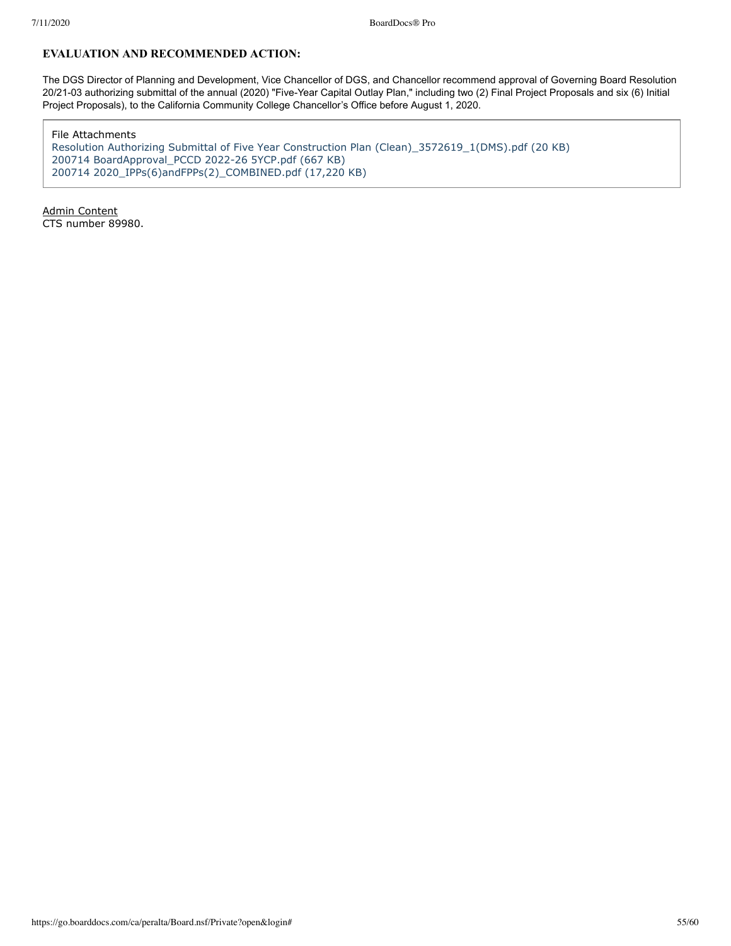## **EVALUATION AND RECOMMENDED ACTION:**

The DGS Director of Planning and Development, Vice Chancellor of DGS, and Chancellor recommend approval of Governing Board Resolution 20/21-03 authorizing submittal of the annual (2020) "Five-Year Capital Outlay Plan," including two (2) Final Project Proposals and six (6) Initial Project Proposals), to the California Community College Chancellor's Office before August 1, 2020.

File Attachments

[Resolution Authorizing Submittal of Five Year Construction Plan \(Clean\)\\_3572619\\_1\(DMS\).pdf \(20 KB\)](https://go.boarddocs.com/ca/peralta/Board.nsf/files/BR33DP0664A7/$file/Resolution%20Authorizing%20Submittal%20of%20Five%20Year%20Construction%20Plan%20(Clean)_3572619_1(DMS).pdf) [200714 BoardApproval\\_PCCD 2022-26 5YCP.pdf \(667 KB\)](https://go.boarddocs.com/ca/peralta/Board.nsf/files/BR6QEZ6905F4/$file/200714%20BoardApproval_PCCD%202022-26%205YCP.pdf) [200714 2020\\_IPPs\(6\)andFPPs\(2\)\\_COMBINED.pdf \(17,220 KB\)](https://go.boarddocs.com/ca/peralta/Board.nsf/files/BR8TUC79097A/$file/200714%202020_IPPs(6)andFPPs(2)_COMBINED.pdf)

Admin Content CTS number 89980.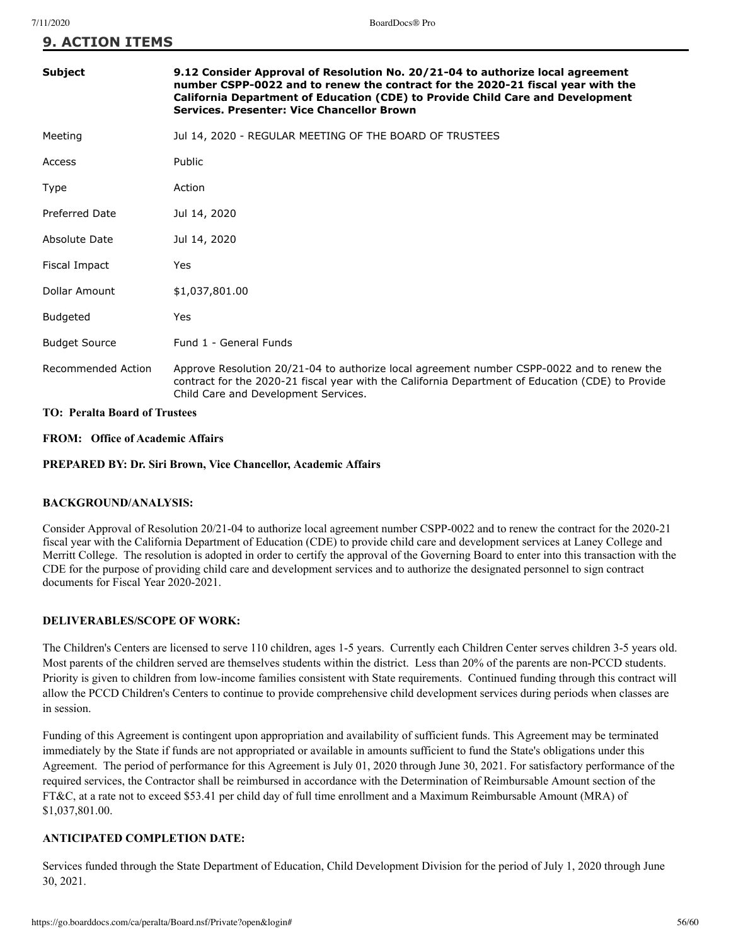| Subject                              | 9.12 Consider Approval of Resolution No. 20/21-04 to authorize local agreement<br>number CSPP-0022 and to renew the contract for the 2020-21 fiscal year with the<br>California Department of Education (CDE) to Provide Child Care and Development<br>Services. Presenter: Vice Chancellor Brown |  |  |
|--------------------------------------|---------------------------------------------------------------------------------------------------------------------------------------------------------------------------------------------------------------------------------------------------------------------------------------------------|--|--|
| Meeting                              | Jul 14, 2020 - REGULAR MEETING OF THE BOARD OF TRUSTEES                                                                                                                                                                                                                                           |  |  |
| Access                               | Public                                                                                                                                                                                                                                                                                            |  |  |
| Type                                 | Action                                                                                                                                                                                                                                                                                            |  |  |
| <b>Preferred Date</b>                | Jul 14, 2020                                                                                                                                                                                                                                                                                      |  |  |
| Absolute Date                        | Jul 14, 2020                                                                                                                                                                                                                                                                                      |  |  |
| Fiscal Impact                        | Yes                                                                                                                                                                                                                                                                                               |  |  |
| Dollar Amount                        | \$1,037,801.00                                                                                                                                                                                                                                                                                    |  |  |
| <b>Budgeted</b>                      | Yes                                                                                                                                                                                                                                                                                               |  |  |
| <b>Budget Source</b>                 | Fund 1 - General Funds                                                                                                                                                                                                                                                                            |  |  |
| Recommended Action                   | Approve Resolution 20/21-04 to authorize local agreement number CSPP-0022 and to renew the<br>contract for the 2020-21 fiscal year with the California Department of Education (CDE) to Provide<br>Child Care and Development Services.                                                           |  |  |
| <b>TO: Peralta Board of Trustees</b> |                                                                                                                                                                                                                                                                                                   |  |  |

**FROM: Office of Academic Affairs**

**PREPARED BY: Dr. Siri Brown, Vice Chancellor, Academic Affairs**

### **BACKGROUND/ANALYSIS:**

Consider Approval of Resolution 20/21-04 to authorize local agreement number CSPP-0022 and to renew the contract for the 2020-21 fiscal year with the California Department of Education (CDE) to provide child care and development services at Laney College and Merritt College. The resolution is adopted in order to certify the approval of the Governing Board to enter into this transaction with the CDE for the purpose of providing child care and development services and to authorize the designated personnel to sign contract documents for Fiscal Year 2020-2021.

### **DELIVERABLES/SCOPE OF WORK:**

The Children's Centers are licensed to serve 110 children, ages 1-5 years. Currently each Children Center serves children 3-5 years old. Most parents of the children served are themselves students within the district. Less than 20% of the parents are non-PCCD students. Priority is given to children from low-income families consistent with State requirements. Continued funding through this contract will allow the PCCD Children's Centers to continue to provide comprehensive child development services during periods when classes are in session.

Funding of this Agreement is contingent upon appropriation and availability of sufficient funds. This Agreement may be terminated immediately by the State if funds are not appropriated or available in amounts sufficient to fund the State's obligations under this Agreement. The period of performance for this Agreement is July 01, 2020 through June 30, 2021. For satisfactory performance of the required services, the Contractor shall be reimbursed in accordance with the Determination of Reimbursable Amount section of the FT&C, at a rate not to exceed \$53.41 per child day of full time enrollment and a Maximum Reimbursable Amount (MRA) of \$1,037,801.00.

### **ANTICIPATED COMPLETION DATE:**

Services funded through the State Department of Education, Child Development Division for the period of July 1, 2020 through June 30, 2021.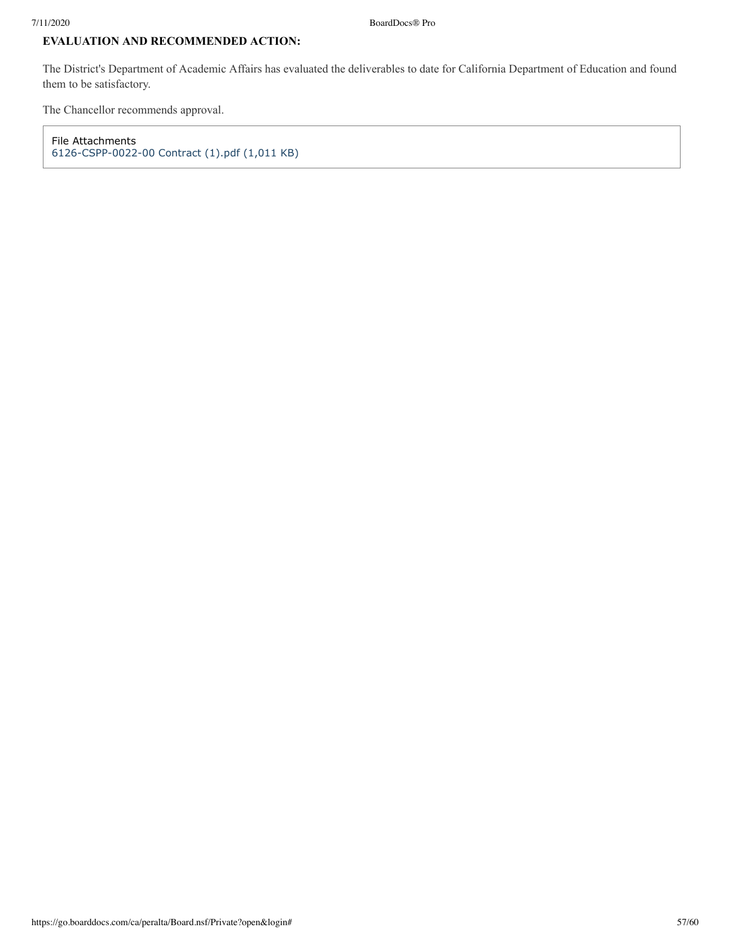# **EVALUATION AND RECOMMENDED ACTION:**

The District's Department of Academic Affairs has evaluated the deliverables to date for California Department of Education and found them to be satisfactory.

The Chancellor recommends approval.

File Attachments [6126-CSPP-0022-00 Contract \(1\).pdf \(1,011 KB\)](https://go.boarddocs.com/ca/peralta/Board.nsf/files/BRAP345EB01E/$file/6126-CSPP-0022-00%20Contract%20(1).pdf)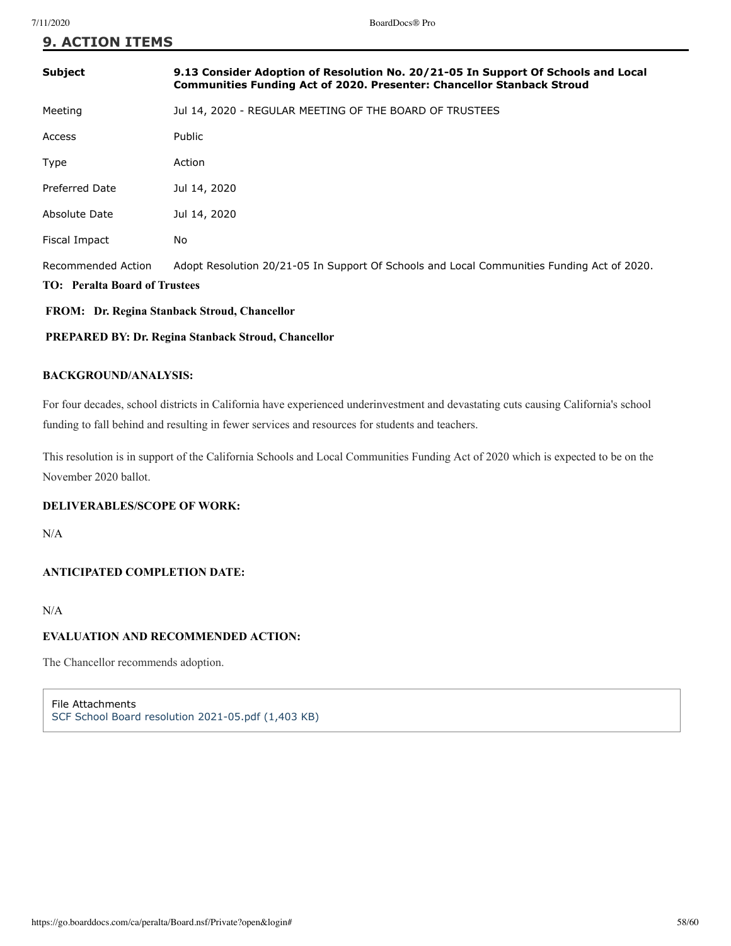| <b>Subject</b>                                             | 9.13 Consider Adoption of Resolution No. 20/21-05 In Support Of Schools and Local<br><b>Communities Funding Act of 2020. Presenter: Chancellor Stanback Stroud</b> |
|------------------------------------------------------------|--------------------------------------------------------------------------------------------------------------------------------------------------------------------|
| Meeting                                                    | Jul 14, 2020 - REGULAR MEETING OF THE BOARD OF TRUSTEES                                                                                                            |
| Access                                                     | Public                                                                                                                                                             |
| Type                                                       | Action                                                                                                                                                             |
| Preferred Date                                             | Jul 14, 2020                                                                                                                                                       |
| Absolute Date                                              | Jul 14, 2020                                                                                                                                                       |
| Fiscal Impact                                              | No.                                                                                                                                                                |
| Recommended Action<br><b>TO:</b> Peralta Board of Trustees | Adopt Resolution 20/21-05 In Support Of Schools and Local Communities Funding Act of 2020.                                                                         |

# **FROM: Dr. Regina Stanback Stroud, Chancellor**

# **PREPARED BY: Dr. Regina Stanback Stroud, Chancellor**

### **BACKGROUND/ANALYSIS:**

For four decades, school districts in California have experienced underinvestment and devastating cuts causing California's school funding to fall behind and resulting in fewer services and resources for students and teachers.

This resolution is in support of the California Schools and Local Communities Funding Act of 2020 which is expected to be on the November 2020 ballot.

### **DELIVERABLES/SCOPE OF WORK:**

N/A

### **ANTICIPATED COMPLETION DATE:**

N/A

### **EVALUATION AND RECOMMENDED ACTION:**

The Chancellor recommends adoption.

File Attachments [SCF School Board resolution 2021-05.pdf \(1,403 KB\)](https://go.boarddocs.com/ca/peralta/Board.nsf/files/BRC3EZ06945B/$file/SCF%20School%20Board%20resolution%202021-05.pdf)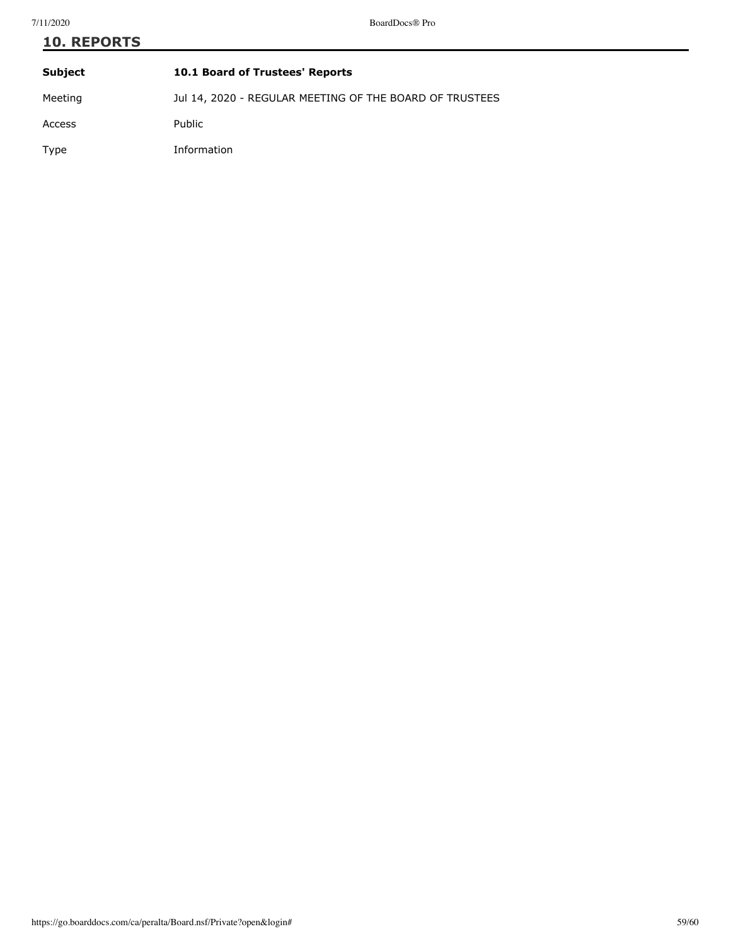| <b>10. REPORTS</b> |                                                         |  |
|--------------------|---------------------------------------------------------|--|
| <b>Subject</b>     | 10.1 Board of Trustees' Reports                         |  |
| Meeting            | Jul 14, 2020 - REGULAR MEETING OF THE BOARD OF TRUSTEES |  |
| Access             | Public                                                  |  |
| Type               | Information                                             |  |